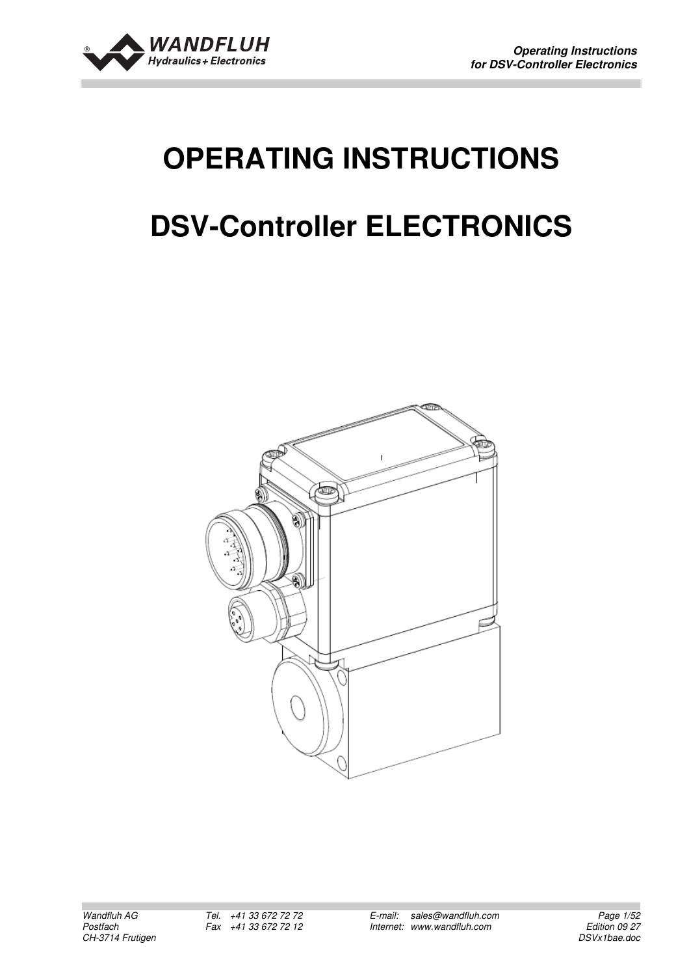

# **OPERATING INSTRUCTIONS DSV-Controller ELECTRONICS**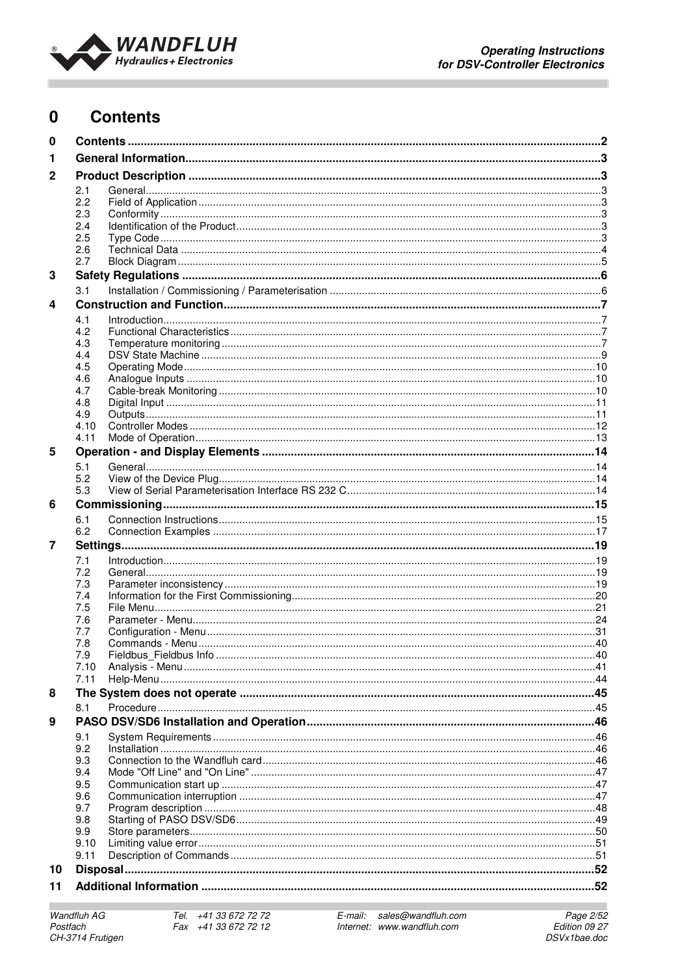

#### $\mathbf 0$ **Contents**

| 0              |            |  |  |
|----------------|------------|--|--|
| 1              |            |  |  |
| $\mathbf 2$    |            |  |  |
|                | 2.1        |  |  |
|                | 2.2        |  |  |
|                | 2.3        |  |  |
|                | 2.4        |  |  |
|                | 2.5        |  |  |
|                | 2.6        |  |  |
|                | 2.7        |  |  |
| 3              |            |  |  |
|                | 3.1        |  |  |
| 4              |            |  |  |
|                | 4.1        |  |  |
|                | 4.2        |  |  |
|                | 4.3        |  |  |
|                | 4.4        |  |  |
|                | 4.5        |  |  |
|                | 4.6        |  |  |
|                | 4.7        |  |  |
|                | 4.8        |  |  |
|                | 4.9        |  |  |
|                | 4.10       |  |  |
|                | 4.11       |  |  |
| 5              |            |  |  |
|                | 5.1        |  |  |
|                | 5.2        |  |  |
|                | 5.3        |  |  |
| 6              |            |  |  |
|                | 6.1        |  |  |
|                | 6.2        |  |  |
| $\overline{7}$ |            |  |  |
|                |            |  |  |
|                | 7.1        |  |  |
|                | 7.2        |  |  |
|                | 7.3<br>7.4 |  |  |
|                | 7.5        |  |  |
|                | 7.6        |  |  |
|                | 7.7        |  |  |
|                | 7.8        |  |  |
|                | 7.9        |  |  |
|                | 7.10       |  |  |
|                | 7.11       |  |  |
| 8              |            |  |  |
|                | 8.1        |  |  |
| 9              |            |  |  |
|                | 9.1        |  |  |
|                | 9.2        |  |  |
|                | 9.3        |  |  |
|                | 9.4        |  |  |
|                | 9.5        |  |  |
|                | 9.6        |  |  |
|                | 9.7        |  |  |
|                | 9.8        |  |  |
|                | 9.9        |  |  |
|                | 9.10       |  |  |
|                | 9.11       |  |  |
| 10             |            |  |  |
| 11             |            |  |  |
|                |            |  |  |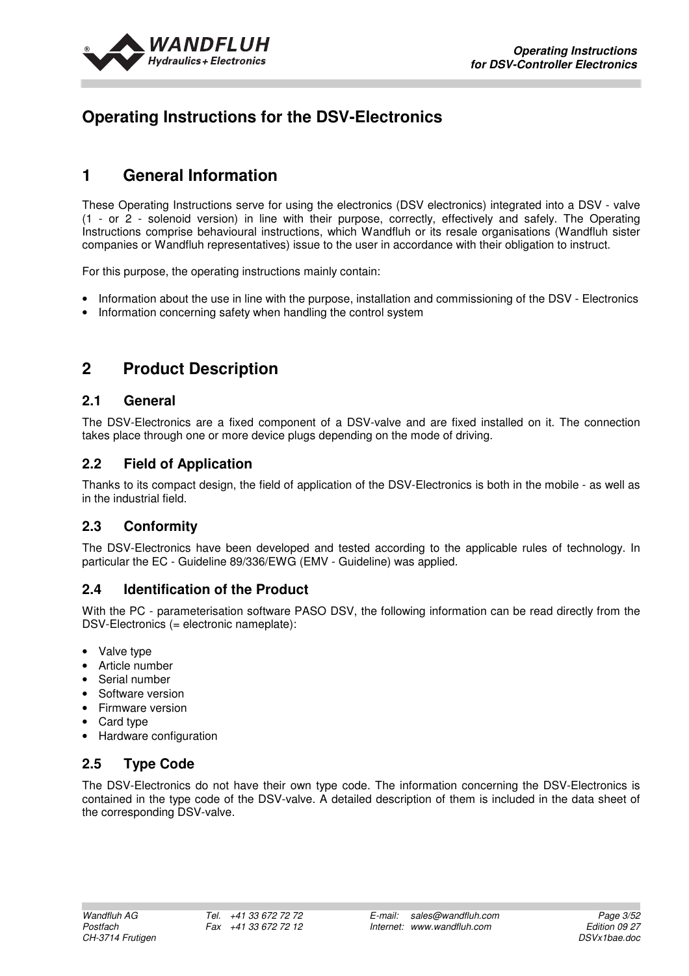

## **Operating Instructions for the DSV-Electronics**

## **1 General Information**

These Operating Instructions serve for using the electronics (DSV electronics) integrated into a DSV - valve (1 - or 2 - solenoid version) in line with their purpose, correctly, effectively and safely. The Operating Instructions comprise behavioural instructions, which Wandfluh or its resale organisations (Wandfluh sister companies or Wandfluh representatives) issue to the user in accordance with their obligation to instruct.

For this purpose, the operating instructions mainly contain:

- Information about the use in line with the purpose, installation and commissioning of the DSV Electronics
- Information concerning safety when handling the control system

## **2 Product Description**

#### **2.1 General**

The DSV-Electronics are a fixed component of a DSV-valve and are fixed installed on it. The connection takes place through one or more device plugs depending on the mode of driving.

#### **2.2 Field of Application**

Thanks to its compact design, the field of application of the DSV-Electronics is both in the mobile - as well as in the industrial field.

## **2.3 Conformity**

The DSV-Electronics have been developed and tested according to the applicable rules of technology. In particular the EC - Guideline 89/336/EWG (EMV - Guideline) was applied.

## **2.4 Identification of the Product**

With the PC - parameterisation software PASO DSV, the following information can be read directly from the DSV-Electronics (= electronic nameplate):

- Valve type
- Article number
- Serial number
- Software version
- Firmware version
- Card type
- Hardware configuration

## **2.5 Type Code**

The DSV-Electronics do not have their own type code. The information concerning the DSV-Electronics is contained in the type code of the DSV-valve. A detailed description of them is included in the data sheet of the corresponding DSV-valve.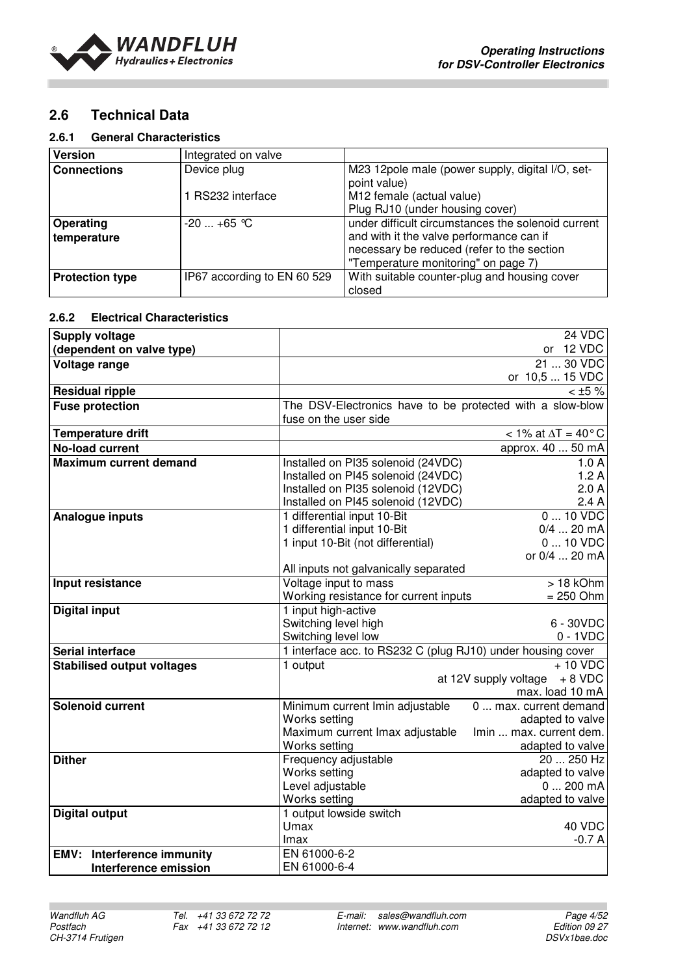

## **2.6 Technical Data**

#### **2.6.1 General Characteristics**

| <b>Version</b>           | Integrated on valve         |                                                                                                                                                                                     |
|--------------------------|-----------------------------|-------------------------------------------------------------------------------------------------------------------------------------------------------------------------------------|
| <b>Connections</b>       | Device plug                 | M23 12pole male (power supply, digital I/O, set-<br>point value)                                                                                                                    |
|                          | RS232 interface             | M12 female (actual value)                                                                                                                                                           |
|                          |                             | Plug RJ10 (under housing cover)                                                                                                                                                     |
| Operating<br>temperature | $-20$ $+65$ °C              | under difficult circumstances the solenoid current<br>and with it the valve performance can if<br>necessary be reduced (refer to the section<br>"Temperature monitoring" on page 7) |
| <b>Protection type</b>   | IP67 according to EN 60 529 | With suitable counter-plug and housing cover<br>closed                                                                                                                              |

#### **2.6.2 Electrical Characteristics**

| <b>Supply voltage</b>                       |                                                             | 24 VDC                              |
|---------------------------------------------|-------------------------------------------------------------|-------------------------------------|
| (dependent on valve type)                   |                                                             | or 12 VDC                           |
| Voltage range                               |                                                             | 21  30 VDC                          |
|                                             |                                                             | or 10,5  15 VDC                     |
| <b>Residual ripple</b>                      |                                                             | $<$ ±5 %                            |
| <b>Fuse protection</b>                      | The DSV-Electronics have to be protected with a slow-blow   |                                     |
|                                             | fuse on the user side                                       |                                     |
| <b>Temperature drift</b>                    |                                                             | $<$ 1% at $\Delta T = 40^{\circ}$ C |
| <b>No-load current</b>                      |                                                             | approx. 40  50 mA                   |
| <b>Maximum current demand</b>               | Installed on PI35 solenoid (24VDC)                          | 1.0A                                |
|                                             | Installed on PI45 solenoid (24VDC)                          | 1.2A                                |
|                                             | Installed on PI35 solenoid (12VDC)                          | 2.0A                                |
|                                             | Installed on PI45 solenoid (12VDC)                          | 2.4A                                |
| Analogue inputs                             | 1 differential input 10-Bit                                 | $0 \ldots 10 \text{ VDC}$           |
|                                             | 1 differential input 10-Bit                                 | $0/4$ 20 mA                         |
|                                             | 1 input 10-Bit (not differential)                           | $010$ VDC                           |
|                                             |                                                             | or 0/4  20 mA                       |
|                                             | All inputs not galvanically separated                       |                                     |
| Input resistance                            | Voltage input to mass                                       | $>18$ kOhm                          |
|                                             | Working resistance for current inputs                       | $= 250$ Ohm                         |
| <b>Digital input</b>                        | 1 input high-active                                         |                                     |
|                                             | Switching level high                                        | 6 - 30VDC                           |
|                                             | Switching level low                                         | $0 - 1VDC$                          |
| <b>Serial interface</b>                     | 1 interface acc. to RS232 C (plug RJ10) under housing cover |                                     |
| <b>Stabilised output voltages</b>           | 1 output                                                    | $+10$ VDC                           |
|                                             |                                                             | at 12V supply voltage $+8$ VDC      |
|                                             |                                                             | max. load 10 mA                     |
| <b>Solenoid current</b>                     | Minimum current Imin adjustable                             | 0  max. current demand              |
|                                             | Works setting                                               | adapted to valve                    |
|                                             | Maximum current Imax adjustable                             | Imin  max. current dem.             |
|                                             | Works setting                                               | adapted to valve                    |
| <b>Dither</b>                               | Frequency adjustable                                        | 20  250 Hz                          |
|                                             | Works setting                                               | adapted to valve                    |
|                                             | Level adjustable                                            | $0200$ mA                           |
|                                             | Works setting                                               | adapted to valve                    |
| <b>Digital output</b>                       | 1 output lowside switch                                     |                                     |
|                                             | Umax                                                        | 40 VDC                              |
|                                             | Imax                                                        | $-0.7A$                             |
| <b>Interference immunity</b><br><b>EMV:</b> | EN 61000-6-2                                                |                                     |
| Interference emission                       | EN 61000-6-4                                                |                                     |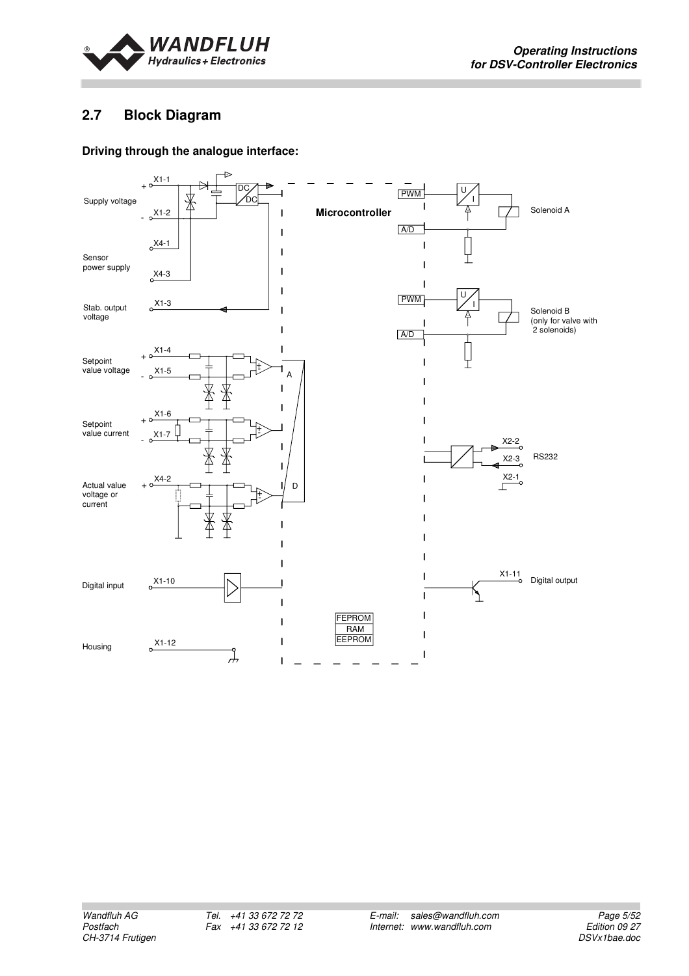

## **2.7 Block Diagram**

#### **Driving through the analogue interface:**

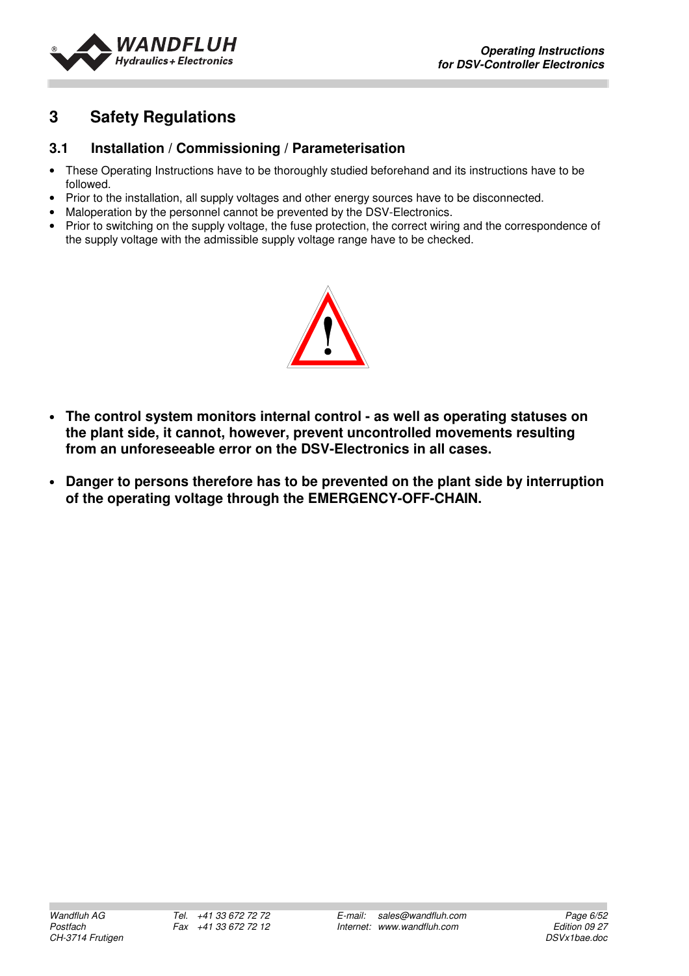

## **3 Safety Regulations**

## **3.1 Installation / Commissioning / Parameterisation**

- These Operating Instructions have to be thoroughly studied beforehand and its instructions have to be followed.
- Prior to the installation, all supply voltages and other energy sources have to be disconnected.
- Maloperation by the personnel cannot be prevented by the DSV-Electronics.
- Prior to switching on the supply voltage, the fuse protection, the correct wiring and the correspondence of the supply voltage with the admissible supply voltage range have to be checked.



- **The control system monitors internal control as well as operating statuses on the plant side, it cannot, however, prevent uncontrolled movements resulting from an unforeseeable error on the DSV-Electronics in all cases.**
- **Danger to persons therefore has to be prevented on the plant side by interruption of the operating voltage through the EMERGENCY-OFF-CHAIN.**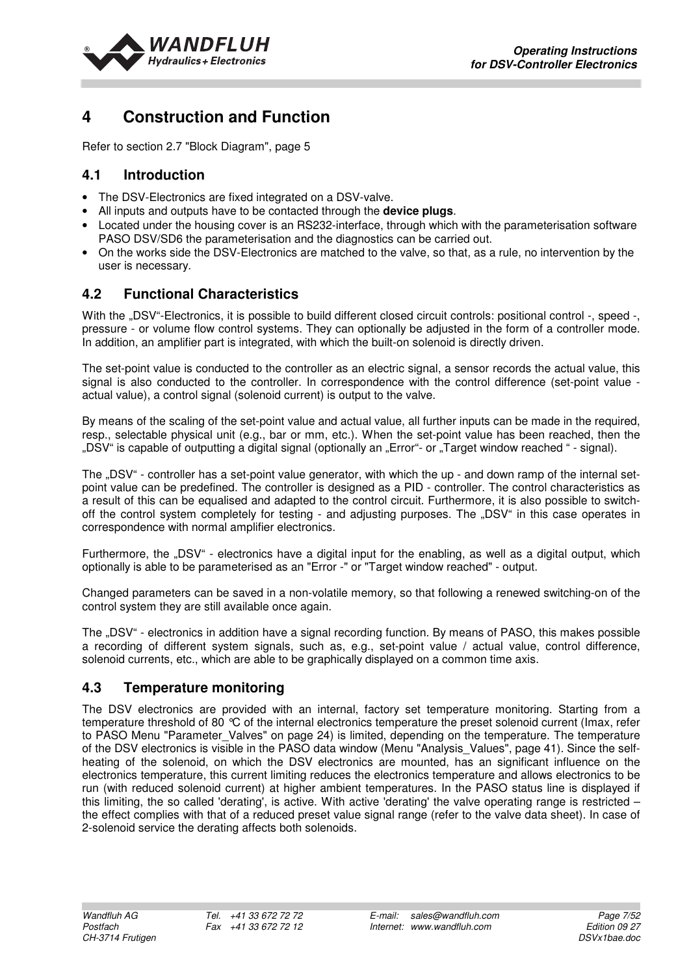

## **4 Construction and Function**

Refer to section 2.7 "Block Diagram", page 5

## **4.1 Introduction**

- The DSV-Electronics are fixed integrated on a DSV-valve.
- All inputs and outputs have to be contacted through the **device plugs**.
- Located under the housing cover is an RS232-interface, through which with the parameterisation software PASO DSV/SD6 the parameterisation and the diagnostics can be carried out.
- On the works side the DSV-Electronics are matched to the valve, so that, as a rule, no intervention by the user is necessary.

## **4.2 Functional Characteristics**

With the ..DSV"-Electronics, it is possible to build different closed circuit controls: positional control -, speed -, pressure - or volume flow control systems. They can optionally be adjusted in the form of a controller mode. In addition, an amplifier part is integrated, with which the built-on solenoid is directly driven.

The set-point value is conducted to the controller as an electric signal, a sensor records the actual value, this signal is also conducted to the controller. In correspondence with the control difference (set-point value actual value), a control signal (solenoid current) is output to the valve.

By means of the scaling of the set-point value and actual value, all further inputs can be made in the required, resp., selectable physical unit (e.g., bar or mm, etc.). When the set-point value has been reached, then the "DSV" is capable of outputting a digital signal (optionally an "Error"- or "Target window reached " - signal).

The "DSV" - controller has a set-point value generator, with which the up - and down ramp of the internal setpoint value can be predefined. The controller is designed as a PID - controller. The control characteristics as a result of this can be equalised and adapted to the control circuit. Furthermore, it is also possible to switchoff the control system completely for testing - and adjusting purposes. The "DSV" in this case operates in correspondence with normal amplifier electronics.

Furthermore, the "DSV" - electronics have a digital input for the enabling, as well as a digital output, which optionally is able to be parameterised as an "Error -" or "Target window reached" - output.

Changed parameters can be saved in a non-volatile memory, so that following a renewed switching-on of the control system they are still available once again.

The "DSV" - electronics in addition have a signal recording function. By means of PASO, this makes possible a recording of different system signals, such as, e.g., set-point value / actual value, control difference, solenoid currents, etc., which are able to be graphically displayed on a common time axis.

## **4.3 Temperature monitoring**

The DSV electronics are provided with an internal, factory set temperature monitoring. Starting from a temperature threshold of 80 °C of the internal electronics temperature the preset solenoid current (Imax, refer to PASO Menu "Parameter Valves" on page 24) is limited, depending on the temperature. The temperature of the DSV electronics is visible in the PASO data window (Menu "Analysis\_Values", page 41). Since the selfheating of the solenoid, on which the DSV electronics are mounted, has an significant influence on the electronics temperature, this current limiting reduces the electronics temperature and allows electronics to be run (with reduced solenoid current) at higher ambient temperatures. In the PASO status line is displayed if this limiting, the so called 'derating', is active. With active 'derating' the valve operating range is restricted – the effect complies with that of a reduced preset value signal range (refer to the valve data sheet). In case of 2-solenoid service the derating affects both solenoids.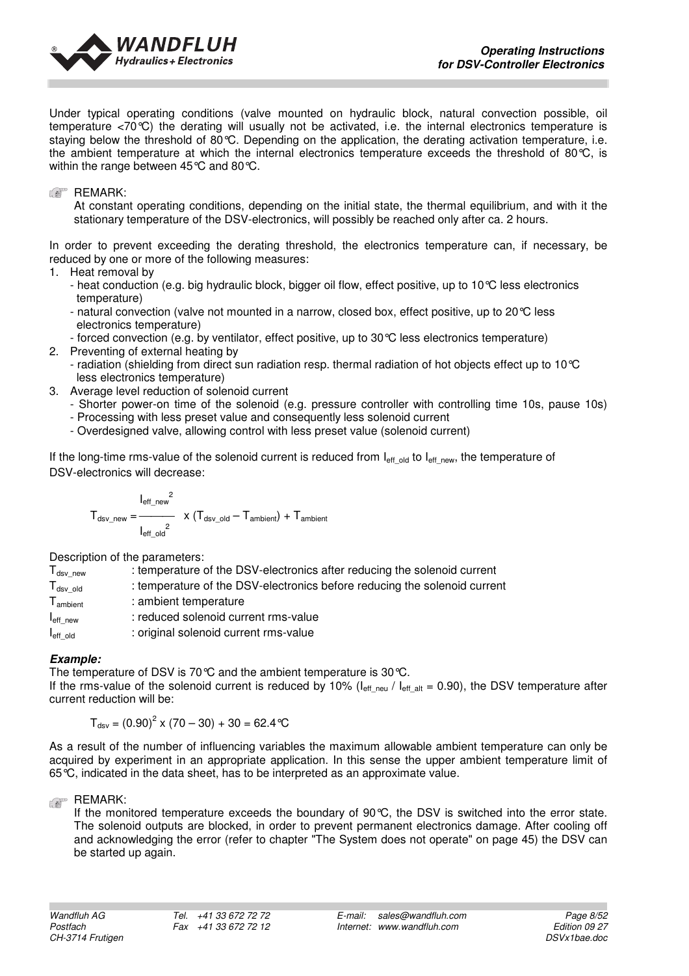

Under typical operating conditions (valve mounted on hydraulic block, natural convection possible, oil temperature <70°C) the derating will usually not be activated, i.e. the internal electronics temperature is staying below the threshold of 80°C. Depending on the application, the derating activation temperature, i.e. the ambient temperature at which the internal electronics temperature exceeds the threshold of 80°C, is within the range between 45°C and 80°C.

**REMARK:** 

At constant operating conditions, depending on the initial state, the thermal equilibrium, and with it the stationary temperature of the DSV-electronics, will possibly be reached only after ca. 2 hours.

In order to prevent exceeding the derating threshold, the electronics temperature can, if necessary, be reduced by one or more of the following measures:

- 1. Heat removal by
	- heat conduction (e.g. big hydraulic block, bigger oil flow, effect positive, up to 10°C less electronics temperature)
	- natural convection (valve not mounted in a narrow, closed box, effect positive, up to 20°C less electronics temperature)
	- forced convection (e.g. by ventilator, effect positive, up to 30°C less electronics temperature)
- 2. Preventing of external heating by
	- radiation (shielding from direct sun radiation resp. thermal radiation of hot objects effect up to 10°C less electronics temperature)
- 3. Average level reduction of solenoid current
	- Shorter power-on time of the solenoid (e.g. pressure controller with controlling time 10s, pause 10s)
	- Processing with less preset value and consequently less solenoid current
	- Overdesigned valve, allowing control with less preset value (solenoid current)

If the long-time rms-value of the solenoid current is reduced from  $I_{\text{eff}}$  old to  $I_{\text{eff}}$  new, the temperature of DSV-electronics will decrease:

$$
T_{dsv\_new} = \frac{I_{eff\_new}^{2}}{I_{eff\_old}^{2}} \times (T_{dsv\_old} - T_{ambient}) + T_{ambient}
$$

Description of the parameters:

| $T_{dsv \text{ new}}$ | : temperature of the DSV-electronics after reducing the solenoid current  |
|-----------------------|---------------------------------------------------------------------------|
| $T_{dsv}$ old         | : temperature of the DSV-electronics before reducing the solenoid current |
| $T_{\text{ambient}}$  | : ambient temperature                                                     |
| $I_{\text{eff}}$ new  | : reduced solenoid current rms-value                                      |
| $I_{\text{eff}}$ old  | : original solenoid current rms-value                                     |
|                       |                                                                           |

#### **Example:**

The temperature of DSV is 70 °C and the ambient temperature is 30 °C. If the rms-value of the solenoid current is reduced by 10% ( $I_{\text{eff}}$ <sub>neu</sub> /  $I_{\text{eff}}$ <sub>alt</sub> = 0.90), the DSV temperature after current reduction will be:

 $T_{dsv} = (0.90)^2 \times (70 - 30) + 30 = 62.4 \text{°C}$ 

As a result of the number of influencing variables the maximum allowable ambient temperature can only be acquired by experiment in an appropriate application. In this sense the upper ambient temperature limit of 65°C, indicated in the data sheet, has to be interpreted as an approximate value.

#### **REMARK:**

If the monitored temperature exceeds the boundary of 90°C, the DSV is switched into the error state. The solenoid outputs are blocked, in order to prevent permanent electronics damage. After cooling off and acknowledging the error (refer to chapter "The System does not operate" on page 45) the DSV can be started up again.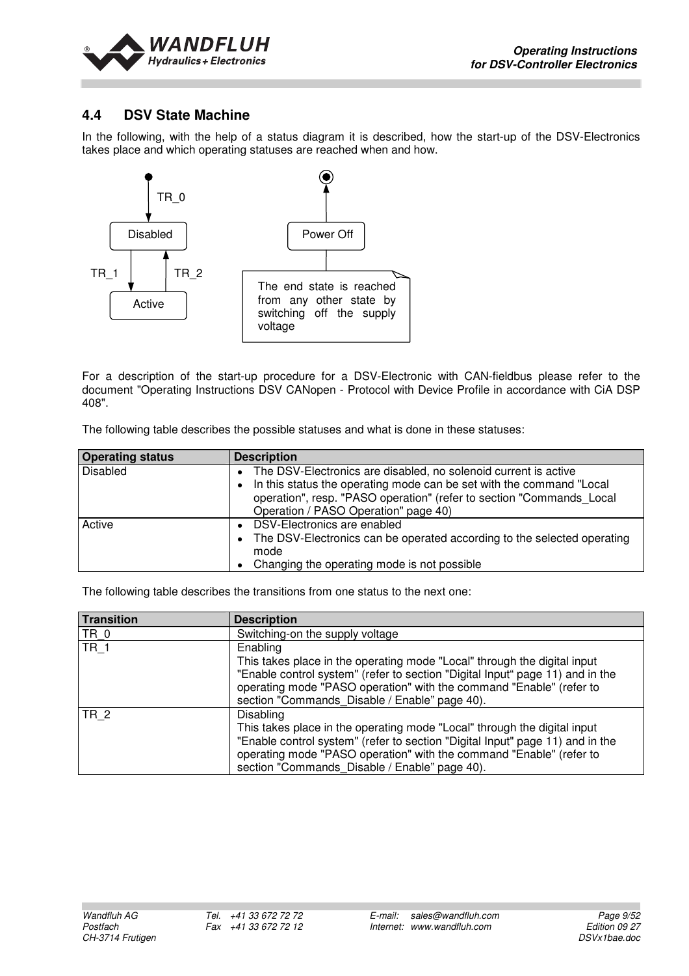

## **4.4 DSV State Machine**

In the following, with the help of a status diagram it is described, how the start-up of the DSV-Electronics takes place and which operating statuses are reached when and how.



For a description of the start-up procedure for a DSV-Electronic with CAN-fieldbus please refer to the document "Operating Instructions DSV CANopen - Protocol with Device Profile in accordance with CiA DSP 408".

The following table describes the possible statuses and what is done in these statuses:

| <b>Operating status</b> | <b>Description</b>                                                                                                                                                                                                                                          |
|-------------------------|-------------------------------------------------------------------------------------------------------------------------------------------------------------------------------------------------------------------------------------------------------------|
| <b>Disabled</b>         | • The DSV-Electronics are disabled, no solenoid current is active<br>• In this status the operating mode can be set with the command "Local<br>operation", resp. "PASO operation" (refer to section "Commands Local<br>Operation / PASO Operation" page 40) |
| Active                  | • DSV-Electronics are enabled<br>• The DSV-Electronics can be operated according to the selected operating<br>mode<br>• Changing the operating mode is not possible                                                                                         |

The following table describes the transitions from one status to the next one:

| <b>Transition</b> | <b>Description</b>                                                                                                                                                                                                                                                                                    |
|-------------------|-------------------------------------------------------------------------------------------------------------------------------------------------------------------------------------------------------------------------------------------------------------------------------------------------------|
| TR 0              | Switching-on the supply voltage                                                                                                                                                                                                                                                                       |
| <b>TR 1</b>       | Enabling<br>This takes place in the operating mode "Local" through the digital input<br>"Enable control system" (refer to section "Digital Input" page 11) and in the<br>operating mode "PASO operation" with the command "Enable" (refer to<br>section "Commands Disable / Enable" page 40).         |
| <b>TR 2</b>       | <b>Disabling</b><br>This takes place in the operating mode "Local" through the digital input<br>"Enable control system" (refer to section "Digital Input" page 11) and in the<br>operating mode "PASO operation" with the command "Enable" (refer to<br>section "Commands Disable / Enable" page 40). |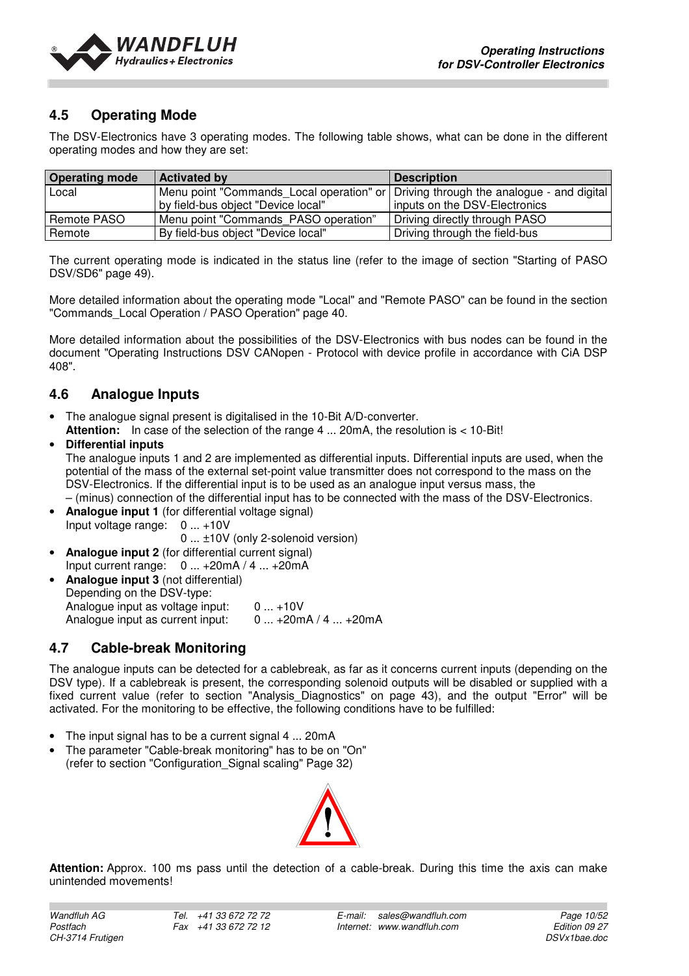

## **4.5 Operating Mode**

The DSV-Electronics have 3 operating modes. The following table shows, what can be done in the different operating modes and how they are set:

| <b>Operating mode</b> | <b>Activated by</b>                                                                   | <b>Description</b>            |
|-----------------------|---------------------------------------------------------------------------------------|-------------------------------|
| Local                 | Menu point "Commands_Local operation" or   Driving through the analogue - and digital |                               |
|                       | by field-bus object "Device local"                                                    | inputs on the DSV-Electronics |
| Remote PASO           | Menu point "Commands PASO operation"                                                  | Driving directly through PASO |
| Remote                | By field-bus object "Device local"                                                    | Driving through the field-bus |

The current operating mode is indicated in the status line (refer to the image of section "Starting of PASO DSV/SD6" page 49).

More detailed information about the operating mode "Local" and "Remote PASO" can be found in the section "Commands\_Local Operation / PASO Operation" page 40.

More detailed information about the possibilities of the DSV-Electronics with bus nodes can be found in the document "Operating Instructions DSV CANopen - Protocol with device profile in accordance with CiA DSP 408".

## **4.6 Analogue Inputs**

- The analogue signal present is digitalised in the 10-Bit A/D-converter.
- Attention: In case of the selection of the range 4 ... 20mA, the resolution is < 10-Bit!

#### • **Differential inputs**

The analogue inputs 1 and 2 are implemented as differential inputs. Differential inputs are used, when the potential of the mass of the external set-point value transmitter does not correspond to the mass on the DSV-Electronics. If the differential input is to be used as an analogue input versus mass, the – (minus) connection of the differential input has to be connected with the mass of the DSV-Electronics.

**Analogue input 1** (for differential voltage signal) Input voltage range: 0 ... +10V

0 ... ±10V (only 2-solenoid version)

- **Analogue input 2** (for differential current signal) Input current range: 0 ... +20mA / 4 ... +20mA
- **Analogue input 3** (not differential) Depending on the DSV-type: Analogue input as voltage input: 0 ... +10V<br>Analogue input as current input: 0 ... +20mA / 4 ... +20mA Analogue input as current input:

## **4.7 Cable-break Monitoring**

The analogue inputs can be detected for a cablebreak, as far as it concerns current inputs (depending on the DSV type). If a cablebreak is present, the corresponding solenoid outputs will be disabled or supplied with a fixed current value (refer to section "Analysis Diagnostics" on page 43), and the output "Error" will be activated. For the monitoring to be effective, the following conditions have to be fulfilled:

- The input signal has to be a current signal 4 ... 20mA
- The parameter "Cable-break monitoring" has to be on "On" (refer to section "Configuration\_Signal scaling" Page 32)



**Attention:** Approx. 100 ms pass until the detection of a cable-break. During this time the axis can make unintended movements!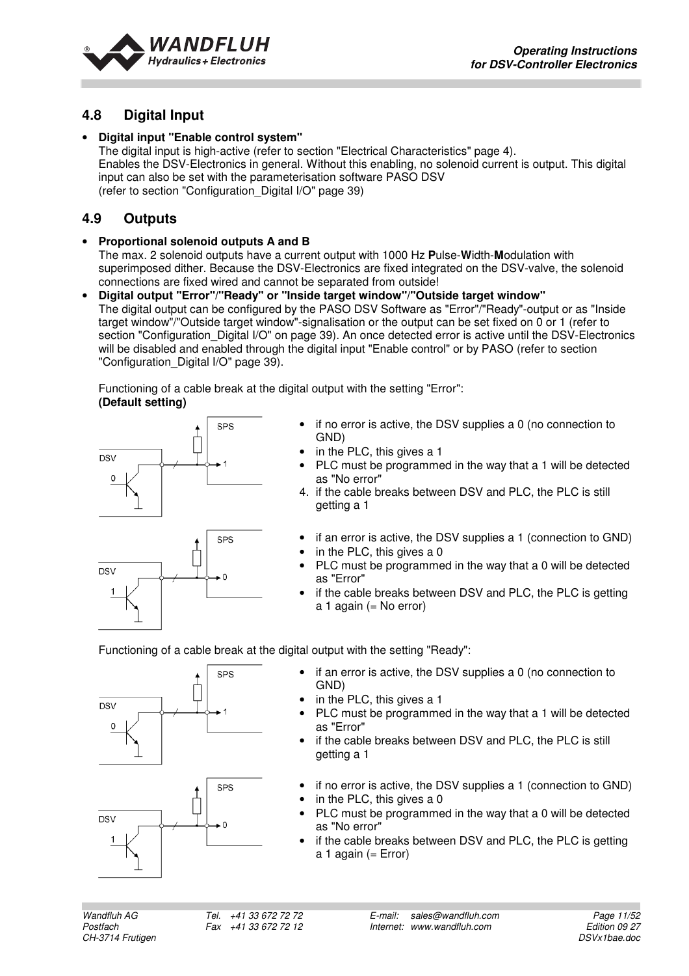

## **4.8 Digital Input**

#### • **Digital input "Enable control system"**

The digital input is high-active (refer to section "Electrical Characteristics" page 4). Enables the DSV-Electronics in general. Without this enabling, no solenoid current is output. This digital input can also be set with the parameterisation software PASO DSV (refer to section "Configuration\_Digital I/O" page 39)

## **4.9 Outputs**

#### • **Proportional solenoid outputs A and B**

The max. 2 solenoid outputs have a current output with 1000 Hz **P**ulse-**W**idth-**M**odulation with superimposed dither. Because the DSV-Electronics are fixed integrated on the DSV-valve, the solenoid connections are fixed wired and cannot be separated from outside!

• **Digital output "Error"/"Ready" or "Inside target window"/"Outside target window"**  The digital output can be configured by the PASO DSV Software as "Error"/"Ready"-output or as "Inside target window"/"Outside target window"-signalisation or the output can be set fixed on 0 or 1 (refer to section "Configuration Digital I/O" on page 39). An once detected error is active until the DSV-Electronics will be disabled and enabled through the digital input "Enable control" or by PASO (refer to section "Configuration\_Digital I/O" page 39).

Functioning of a cable break at the digital output with the setting "Error":  **(Default setting)** 



- if no error is active, the DSV supplies a 0 (no connection to GND)
- in the PLC, this gives a 1
- PLC must be programmed in the way that a 1 will be detected as "No error"
- 4. if the cable breaks between DSV and PLC, the PLC is still getting a 1
- if an error is active, the DSV supplies a 1 (connection to GND)
- in the PLC, this gives a 0
- PLC must be programmed in the way that a 0 will be detected as "Error"
- if the cable breaks between DSV and PLC, the PLC is getting  $a$  1 again (= No error)

Functioning of a cable break at the digital output with the setting "Ready":





- if an error is active, the DSV supplies a 0 (no connection to GND)
- in the PLC, this gives a 1
- PLC must be programmed in the way that a 1 will be detected as "Error"
- if the cable breaks between DSV and PLC, the PLC is still getting a 1
- if no error is active, the DSV supplies a 1 (connection to GND)
- in the PLC, this gives a 0
- PLC must be programmed in the way that a 0 will be detected as "No error"
- if the cable breaks between DSV and PLC, the PLC is getting a 1 again  $(= Error)$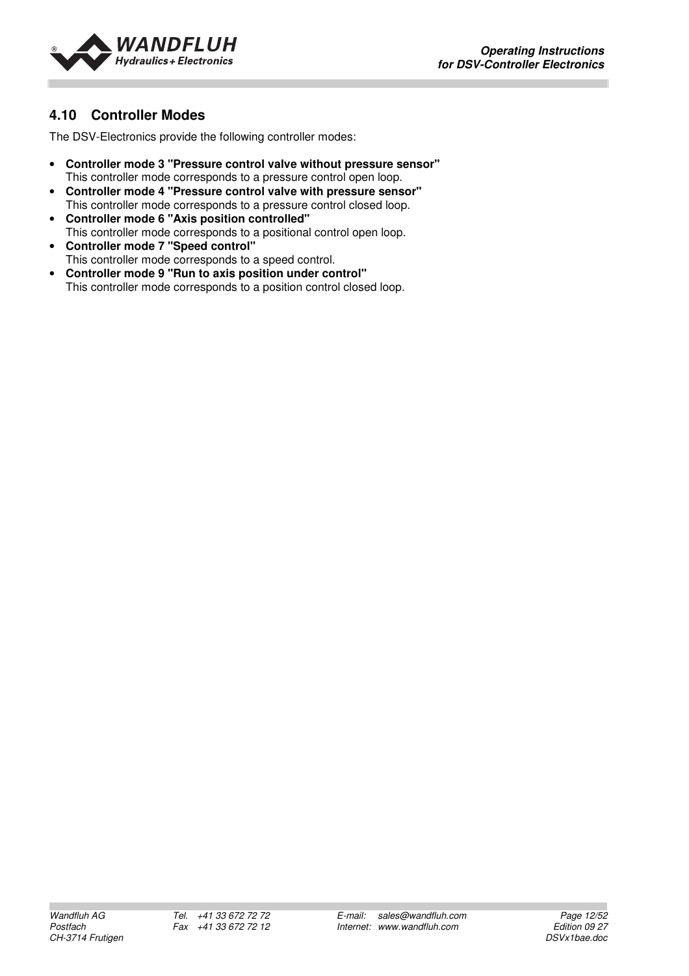

## **4.10 Controller Modes**

The DSV-Electronics provide the following controller modes:

- **Controller mode 3 "Pressure control valve without pressure sensor"** This controller mode corresponds to a pressure control open loop.
- **Controller mode 4 "Pressure control valve with pressure sensor"** This controller mode corresponds to a pressure control closed loop.
- **Controller mode 6 "Axis position controlled"** This controller mode corresponds to a positional control open loop.
- **Controller mode 7 "Speed control"** This controller mode corresponds to a speed control.
- **Controller mode 9 "Run to axis position under control"** This controller mode corresponds to a position control closed loop.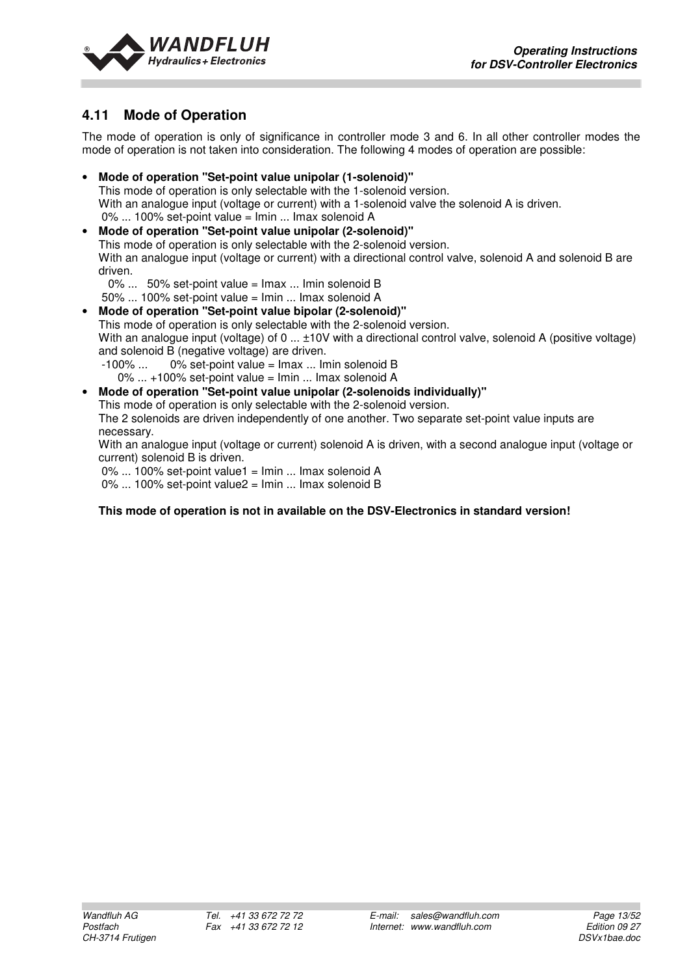



## **4.11 Mode of Operation**

The mode of operation is only of significance in controller mode 3 and 6. In all other controller modes the mode of operation is not taken into consideration. The following 4 modes of operation are possible:

• **Mode of operation "Set-point value unipolar (1-solenoid)"**  This mode of operation is only selectable with the 1-solenoid version. With an analogue input (voltage or current) with a 1-solenoid valve the solenoid A is driven. 0% ... 100% set-point value = Imin ... Imax solenoid A • **Mode of operation "Set-point value unipolar (2-solenoid)"** 

This mode of operation is only selectable with the 2-solenoid version. With an analogue input (voltage or current) with a directional control valve, solenoid A and solenoid B are driven.

0% ... 50% set-point value = Imax ... Imin solenoid B

- 50% ... 100% set-point value = Imin ... Imax solenoid A • **Mode of operation "Set-point value bipolar (2-solenoid)"**  This mode of operation is only selectable with the 2-solenoid version. With an analogue input (voltage) of 0 ...  $\pm 10V$  with a directional control valve, solenoid A (positive voltage) and solenoid B (negative voltage) are driven.
	- $-100\%$  ... 0% set-point value =  $\text{Imax}$  ... Imin solenoid B 0% ... +100% set-point value = Imin ... Imax solenoid A
- **Mode of operation "Set-point value unipolar (2-solenoids individually)"**  This mode of operation is only selectable with the 2-solenoid version. The 2 solenoids are driven independently of one another. Two separate set-point value inputs are necessary. With an analogue input (voltage or current) solenoid A is driven, with a second analogue input (voltage or current) solenoid B is driven. 0% ... 100% set-point value1 = Imin ... Imax solenoid A 0% ... 100% set-point value2 = Imin ... Imax solenoid B

#### **This mode of operation is not in available on the DSV-Electronics in standard version!**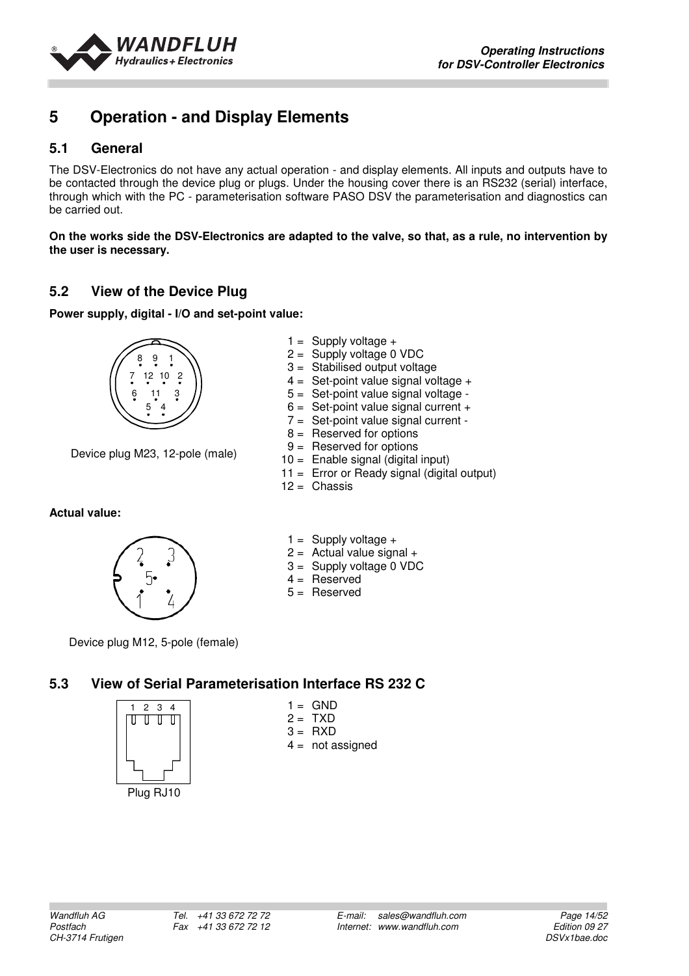

## **5 Operation - and Display Elements**

## **5.1 General**

The DSV-Electronics do not have any actual operation - and display elements. All inputs and outputs have to be contacted through the device plug or plugs. Under the housing cover there is an RS232 (serial) interface, through which with the PC - parameterisation software PASO DSV the parameterisation and diagnostics can be carried out.

**On the works side the DSV-Electronics are adapted to the valve, so that, as a rule, no intervention by the user is necessary.**

> $1 =$  Supply voltage  $+$  $2 =$  Supply voltage 0 VDC 3 = Stabilised output voltage  $4 =$  Set-point value signal voltage  $+$  5 = Set-point value signal voltage -  $6 =$  Set-point value signal current  $+$ 7 = Set-point value signal current -

## **5.2 View of the Device Plug**

**Power supply, digital - I/O and set-point value:** 



Device plug M23, 12-pole (male)

**Actual value:** 



 $1 =$  Supply voltage  $+$ 

 $2 =$  Actual value signal  $+$ 

 $8 =$  Reserved for options 9 = Reserved for options 10 = Enable signal (digital input)

11 = Error or Ready signal (digital output)

- 3 = Supply voltage 0 VDC
- $4 =$  Reserved

 $12 =$ Chassis

 $5 =$ Reserved

Device plug M12, 5-pole (female)

## **5.3 View of Serial Parameterisation Interface RS 232 C**



- $1 =$  GND  $2 = TXD$  $3 = RXD$
- $4 =$  not assigned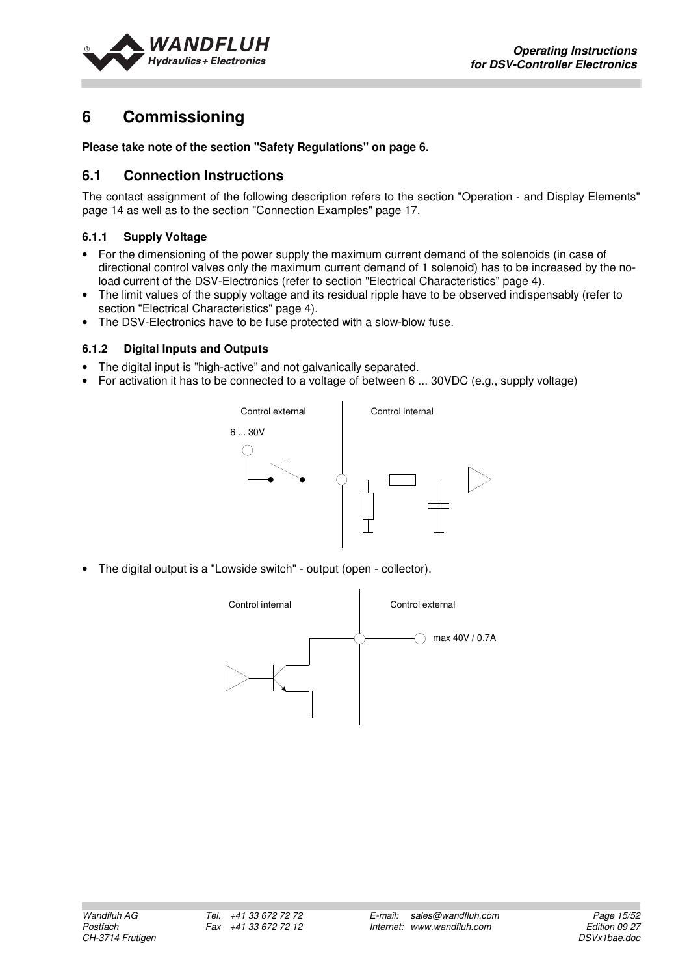

## **6 Commissioning**

**Please take note of the section "Safety Regulations" on page 6.** 

## **6.1 Connection Instructions**

The contact assignment of the following description refers to the section "Operation - and Display Elements" page 14 as well as to the section "Connection Examples" page 17.

#### **6.1.1 Supply Voltage**

- For the dimensioning of the power supply the maximum current demand of the solenoids (in case of directional control valves only the maximum current demand of 1 solenoid) has to be increased by the noload current of the DSV-Electronics (refer to section "Electrical Characteristics" page 4).
- The limit values of the supply voltage and its residual ripple have to be observed indispensably (refer to section "Electrical Characteristics" page 4).
- The DSV-Electronics have to be fuse protected with a slow-blow fuse.

#### **6.1.2 Digital Inputs and Outputs**

- The digital input is "high-active" and not galvanically separated.
- For activation it has to be connected to a voltage of between 6 ... 30VDC (e.g., supply voltage)



• The digital output is a "Lowside switch" - output (open - collector).

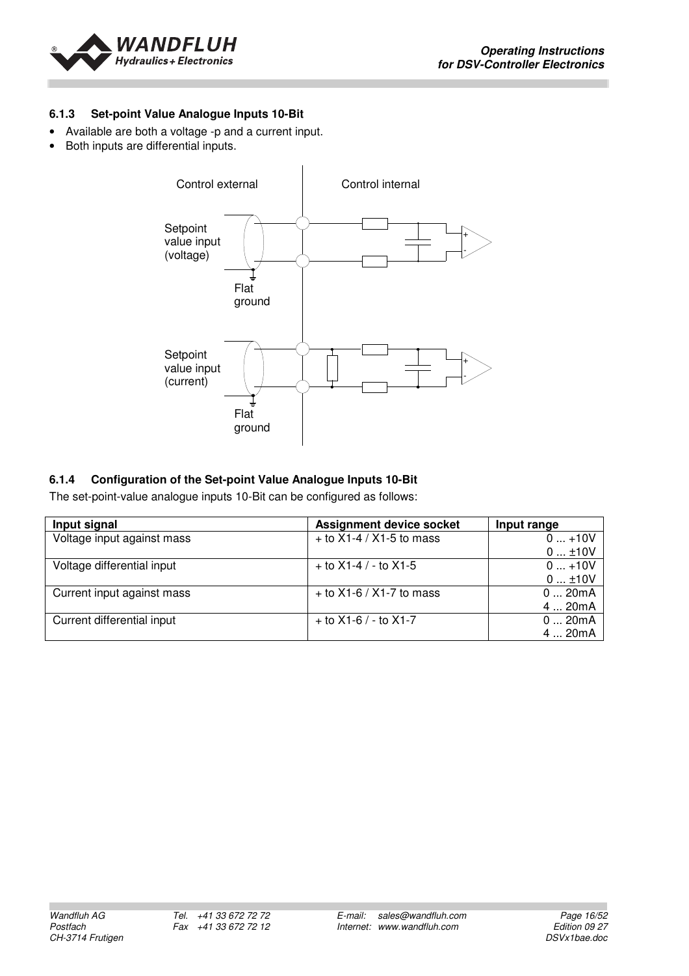

#### **6.1.3 Set-point Value Analogue Inputs 10-Bit**

- Available are both a voltage -p and a current input.
- Both inputs are differential inputs.



#### **6.1.4 Configuration of the Set-point Value Analogue Inputs 10-Bit**

The set-point-value analogue inputs 10-Bit can be configured as follows:

| Input signal               | <b>Assignment device socket</b> | Input range |
|----------------------------|---------------------------------|-------------|
| Voltage input against mass | $+$ to X1-4 / X1-5 to mass      | $0+10V$     |
|                            |                                 | 010V        |
| Voltage differential input | $+$ to X1-4 / - to X1-5         | $0+10V$     |
|                            |                                 | $0$ ±10V    |
| Current input against mass | + to $X1-6 / X1-7$ to mass      | 020mA       |
|                            |                                 | 4  20mA     |
| Current differential input | $+$ to X1-6 / - to X1-7         | 020mA       |
|                            |                                 | 4  20mA     |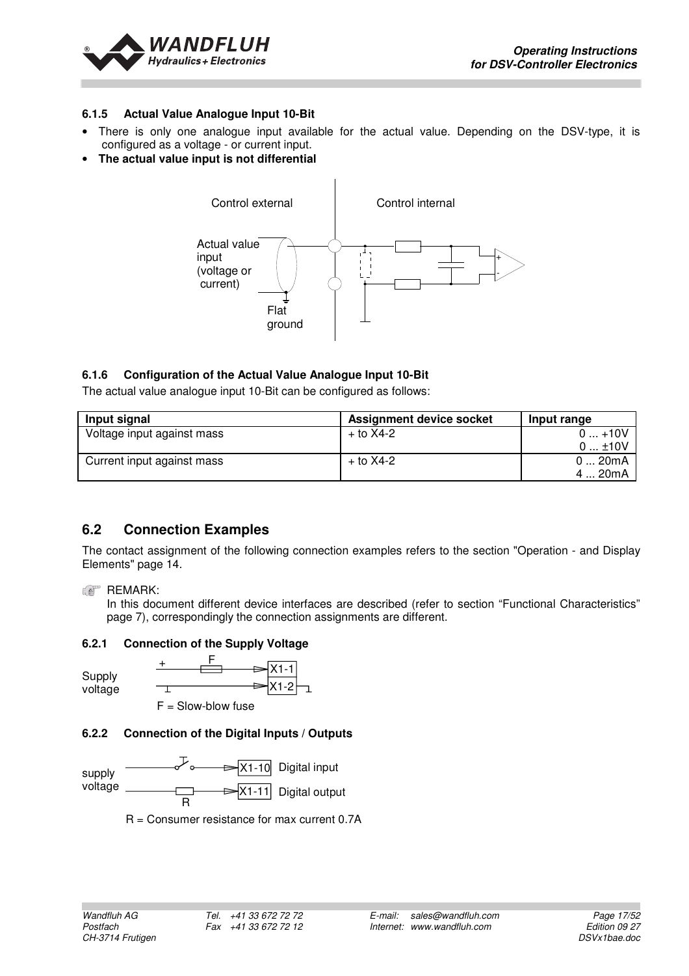

#### **6.1.5 Actual Value Analogue Input 10-Bit**

- There is only one analogue input available for the actual value. Depending on the DSV-type, it is configured as a voltage - or current input.
- **The actual value input is not differential**



#### **6.1.6 Configuration of the Actual Value Analogue Input 10-Bit**

The actual value analogue input 10-Bit can be configured as follows:

| Input signal               | <b>Assignment device socket</b> | Input range |
|----------------------------|---------------------------------|-------------|
| Voltage input against mass | $+$ to X4-2                     | $0+10V$     |
|                            |                                 | $0$ ±10V    |
| Current input against mass | $+$ to $X4-2$                   | 020mA       |
|                            |                                 | 4  20mA     |

## **6.2 Connection Examples**

The contact assignment of the following connection examples refers to the section "Operation - and Display Elements" page 14.

T.

#### **REMARK:**

In this document different device interfaces are described (refer to section "Functional Characteristics" page 7), correspondingly the connection assignments are different.

#### **6.2.1 Connection of the Supply Voltage**



X1-1 X1-2 + F  $F =$ Slow-blow fuse

## **6.2.2 Connection of the Digital Inputs / Outputs**



R = Consumer resistance for max current 0.7A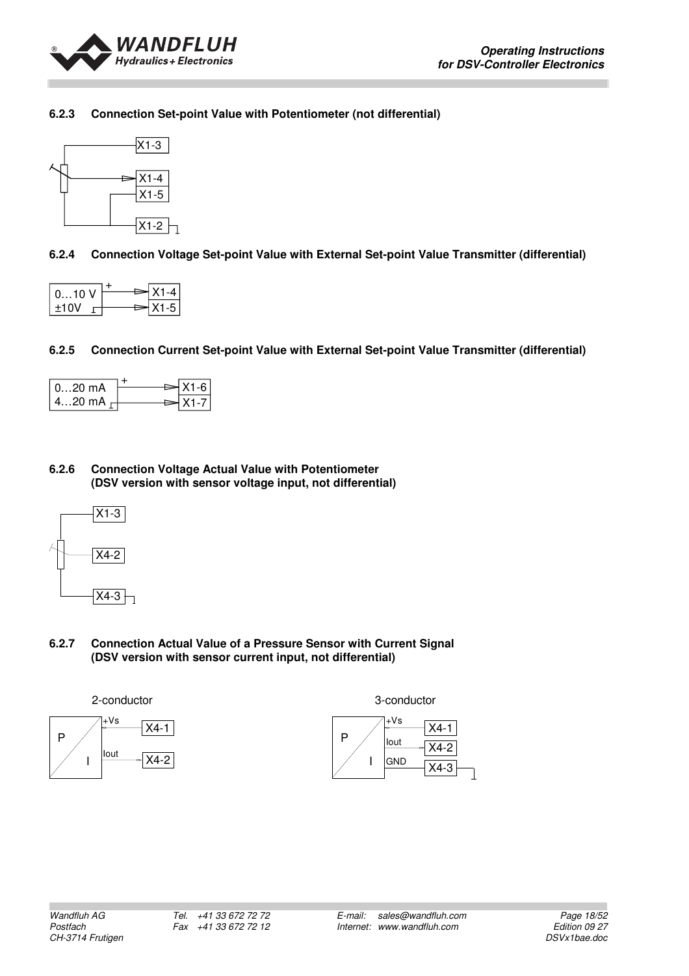

#### **6.2.3 Connection Set-point Value with Potentiometer (not differential)**



#### **6.2.4 Connection Voltage Set-point Value with External Set-point Value Transmitter (differential)**

| $010$ V |  | $X1 - 4$  |
|---------|--|-----------|
| $+10V$  |  | $X1 - 51$ |

#### **6.2.5 Connection Current Set-point Value with External Set-point Value Transmitter (differential)**

| $020$ mA        | l X1-6 l |
|-----------------|----------|
| 420 mA $\vdash$ | $X1 - 7$ |

#### **6.2.6 Connection Voltage Actual Value with Potentiometer (DSV version with sensor voltage input, not differential)**



#### **6.2.7 Connection Actual Value of a Pressure Sensor with Current Signal (DSV version with sensor current input, not differential)**





3-conductor

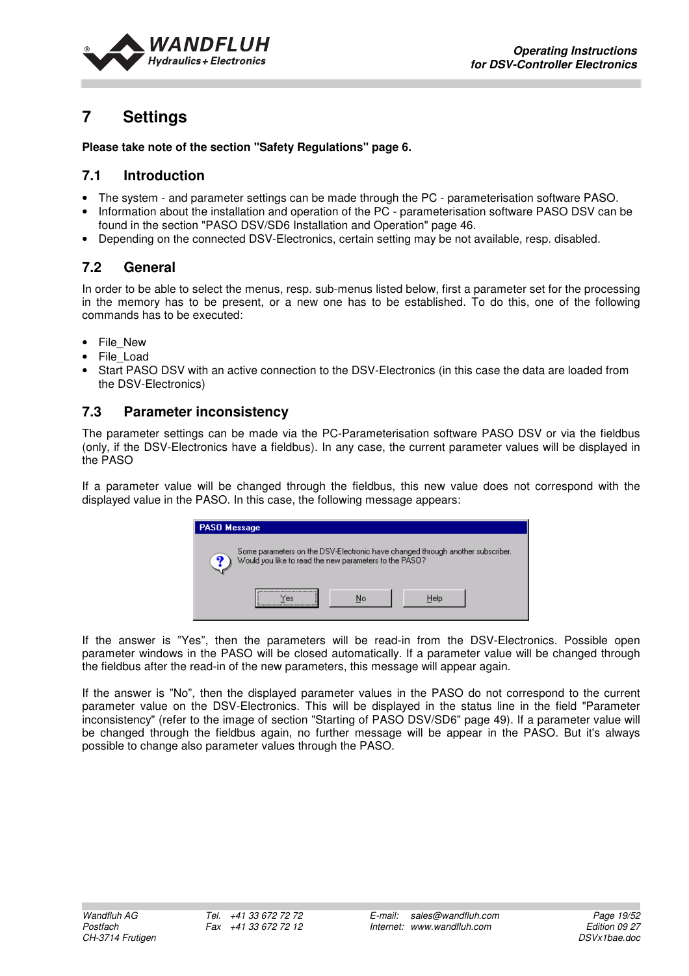

## **7 Settings**

#### **Please take note of the section "Safety Regulations" page 6.**

### **7.1 Introduction**

- The system and parameter settings can be made through the PC parameterisation software PASO.
- Information about the installation and operation of the PC parameterisation software PASO DSV can be found in the section "PASO DSV/SD6 Installation and Operation" page 46.
- Depending on the connected DSV-Electronics, certain setting may be not available, resp. disabled.

## **7.2 General**

In order to be able to select the menus, resp. sub-menus listed below, first a parameter set for the processing in the memory has to be present, or a new one has to be established. To do this, one of the following commands has to be executed:

- File\_New
- File\_Load
- Start PASO DSV with an active connection to the DSV-Electronics (in this case the data are loaded from the DSV-Electronics)

## **7.3 Parameter inconsistency**

The parameter settings can be made via the PC-Parameterisation software PASO DSV or via the fieldbus (only, if the DSV-Electronics have a fieldbus). In any case, the current parameter values will be displayed in the PASO

If a parameter value will be changed through the fieldbus, this new value does not correspond with the displayed value in the PASO. In this case, the following message appears:

| <b>PASO Message</b>                                                                                                                           |
|-----------------------------------------------------------------------------------------------------------------------------------------------|
| Some parameters on the DSV-Electronic have changed through another subscriber.<br>q<br>Would you like to read the new parameters to the PASO? |
| Help<br>No<br>`es                                                                                                                             |

If the answer is "Yes", then the parameters will be read-in from the DSV-Electronics. Possible open parameter windows in the PASO will be closed automatically. If a parameter value will be changed through the fieldbus after the read-in of the new parameters, this message will appear again.

If the answer is "No", then the displayed parameter values in the PASO do not correspond to the current parameter value on the DSV-Electronics. This will be displayed in the status line in the field "Parameter inconsistency" (refer to the image of section "Starting of PASO DSV/SD6" page 49). If a parameter value will be changed through the fieldbus again, no further message will be appear in the PASO. But it's always possible to change also parameter values through the PASO.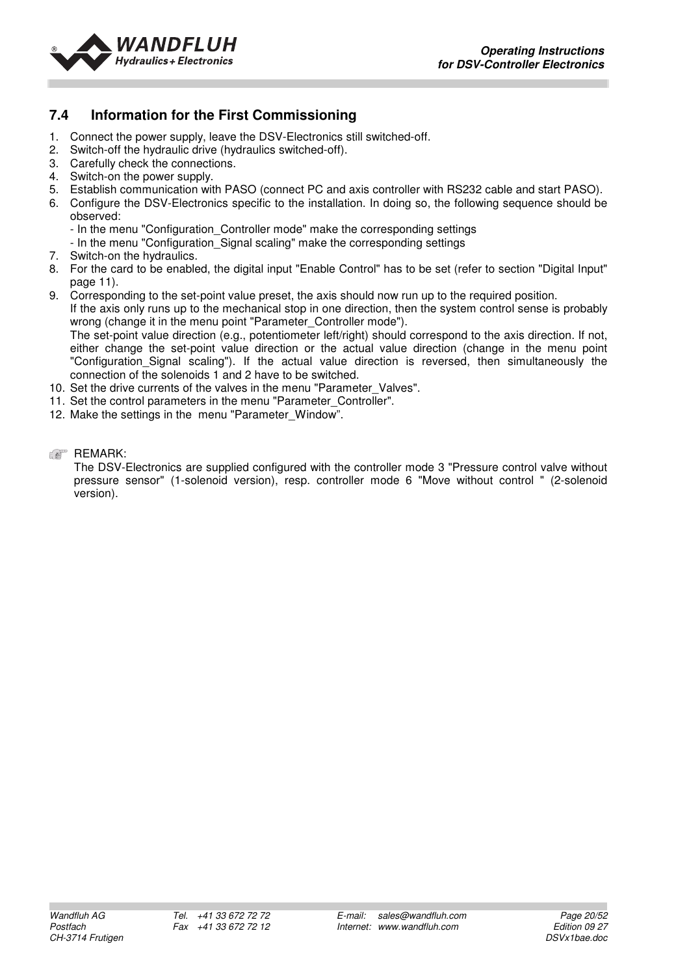

## **7.4 Information for the First Commissioning**

- 1. Connect the power supply, leave the DSV-Electronics still switched-off.
- 2. Switch-off the hydraulic drive (hydraulics switched-off).
- 3. Carefully check the connections.
- 4. Switch-on the power supply.
- 5. Establish communication with PASO (connect PC and axis controller with RS232 cable and start PASO).
- 6. Configure the DSV-Electronics specific to the installation. In doing so, the following sequence should be observed:
	- In the menu "Configuration\_Controller mode" make the corresponding settings
	- In the menu "Configuration\_Signal scaling" make the corresponding settings
- 7. Switch-on the hydraulics.
- 8. For the card to be enabled, the digital input "Enable Control" has to be set (refer to section "Digital Input" page 11).
- 9. Corresponding to the set-point value preset, the axis should now run up to the required position. If the axis only runs up to the mechanical stop in one direction, then the system control sense is probably wrong (change it in the menu point "Parameter Controller mode"). The set-point value direction (e.g., potentiometer left/right) should correspond to the axis direction. If not, either change the set-point value direction or the actual value direction (change in the menu point "Configuration\_Signal scaling"). If the actual value direction is reversed, then simultaneously the connection of the solenoids 1 and 2 have to be switched.
- 10. Set the drive currents of the valves in the menu "Parameter Valves".
- 11. Set the control parameters in the menu "Parameter\_Controller".
- 12. Make the settings in the menu "Parameter Window".
- **REMARK:**

The DSV-Electronics are supplied configured with the controller mode 3 "Pressure control valve without pressure sensor" (1-solenoid version), resp. controller mode 6 "Move without control " (2-solenoid version).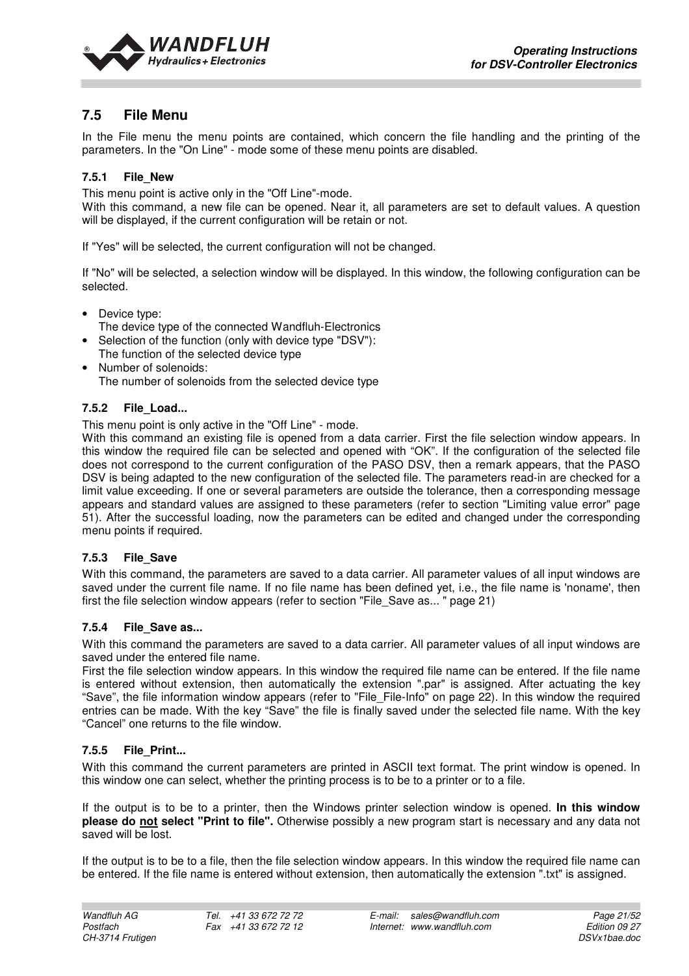

## **7.5 File Menu**

In the File menu the menu points are contained, which concern the file handling and the printing of the parameters. In the "On Line" - mode some of these menu points are disabled.

#### **7.5.1 File\_New**

This menu point is active only in the "Off Line"-mode.

With this command, a new file can be opened. Near it, all parameters are set to default values. A question will be displayed, if the current configuration will be retain or not.

If "Yes" will be selected, the current configuration will not be changed.

If "No" will be selected, a selection window will be displayed. In this window, the following configuration can be selected.

- Device type:
	- The device type of the connected Wandfluh-Electronics
- Selection of the function (only with device type "DSV"): The function of the selected device type
- Number of solenoids: The number of solenoids from the selected device type

#### **7.5.2 File\_Load...**

This menu point is only active in the "Off Line" - mode.

With this command an existing file is opened from a data carrier. First the file selection window appears. In this window the required file can be selected and opened with "OK". If the configuration of the selected file does not correspond to the current configuration of the PASO DSV, then a remark appears, that the PASO DSV is being adapted to the new configuration of the selected file. The parameters read-in are checked for a limit value exceeding. If one or several parameters are outside the tolerance, then a corresponding message appears and standard values are assigned to these parameters (refer to section "Limiting value error" page 51). After the successful loading, now the parameters can be edited and changed under the corresponding menu points if required.

#### **7.5.3 File\_Save**

With this command, the parameters are saved to a data carrier. All parameter values of all input windows are saved under the current file name. If no file name has been defined yet, i.e., the file name is 'noname', then first the file selection window appears (refer to section "File\_Save as... " page 21)

#### **7.5.4 File\_Save as...**

With this command the parameters are saved to a data carrier. All parameter values of all input windows are saved under the entered file name.

First the file selection window appears. In this window the required file name can be entered. If the file name is entered without extension, then automatically the extension ".par" is assigned. After actuating the key "Save", the file information window appears (refer to "File\_File-Info" on page 22). In this window the required entries can be made. With the key "Save" the file is finally saved under the selected file name. With the key "Cancel" one returns to the file window.

#### **7.5.5 File\_Print...**

With this command the current parameters are printed in ASCII text format. The print window is opened. In this window one can select, whether the printing process is to be to a printer or to a file.

If the output is to be to a printer, then the Windows printer selection window is opened. **In this window please do not select "Print to file".** Otherwise possibly a new program start is necessary and any data not saved will be lost.

If the output is to be to a file, then the file selection window appears. In this window the required file name can be entered. If the file name is entered without extension, then automatically the extension ".txt" is assigned.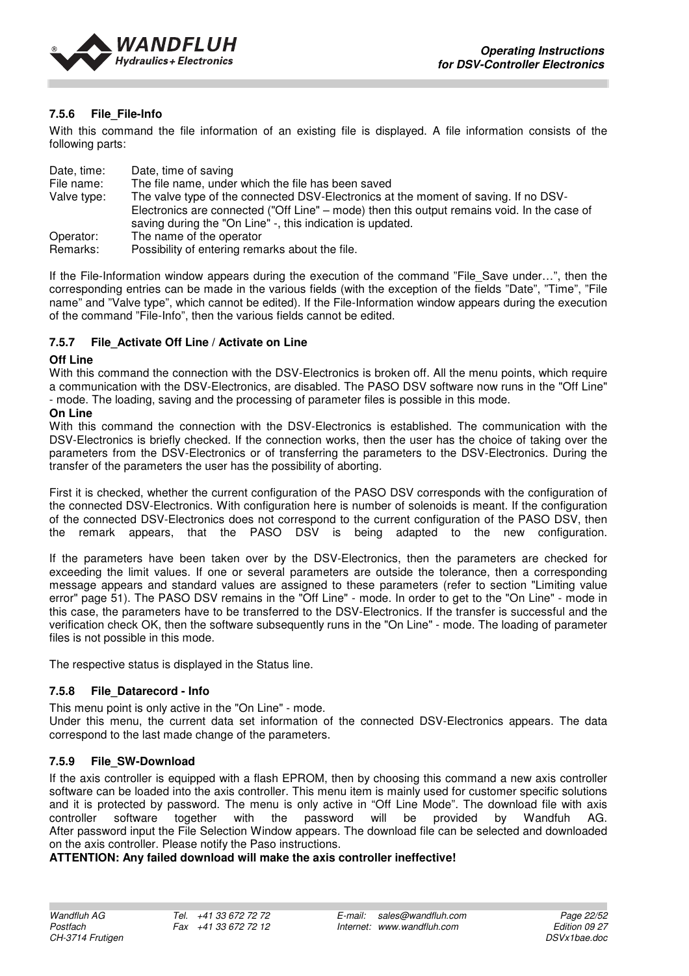

#### **7.5.6 File\_File-Info**

With this command the file information of an existing file is displayed. A file information consists of the following parts:

| Date, time: | Date, time of saving                                                                        |
|-------------|---------------------------------------------------------------------------------------------|
| File name:  | The file name, under which the file has been saved                                          |
| Valve type: | The valve type of the connected DSV-Electronics at the moment of saving. If no DSV-         |
|             | Electronics are connected ("Off Line" – mode) then this output remains void. In the case of |
|             | saving during the "On Line" -, this indication is updated.                                  |
| Operator:   | The name of the operator                                                                    |
| Remarks:    | Possibility of entering remarks about the file.                                             |

If the File-Information window appears during the execution of the command "File Save under...", then the corresponding entries can be made in the various fields (with the exception of the fields "Date", "Time", "File name" and "Valve type", which cannot be edited). If the File-Information window appears during the execution of the command "File-Info", then the various fields cannot be edited.

#### **7.5.7 File\_Activate Off Line / Activate on Line**

#### **Off Line**

With this command the connection with the DSV-Electronics is broken off. All the menu points, which require a communication with the DSV-Electronics, are disabled. The PASO DSV software now runs in the "Off Line" - mode. The loading, saving and the processing of parameter files is possible in this mode.

#### **On Line**

With this command the connection with the DSV-Electronics is established. The communication with the DSV-Electronics is briefly checked. If the connection works, then the user has the choice of taking over the parameters from the DSV-Electronics or of transferring the parameters to the DSV-Electronics. During the transfer of the parameters the user has the possibility of aborting.

First it is checked, whether the current configuration of the PASO DSV corresponds with the configuration of the connected DSV-Electronics. With configuration here is number of solenoids is meant. If the configuration of the connected DSV-Electronics does not correspond to the current configuration of the PASO DSV, then the remark appears, that the PASO DSV is being adapted to the new configuration.

If the parameters have been taken over by the DSV-Electronics, then the parameters are checked for exceeding the limit values. If one or several parameters are outside the tolerance, then a corresponding message appears and standard values are assigned to these parameters (refer to section "Limiting value error" page 51). The PASO DSV remains in the "Off Line" - mode. In order to get to the "On Line" - mode in this case, the parameters have to be transferred to the DSV-Electronics. If the transfer is successful and the verification check OK, then the software subsequently runs in the "On Line" - mode. The loading of parameter files is not possible in this mode.

The respective status is displayed in the Status line.

#### **7.5.8 File\_Datarecord - Info**

This menu point is only active in the "On Line" - mode.

Under this menu, the current data set information of the connected DSV-Electronics appears. The data correspond to the last made change of the parameters.

#### **7.5.9 File\_SW-Download**

If the axis controller is equipped with a flash EPROM, then by choosing this command a new axis controller software can be loaded into the axis controller. This menu item is mainly used for customer specific solutions and it is protected by password. The menu is only active in "Off Line Mode". The download file with axis controller software together with the password will be provided by Wandfuh AG. After password input the File Selection Window appears. The download file can be selected and downloaded on the axis controller. Please notify the Paso instructions.

#### **ATTENTION: Any failed download will make the axis controller ineffective!**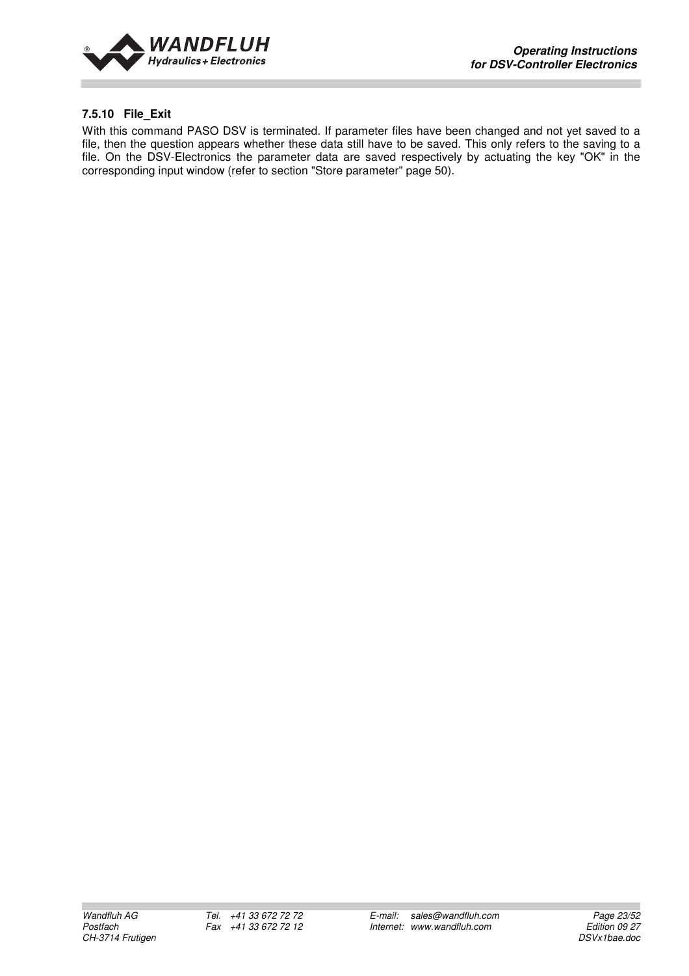

#### **7.5.10 File\_Exit**

With this command PASO DSV is terminated. If parameter files have been changed and not yet saved to a file, then the question appears whether these data still have to be saved. This only refers to the saving to a file. On the DSV-Electronics the parameter data are saved respectively by actuating the key "OK" in the corresponding input window (refer to section "Store parameter" page 50).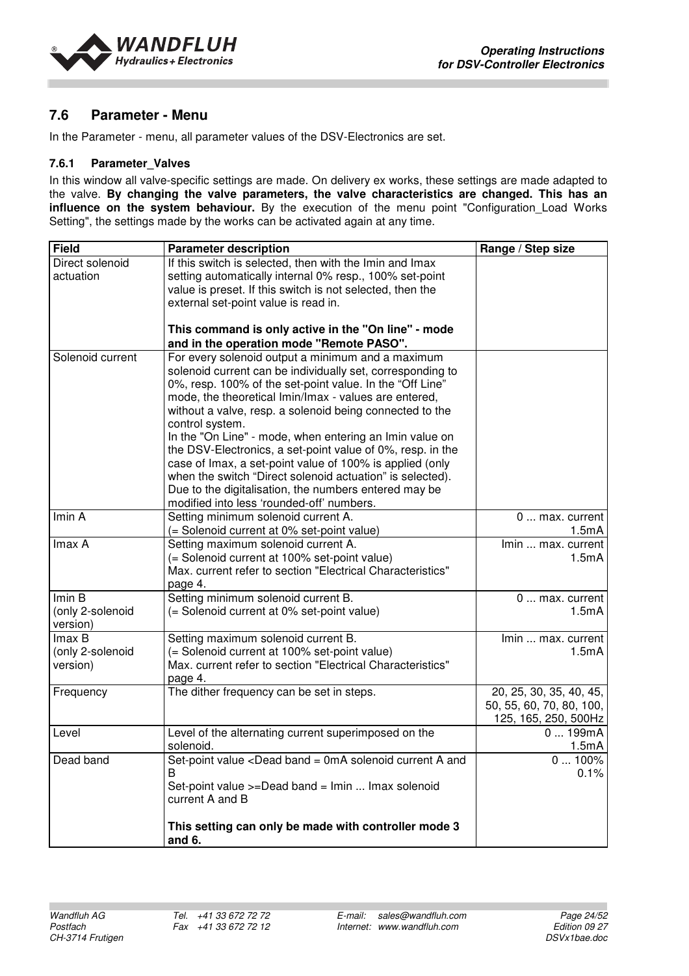



## **7.6 Parameter - Menu**

In the Parameter - menu, all parameter values of the DSV-Electronics are set.

#### **7.6.1 Parameter\_Valves**

In this window all valve-specific settings are made. On delivery ex works, these settings are made adapted to the valve. **By changing the valve parameters, the valve characteristics are changed. This has an influence on the system behaviour.** By the execution of the menu point "Configuration\_Load Works Setting", the settings made by the works can be activated again at any time.

| <b>Field</b>                           | <b>Parameter description</b>                                                                                                                                                                                                                                                                                                                                                                                                                                                                                                                                                                                                                                                | Range / Step size                                                           |
|----------------------------------------|-----------------------------------------------------------------------------------------------------------------------------------------------------------------------------------------------------------------------------------------------------------------------------------------------------------------------------------------------------------------------------------------------------------------------------------------------------------------------------------------------------------------------------------------------------------------------------------------------------------------------------------------------------------------------------|-----------------------------------------------------------------------------|
| Direct solenoid<br>actuation           | If this switch is selected, then with the Imin and Imax<br>setting automatically internal 0% resp., 100% set-point<br>value is preset. If this switch is not selected, then the<br>external set-point value is read in.                                                                                                                                                                                                                                                                                                                                                                                                                                                     |                                                                             |
|                                        | This command is only active in the "On line" - mode<br>and in the operation mode "Remote PASO".                                                                                                                                                                                                                                                                                                                                                                                                                                                                                                                                                                             |                                                                             |
| Solenoid current                       | For every solenoid output a minimum and a maximum<br>solenoid current can be individually set, corresponding to<br>0%, resp. 100% of the set-point value. In the "Off Line"<br>mode, the theoretical Imin/Imax - values are entered,<br>without a valve, resp. a solenoid being connected to the<br>control system.<br>In the "On Line" - mode, when entering an Imin value on<br>the DSV-Electronics, a set-point value of 0%, resp. in the<br>case of Imax, a set-point value of 100% is applied (only<br>when the switch "Direct solenoid actuation" is selected).<br>Due to the digitalisation, the numbers entered may be<br>modified into less 'rounded-off' numbers. |                                                                             |
| Imin A                                 | Setting minimum solenoid current A.<br>(= Solenoid current at 0% set-point value)                                                                                                                                                                                                                                                                                                                                                                                                                                                                                                                                                                                           | 0  max. current<br>1.5 <sub>m</sub> A                                       |
| Imax A                                 | Setting maximum solenoid current A.<br>(= Solenoid current at 100% set-point value)<br>Max. current refer to section "Electrical Characteristics"<br>page 4.                                                                                                                                                                                                                                                                                                                                                                                                                                                                                                                | Imin  max. current<br>1.5mA                                                 |
| Imin B<br>(only 2-solenoid<br>version) | Setting minimum solenoid current B.<br>(= Solenoid current at 0% set-point value)                                                                                                                                                                                                                                                                                                                                                                                                                                                                                                                                                                                           | 0  max. current<br>1.5mA                                                    |
| Imax B<br>(only 2-solenoid<br>version) | Setting maximum solenoid current B.<br>(= Solenoid current at 100% set-point value)<br>Max. current refer to section "Electrical Characteristics"<br>page 4.                                                                                                                                                                                                                                                                                                                                                                                                                                                                                                                | Imin  max. current<br>1.5mA                                                 |
| Frequency                              | The dither frequency can be set in steps.                                                                                                                                                                                                                                                                                                                                                                                                                                                                                                                                                                                                                                   | 20, 25, 30, 35, 40, 45,<br>50, 55, 60, 70, 80, 100,<br>125, 165, 250, 500Hz |
| Level                                  | Level of the alternating current superimposed on the<br>solenoid.                                                                                                                                                                                                                                                                                                                                                                                                                                                                                                                                                                                                           | 0199mA<br>1.5mA                                                             |
| Dead band                              | Set-point value <dead a="" and<br="" band="0mA" current="" solenoid="">B<br/>Set-point value &gt;=Dead band = Imin  Imax solenoid<br/>current A and B</dead>                                                                                                                                                                                                                                                                                                                                                                                                                                                                                                                | $0100\%$<br>0.1%                                                            |
|                                        | This setting can only be made with controller mode 3<br>and 6.                                                                                                                                                                                                                                                                                                                                                                                                                                                                                                                                                                                                              |                                                                             |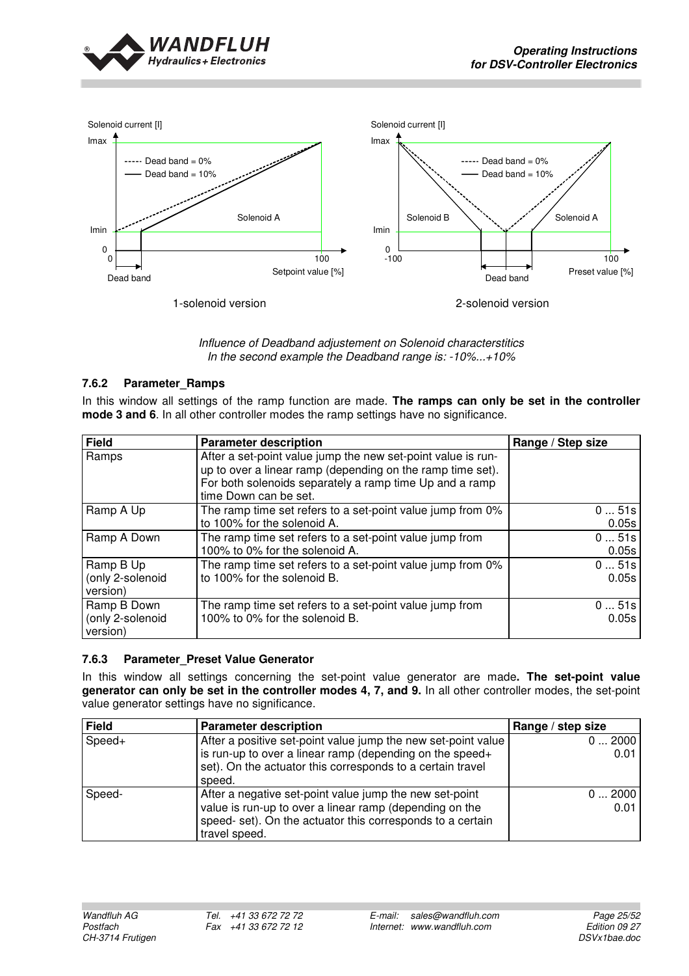



Influence of Deadband adjustement on Solenoid characterstitics In the second example the Deadband range is: -10%...+10%

#### **7.6.2 Parameter\_Ramps**

In this window all settings of the ramp function are made. The ramps can only be set in the controller **mode 3 and 6**. In all other controller modes the ramp settings have no significance.

| <b>Field</b>                                | <b>Parameter description</b>                                                                                                                                                                                   | Range / Step size |
|---------------------------------------------|----------------------------------------------------------------------------------------------------------------------------------------------------------------------------------------------------------------|-------------------|
| Ramps                                       | After a set-point value jump the new set-point value is run-<br>up to over a linear ramp (depending on the ramp time set).<br>For both solenoids separately a ramp time Up and a ramp<br>time Down can be set. |                   |
| Ramp A Up                                   | The ramp time set refers to a set-point value jump from 0%<br>to 100% for the solenoid A.                                                                                                                      | 051s<br>0.05s     |
| Ramp A Down                                 | The ramp time set refers to a set-point value jump from<br>100% to 0% for the solenoid A.                                                                                                                      | 051s<br>0.05s     |
| Ramp B Up<br>(only 2-solenoid<br>version)   | The ramp time set refers to a set-point value jump from 0%<br>to 100% for the solenoid B.                                                                                                                      | 051s<br>0.05s     |
| Ramp B Down<br>(only 2-solenoid<br>version) | The ramp time set refers to a set-point value jump from<br>100% to 0% for the solenoid B.                                                                                                                      | 051s<br>0.05s     |

#### **7.6.3 Parameter\_Preset Value Generator**

In this window all settings concerning the set-point value generator are made**. The set-point value generator can only be set in the controller modes 4, 7, and 9.** In all other controller modes, the set-point value generator settings have no significance.

| Field  | <b>Parameter description</b>                                  | Range / step size |
|--------|---------------------------------------------------------------|-------------------|
| Speed+ | After a positive set-point value jump the new set-point value | 02000             |
|        | is run-up to over a linear ramp (depending on the speed+      | 0.01              |
|        | set). On the actuator this corresponds to a certain travel    |                   |
|        | speed.                                                        |                   |
| Speed- | After a negative set-point value jump the new set-point       | 02000             |
|        | value is run-up to over a linear ramp (depending on the       | 0.01              |
|        | speed- set). On the actuator this corresponds to a certain    |                   |
|        | travel speed.                                                 |                   |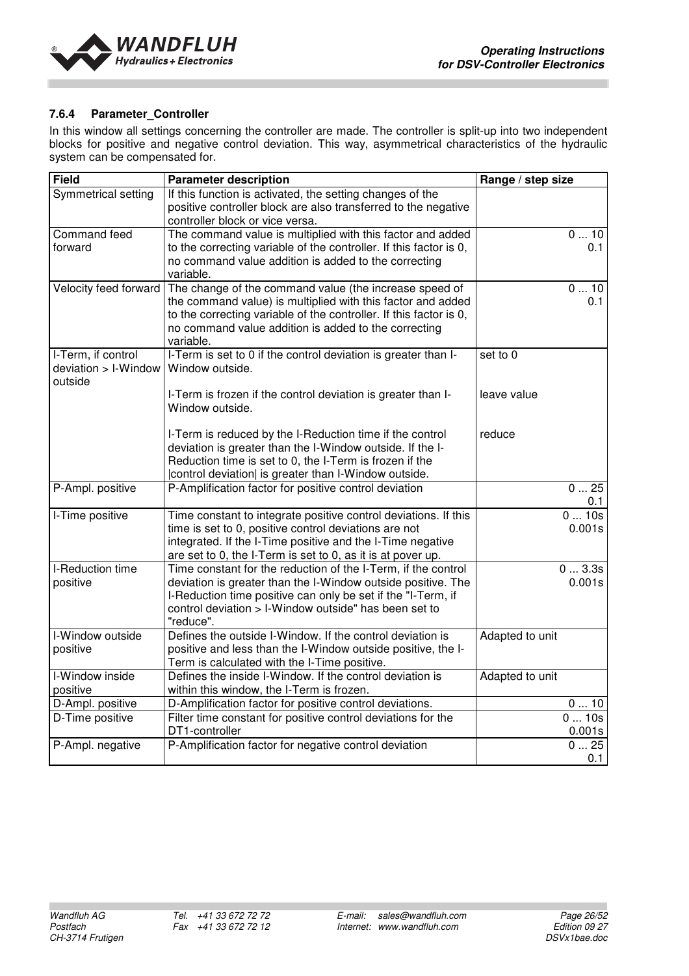

#### **7.6.4 Parameter\_Controller**

In this window all settings concerning the controller are made. The controller is split-up into two independent blocks for positive and negative control deviation. This way, asymmetrical characteristics of the hydraulic system can be compensated for.

| <b>Field</b>          | <b>Parameter description</b>                                                    | Range / step size |
|-----------------------|---------------------------------------------------------------------------------|-------------------|
| Symmetrical setting   | If this function is activated, the setting changes of the                       |                   |
|                       | positive controller block are also transferred to the negative                  |                   |
|                       | controller block or vice versa.                                                 |                   |
| Command feed          | The command value is multiplied with this factor and added                      | 010               |
| forward               | to the correcting variable of the controller. If this factor is 0,              | 0.1               |
|                       | no command value addition is added to the correcting                            |                   |
|                       | variable.                                                                       |                   |
| Velocity feed forward | The change of the command value (the increase speed of                          | 010               |
|                       | the command value) is multiplied with this factor and added                     | 0.1               |
|                       | to the correcting variable of the controller. If this factor is 0,              |                   |
|                       | no command value addition is added to the correcting                            |                   |
|                       | variable.                                                                       |                   |
| I-Term, if control    | I-Term is set to 0 if the control deviation is greater than I-                  | set to 0          |
| deviation > I-Window  | Window outside.                                                                 |                   |
| outside               |                                                                                 |                   |
|                       | I-Term is frozen if the control deviation is greater than I-<br>Window outside. | leave value       |
|                       |                                                                                 |                   |
|                       | I-Term is reduced by the I-Reduction time if the control                        | reduce            |
|                       | deviation is greater than the I-Window outside. If the I-                       |                   |
|                       | Reduction time is set to 0, the I-Term is frozen if the                         |                   |
|                       | control deviation  is greater than I-Window outside.                            |                   |
| P-Ampl. positive      | P-Amplification factor for positive control deviation                           | 025               |
|                       |                                                                                 | 0.1               |
| I-Time positive       | Time constant to integrate positive control deviations. If this                 | 010s              |
|                       | time is set to 0, positive control deviations are not                           | 0.001s            |
|                       | integrated. If the I-Time positive and the I-Time negative                      |                   |
|                       | are set to 0, the I-Term is set to 0, as it is at pover up.                     |                   |
| I-Reduction time      | Time constant for the reduction of the I-Term, if the control                   | 03.3s             |
| positive              | deviation is greater than the I-Window outside positive. The                    | 0.001s            |
|                       | I-Reduction time positive can only be set if the "I-Term, if                    |                   |
|                       | control deviation > I-Window outside" has been set to                           |                   |
|                       | "reduce".                                                                       |                   |
| I-Window outside      | Defines the outside I-Window. If the control deviation is                       | Adapted to unit   |
| positive              | positive and less than the I-Window outside positive, the I-                    |                   |
|                       | Term is calculated with the I-Time positive.                                    |                   |
| I-Window inside       | Defines the inside I-Window. If the control deviation is                        | Adapted to unit   |
| positive              | within this window, the I-Term is frozen.                                       |                   |
| D-Ampl. positive      | D-Amplification factor for positive control deviations.                         | 010               |
| D-Time positive       | Filter time constant for positive control deviations for the                    | 010s              |
|                       | DT1-controller                                                                  | 0.001s            |
| P-Ampl. negative      | P-Amplification factor for negative control deviation                           | 025               |
|                       |                                                                                 | 0.1               |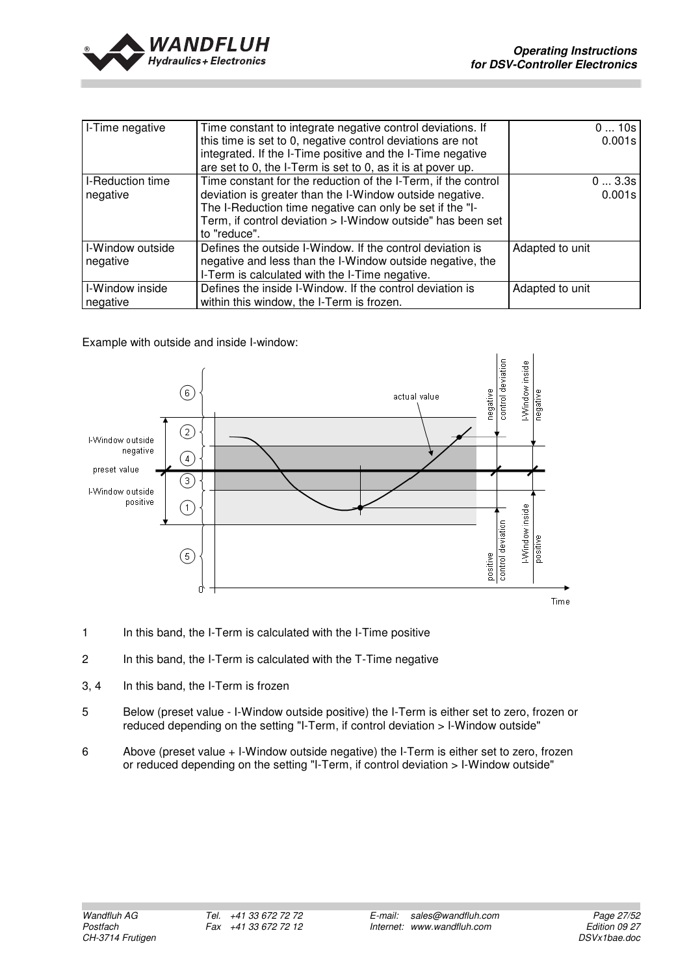

| I-Time negative  | Time constant to integrate negative control deviations. If    | 010s            |
|------------------|---------------------------------------------------------------|-----------------|
|                  | this time is set to 0, negative control deviations are not    | 0.001s          |
|                  | integrated. If the I-Time positive and the I-Time negative    |                 |
|                  | are set to 0, the I-Term is set to 0, as it is at pover up.   |                 |
| I-Reduction time | Time constant for the reduction of the I-Term, if the control | 03.3s           |
| negative         | deviation is greater than the I-Window outside negative.      | 0.001s          |
|                  | The I-Reduction time negative can only be set if the "I-      |                 |
|                  | Term, if control deviation > I-Window outside" has been set   |                 |
|                  | to "reduce".                                                  |                 |
| I-Window outside | Defines the outside I-Window. If the control deviation is     | Adapted to unit |
| negative         | negative and less than the I-Window outside negative, the     |                 |
|                  | I-Term is calculated with the I-Time negative.                |                 |
| I-Window inside  | Defines the inside I-Window. If the control deviation is      | Adapted to unit |
| negative         | within this window, the I-Term is frozen.                     |                 |

Example with outside and inside I-window:



- 1 In this band, the I-Term is calculated with the I-Time positive
- 2 In this band, the I-Term is calculated with the T-Time negative
- 3, 4 In this band, the I-Term is frozen
- 5 Below (preset value I-Window outside positive) the I-Term is either set to zero, frozen or reduced depending on the setting "I-Term, if control deviation > I-Window outside"
- 6 Above (preset value + I-Window outside negative) the I-Term is either set to zero, frozen or reduced depending on the setting "I-Term, if control deviation > I-Window outside"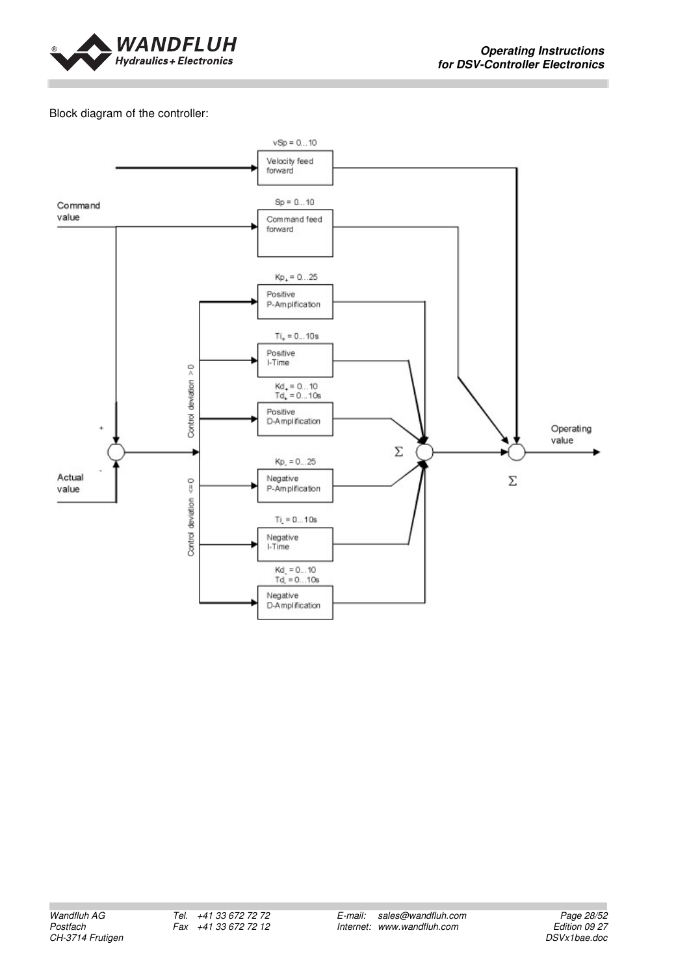

#### Block diagram of the controller:

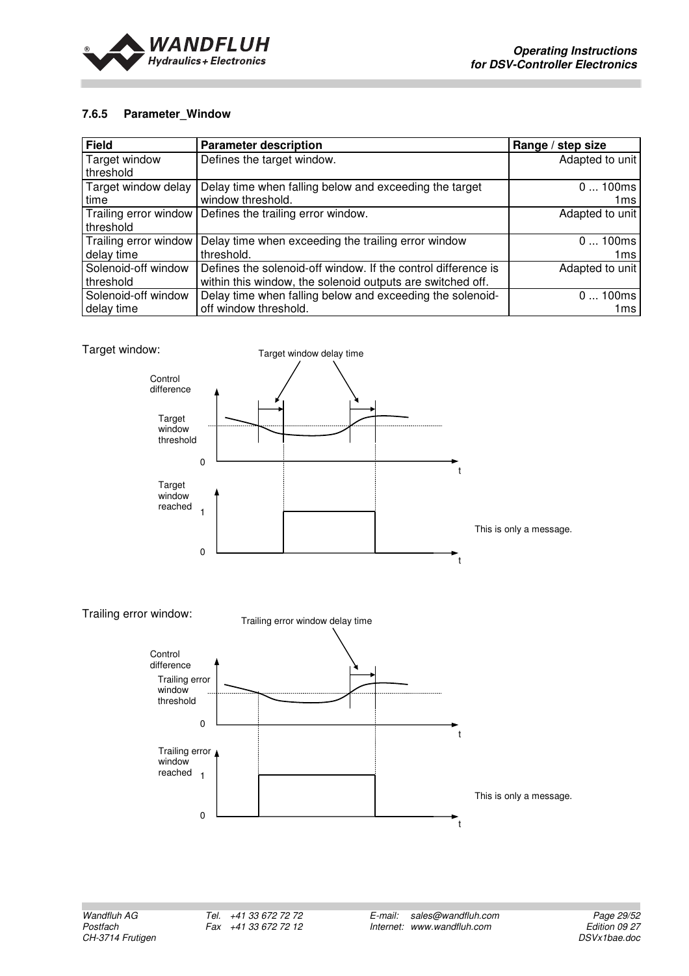

#### **7.6.5 Parameter\_Window**

| <b>Field</b>          | <b>Parameter description</b>                                  | Range / step size |
|-----------------------|---------------------------------------------------------------|-------------------|
| Target window         | Defines the target window.                                    | Adapted to unit   |
| threshold             |                                                               |                   |
| Target window delay   | Delay time when falling below and exceeding the target        | 0100ms            |
| time                  | window threshold.                                             | 1ms               |
| Trailing error window | Defines the trailing error window.                            | Adapted to unit   |
| threshold             |                                                               |                   |
| Trailing error window | Delay time when exceeding the trailing error window           | 0100ms            |
| delay time            | threshold.                                                    | 1ms               |
| Solenoid-off window   | Defines the solenoid-off window. If the control difference is | Adapted to unit   |
| threshold             | within this window, the solenoid outputs are switched off.    |                   |
| Solenoid-off window   | Delay time when falling below and exceeding the solenoid-     | 0100ms            |
| delay time            | off window threshold.                                         | 1ms               |



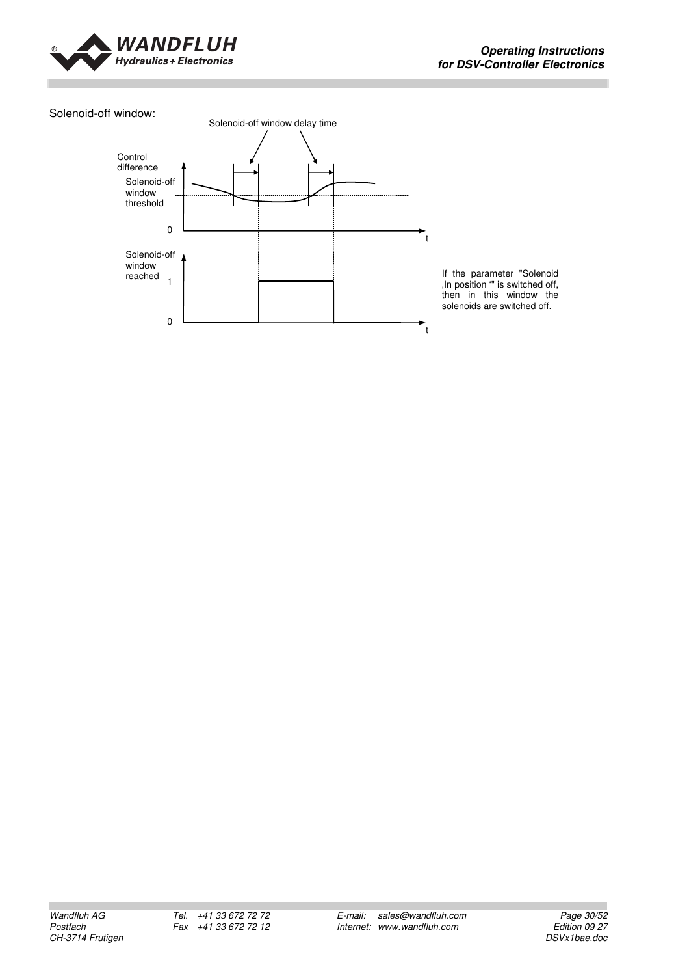

#### Solenoid-off window:



If the parameter "Solenoid , In position "" is switched off, then in this window the solenoids are switched off.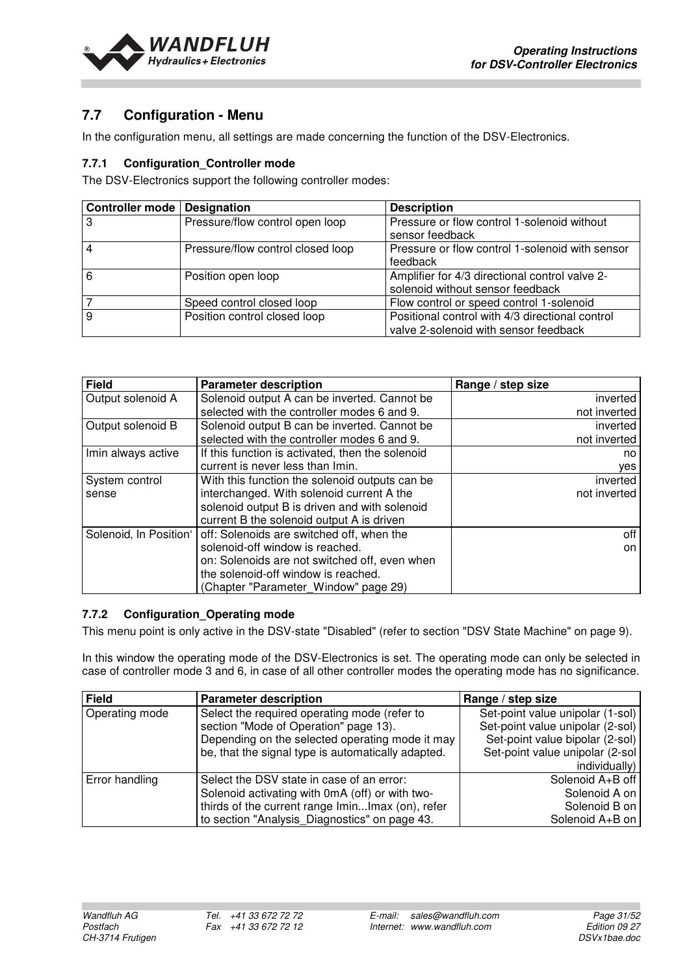

## **7.7 Configuration - Menu**

In the configuration menu, all settings are made concerning the function of the DSV-Electronics.

#### **7.7.1 Configuration\_Controller mode**

The DSV-Electronics support the following controller modes:

| <b>Controller mode   Designation</b> |                                   | <b>Description</b>                                                                       |
|--------------------------------------|-----------------------------------|------------------------------------------------------------------------------------------|
| 3                                    | Pressure/flow control open loop   | Pressure or flow control 1-solenoid without<br>sensor feedback                           |
|                                      | Pressure/flow control closed loop | Pressure or flow control 1-solenoid with sensor<br>feedback                              |
| 6                                    | Position open loop                | Amplifier for 4/3 directional control valve 2-<br>solenoid without sensor feedback       |
|                                      | Speed control closed loop         | Flow control or speed control 1-solenoid                                                 |
| 9                                    | Position control closed loop      | Positional control with 4/3 directional control<br>valve 2-solenoid with sensor feedback |

| <b>Field</b>           | <b>Parameter description</b>                     | Range / step size |
|------------------------|--------------------------------------------------|-------------------|
| Output solenoid A      | Solenoid output A can be inverted. Cannot be     | inverted          |
|                        | selected with the controller modes 6 and 9.      | not inverted      |
| Output solenoid B      | Solenoid output B can be inverted. Cannot be     | inverted          |
|                        | selected with the controller modes 6 and 9.      | not inverted      |
| Imin always active     | If this function is activated, then the solenoid | no                |
|                        | current is never less than Imin.                 | yes               |
| System control         | With this function the solenoid outputs can be   | inverted          |
| sense                  | interchanged. With solenoid current A the        | not inverted      |
|                        | solenoid output B is driven and with solenoid    |                   |
|                        | current B the solenoid output A is driven        |                   |
| Solenoid, In Position' | off: Solenoids are switched off, when the        | off               |
|                        | solenoid-off window is reached.                  | on                |
|                        | on: Solenoids are not switched off, even when    |                   |
|                        | the solenoid-off window is reached.              |                   |
|                        | (Chapter "Parameter_Window" page 29)             |                   |

#### **7.7.2 Configuration\_Operating mode**

This menu point is only active in the DSV-state "Disabled" (refer to section "DSV State Machine" on page 9).

In this window the operating mode of the DSV-Electronics is set. The operating mode can only be selected in case of controller mode 3 and 6, in case of all other controller modes the operating mode has no significance.

| Field          | <b>Parameter description</b>                       | Range / step size                |
|----------------|----------------------------------------------------|----------------------------------|
| Operating mode | Select the required operating mode (refer to       | Set-point value unipolar (1-sol) |
|                | section "Mode of Operation" page 13).              | Set-point value unipolar (2-sol) |
|                | Depending on the selected operating mode it may    | Set-point value bipolar (2-sol)  |
|                | be, that the signal type is automatically adapted. | Set-point value unipolar (2-sol  |
|                |                                                    | individually)                    |
| Error handling | Select the DSV state in case of an error:          | Solenoid A+B off                 |
|                | Solenoid activating with 0mA (off) or with two-    | Solenoid A on                    |
|                | thirds of the current range IminImax (on), refer   | Solenoid B on                    |
|                | to section "Analysis_Diagnostics" on page 43.      | Solenoid A+B on                  |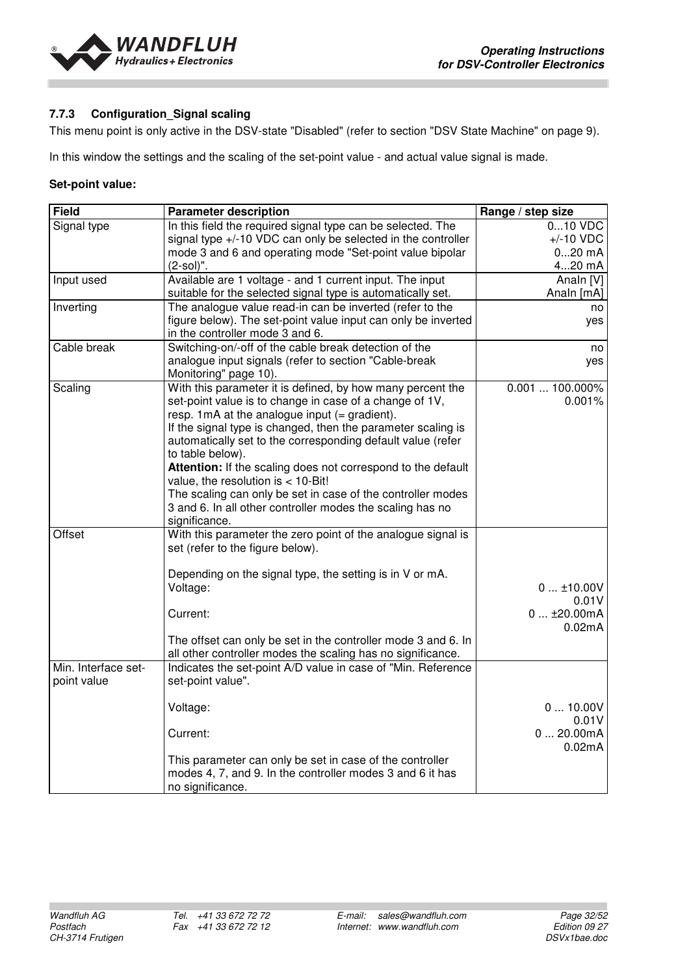

#### **7.7.3 Configuration\_Signal scaling**

This menu point is only active in the DSV-state "Disabled" (refer to section "DSV State Machine" on page 9).

In this window the settings and the scaling of the set-point value - and actual value signal is made.

#### **Set-point value:**

| <b>Field</b>                                 | <b>Parameter description</b>                                                                                                                                                                                                                                                                                                                                                                                                                                                                                                                                                                                                                                                       | Range / step size                                                              |
|----------------------------------------------|------------------------------------------------------------------------------------------------------------------------------------------------------------------------------------------------------------------------------------------------------------------------------------------------------------------------------------------------------------------------------------------------------------------------------------------------------------------------------------------------------------------------------------------------------------------------------------------------------------------------------------------------------------------------------------|--------------------------------------------------------------------------------|
| Signal type                                  | In this field the required signal type can be selected. The                                                                                                                                                                                                                                                                                                                                                                                                                                                                                                                                                                                                                        | 010 VDC                                                                        |
|                                              | signal type +/-10 VDC can only be selected in the controller                                                                                                                                                                                                                                                                                                                                                                                                                                                                                                                                                                                                                       | $+/-10$ VDC                                                                    |
|                                              | mode 3 and 6 and operating mode "Set-point value bipolar                                                                                                                                                                                                                                                                                                                                                                                                                                                                                                                                                                                                                           | $020$ mA                                                                       |
|                                              | $(2-sol)$ ".                                                                                                                                                                                                                                                                                                                                                                                                                                                                                                                                                                                                                                                                       | 420 mA                                                                         |
| Input used                                   | Available are 1 voltage - and 1 current input. The input                                                                                                                                                                                                                                                                                                                                                                                                                                                                                                                                                                                                                           | Analn [V]                                                                      |
|                                              | suitable for the selected signal type is automatically set.                                                                                                                                                                                                                                                                                                                                                                                                                                                                                                                                                                                                                        | Analn [mA]                                                                     |
| Inverting                                    | The analogue value read-in can be inverted (refer to the                                                                                                                                                                                                                                                                                                                                                                                                                                                                                                                                                                                                                           | no                                                                             |
|                                              | figure below). The set-point value input can only be inverted                                                                                                                                                                                                                                                                                                                                                                                                                                                                                                                                                                                                                      | yes                                                                            |
|                                              | in the controller mode 3 and 6.                                                                                                                                                                                                                                                                                                                                                                                                                                                                                                                                                                                                                                                    |                                                                                |
| Cable break                                  | Switching-on/-off of the cable break detection of the                                                                                                                                                                                                                                                                                                                                                                                                                                                                                                                                                                                                                              | no                                                                             |
|                                              | analogue input signals (refer to section "Cable-break                                                                                                                                                                                                                                                                                                                                                                                                                                                                                                                                                                                                                              | yes                                                                            |
|                                              | Monitoring" page 10).                                                                                                                                                                                                                                                                                                                                                                                                                                                                                                                                                                                                                                                              |                                                                                |
| Scaling                                      | With this parameter it is defined, by how many percent the                                                                                                                                                                                                                                                                                                                                                                                                                                                                                                                                                                                                                         | $0.001100.000\%$                                                               |
|                                              | set-point value is to change in case of a change of 1V,                                                                                                                                                                                                                                                                                                                                                                                                                                                                                                                                                                                                                            | 0.001%                                                                         |
|                                              | resp. $1mA$ at the analogue input $(=$ gradient).                                                                                                                                                                                                                                                                                                                                                                                                                                                                                                                                                                                                                                  |                                                                                |
|                                              | If the signal type is changed, then the parameter scaling is                                                                                                                                                                                                                                                                                                                                                                                                                                                                                                                                                                                                                       |                                                                                |
|                                              | automatically set to the corresponding default value (refer                                                                                                                                                                                                                                                                                                                                                                                                                                                                                                                                                                                                                        |                                                                                |
|                                              | to table below).                                                                                                                                                                                                                                                                                                                                                                                                                                                                                                                                                                                                                                                                   |                                                                                |
|                                              | Attention: If the scaling does not correspond to the default                                                                                                                                                                                                                                                                                                                                                                                                                                                                                                                                                                                                                       |                                                                                |
|                                              |                                                                                                                                                                                                                                                                                                                                                                                                                                                                                                                                                                                                                                                                                    |                                                                                |
|                                              |                                                                                                                                                                                                                                                                                                                                                                                                                                                                                                                                                                                                                                                                                    |                                                                                |
|                                              |                                                                                                                                                                                                                                                                                                                                                                                                                                                                                                                                                                                                                                                                                    |                                                                                |
|                                              |                                                                                                                                                                                                                                                                                                                                                                                                                                                                                                                                                                                                                                                                                    |                                                                                |
|                                              |                                                                                                                                                                                                                                                                                                                                                                                                                                                                                                                                                                                                                                                                                    |                                                                                |
|                                              |                                                                                                                                                                                                                                                                                                                                                                                                                                                                                                                                                                                                                                                                                    |                                                                                |
|                                              |                                                                                                                                                                                                                                                                                                                                                                                                                                                                                                                                                                                                                                                                                    |                                                                                |
|                                              |                                                                                                                                                                                                                                                                                                                                                                                                                                                                                                                                                                                                                                                                                    |                                                                                |
|                                              |                                                                                                                                                                                                                                                                                                                                                                                                                                                                                                                                                                                                                                                                                    |                                                                                |
|                                              |                                                                                                                                                                                                                                                                                                                                                                                                                                                                                                                                                                                                                                                                                    |                                                                                |
|                                              |                                                                                                                                                                                                                                                                                                                                                                                                                                                                                                                                                                                                                                                                                    |                                                                                |
|                                              |                                                                                                                                                                                                                                                                                                                                                                                                                                                                                                                                                                                                                                                                                    |                                                                                |
|                                              |                                                                                                                                                                                                                                                                                                                                                                                                                                                                                                                                                                                                                                                                                    |                                                                                |
|                                              |                                                                                                                                                                                                                                                                                                                                                                                                                                                                                                                                                                                                                                                                                    |                                                                                |
|                                              |                                                                                                                                                                                                                                                                                                                                                                                                                                                                                                                                                                                                                                                                                    |                                                                                |
|                                              |                                                                                                                                                                                                                                                                                                                                                                                                                                                                                                                                                                                                                                                                                    |                                                                                |
|                                              |                                                                                                                                                                                                                                                                                                                                                                                                                                                                                                                                                                                                                                                                                    |                                                                                |
|                                              |                                                                                                                                                                                                                                                                                                                                                                                                                                                                                                                                                                                                                                                                                    |                                                                                |
|                                              |                                                                                                                                                                                                                                                                                                                                                                                                                                                                                                                                                                                                                                                                                    |                                                                                |
|                                              |                                                                                                                                                                                                                                                                                                                                                                                                                                                                                                                                                                                                                                                                                    | 0.02mA                                                                         |
|                                              |                                                                                                                                                                                                                                                                                                                                                                                                                                                                                                                                                                                                                                                                                    |                                                                                |
|                                              | modes 4, 7, and 9. In the controller modes 3 and 6 it has                                                                                                                                                                                                                                                                                                                                                                                                                                                                                                                                                                                                                          |                                                                                |
|                                              | no significance.                                                                                                                                                                                                                                                                                                                                                                                                                                                                                                                                                                                                                                                                   |                                                                                |
| Offset<br>Min. Interface set-<br>point value | value, the resolution is $<$ 10-Bit!<br>The scaling can only be set in case of the controller modes<br>3 and 6. In all other controller modes the scaling has no<br>significance.<br>With this parameter the zero point of the analogue signal is<br>set (refer to the figure below).<br>Depending on the signal type, the setting is in V or mA.<br>Voltage:<br>Current:<br>The offset can only be set in the controller mode 3 and 6. In<br>all other controller modes the scaling has no significance.<br>Indicates the set-point A/D value in case of "Min. Reference<br>set-point value".<br>Voltage:<br>Current:<br>This parameter can only be set in case of the controller | $0$ ±10.00V<br>0.01V<br>$0$ ±20.00mA<br>0.02mA<br>010.00V<br>0.01V<br>020.00mA |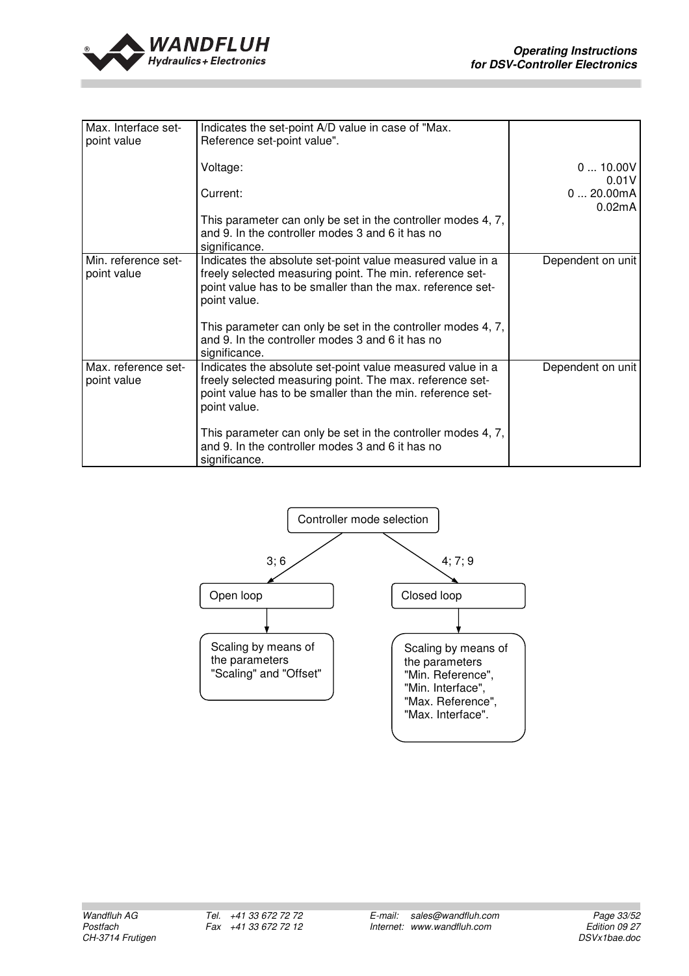

| Max. Interface set-<br>point value | Indicates the set-point A/D value in case of "Max.<br>Reference set-point value".                                                                                                                    |                    |
|------------------------------------|------------------------------------------------------------------------------------------------------------------------------------------------------------------------------------------------------|--------------------|
|                                    | Voltage:                                                                                                                                                                                             | 010.00V<br>0.01V   |
|                                    | Current:                                                                                                                                                                                             | 020.00mA<br>0.02mA |
|                                    | This parameter can only be set in the controller modes 4, 7,<br>and 9. In the controller modes 3 and 6 it has no<br>significance.                                                                    |                    |
| Min. reference set-<br>point value | Indicates the absolute set-point value measured value in a<br>freely selected measuring point. The min. reference set-<br>point value has to be smaller than the max. reference set-<br>point value. | Dependent on unit  |
|                                    | This parameter can only be set in the controller modes 4, 7,<br>and 9. In the controller modes 3 and 6 it has no<br>significance.                                                                    |                    |
| Max. reference set-<br>point value | Indicates the absolute set-point value measured value in a<br>freely selected measuring point. The max. reference set-<br>point value has to be smaller than the min. reference set-<br>point value. | Dependent on unit  |
|                                    | This parameter can only be set in the controller modes 4, 7,<br>and 9. In the controller modes 3 and 6 it has no<br>significance.                                                                    |                    |

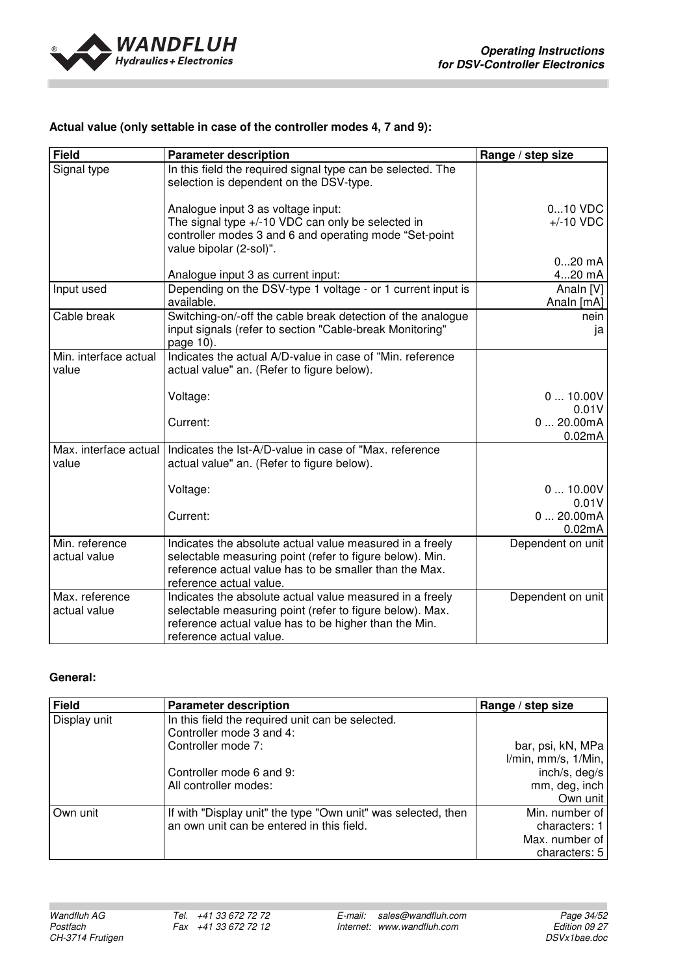

#### **Actual value (only settable in case of the controller modes 4, 7 and 9):**

| <b>Field</b>                   | <b>Parameter description</b>                                                                                                                                                                              | Range / step size       |
|--------------------------------|-----------------------------------------------------------------------------------------------------------------------------------------------------------------------------------------------------------|-------------------------|
| Signal type                    | In this field the required signal type can be selected. The<br>selection is dependent on the DSV-type.                                                                                                    |                         |
|                                | Analogue input 3 as voltage input:                                                                                                                                                                        | 010 VDC                 |
|                                | The signal type +/-10 VDC can only be selected in                                                                                                                                                         | $+/-10$ VDC             |
|                                | controller modes 3 and 6 and operating mode "Set-point<br>value bipolar (2-sol)".                                                                                                                         |                         |
|                                |                                                                                                                                                                                                           | $020$ mA                |
|                                | Analogue input 3 as current input:                                                                                                                                                                        | 420 mA                  |
| Input used                     | Depending on the DSV-type 1 voltage - or 1 current input is<br>available.                                                                                                                                 | Analn [V]<br>Analn [mA] |
| Cable break                    | Switching-on/-off the cable break detection of the analogue<br>input signals (refer to section "Cable-break Monitoring"<br>page 10).                                                                      | nein<br>ja              |
| Min. interface actual<br>value | Indicates the actual A/D-value in case of "Min. reference<br>actual value" an. (Refer to figure below).                                                                                                   |                         |
|                                | Voltage:                                                                                                                                                                                                  | 010.00V<br>0.01V        |
|                                | Current:                                                                                                                                                                                                  | 020.00mA<br>0.02mA      |
| Max. interface actual<br>value | Indicates the Ist-A/D-value in case of "Max. reference<br>actual value" an. (Refer to figure below).                                                                                                      |                         |
|                                | Voltage:                                                                                                                                                                                                  | 010.00V<br>0.01V        |
|                                | Current:                                                                                                                                                                                                  | 020.00mA<br>0.02mA      |
| Min. reference<br>actual value | Indicates the absolute actual value measured in a freely<br>selectable measuring point (refer to figure below). Min.<br>reference actual value has to be smaller than the Max.<br>reference actual value. | Dependent on unit       |
| Max. reference<br>actual value | Indicates the absolute actual value measured in a freely<br>selectable measuring point (refer to figure below). Max.<br>reference actual value has to be higher than the Min.<br>reference actual value.  | Dependent on unit       |

#### **General:**

| <b>Field</b> | <b>Parameter description</b>                                  | Range / step size   |
|--------------|---------------------------------------------------------------|---------------------|
| Display unit | In this field the required unit can be selected.              |                     |
|              | Controller mode 3 and 4:                                      |                     |
|              | Controller mode 7:                                            | bar, psi, kN, MPa   |
|              |                                                               | I/min, mm/s, 1/Min, |
|              | Controller mode 6 and 9:                                      | inch/s, deg/s       |
|              | All controller modes:                                         | mm, deg, inch       |
|              |                                                               | Own unit            |
| Own unit     | If with "Display unit" the type "Own unit" was selected, then | Min. number of      |
|              | an own unit can be entered in this field.                     | characters: 1       |
|              |                                                               | Max. number of      |
|              |                                                               | characters: 5       |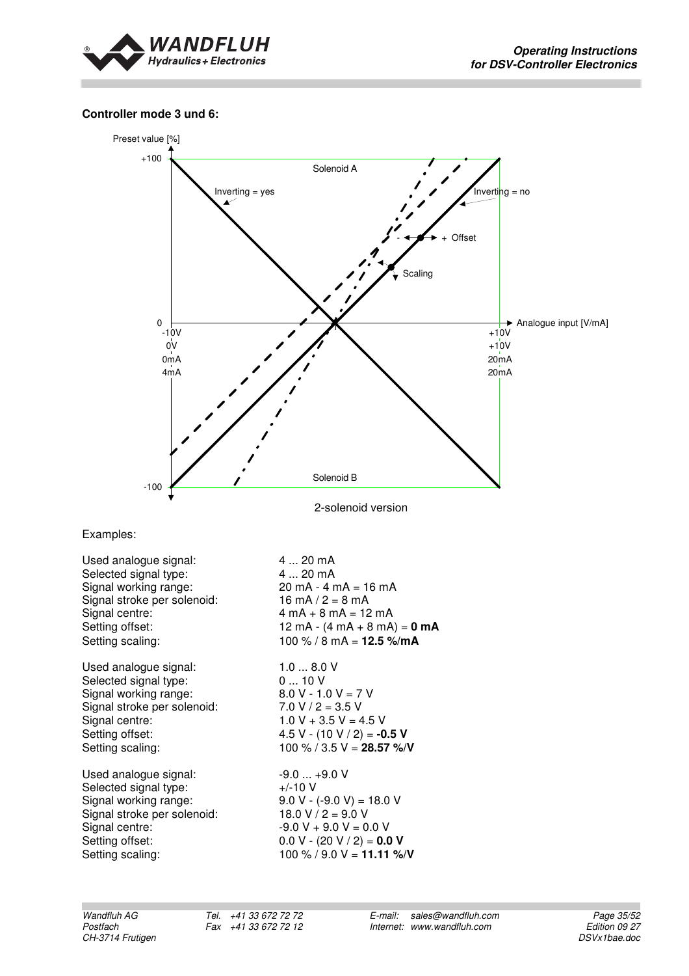

#### **Controller mode 3 und 6:**



2-solenoid version

Examples:

| Used analogue signal:       | 4  20 mA                                               |
|-----------------------------|--------------------------------------------------------|
| Selected signal type:       | 4  20 mA                                               |
| Signal working range:       | $20 \text{ mA} - 4 \text{ mA} = 16 \text{ mA}$         |
| Signal stroke per solenoid: | $16 \text{ mA} / 2 = 8 \text{ mA}$                     |
| Signal centre:              | $4 \text{ mA} + 8 \text{ mA} = 12 \text{ mA}$          |
| Setting offset:             | 12 mA - $(4 \text{ mA} + 8 \text{ mA}) = 0 \text{ mA}$ |
| Setting scaling:            | 100 % / 8 mA = $12.5$ %/mA                             |
| Used analogue signal:       | 1.08.0V                                                |
| Selected signal type:       | 010V                                                   |
| Signal working range:       | $8.0 V - 1.0 V = 7 V$                                  |
| Signal stroke per solenoid: | $7.0 V / 2 = 3.5 V$                                    |
| Signal centre:              | $1.0 V + 3.5 V = 4.5 V$                                |
| Setting offset:             | 4.5 V - $(10 V / 2) = -0.5 V$                          |
| Setting scaling:            | 100 % / 3.5 V = 28.57 %/V                              |
| Used analogue signal:       | $-9.0$ $+9.0$ V                                        |
| Selected signal type:       | $+/-10$ V                                              |
| Signal working range:       | $9.0 V - (-9.0 V) = 18.0 V$                            |
| Signal stroke per solenoid: | $18.0 V / 2 = 9.0 V$                                   |
| Signal centre:              | $-9.0 V + 9.0 V = 0.0 V$                               |
| Setting offset:             | $0.0 V - (20 V / 2) = 0.0 V$                           |
| Setting scaling:            | 100 % / 9.0 V = 11.11 %/V                              |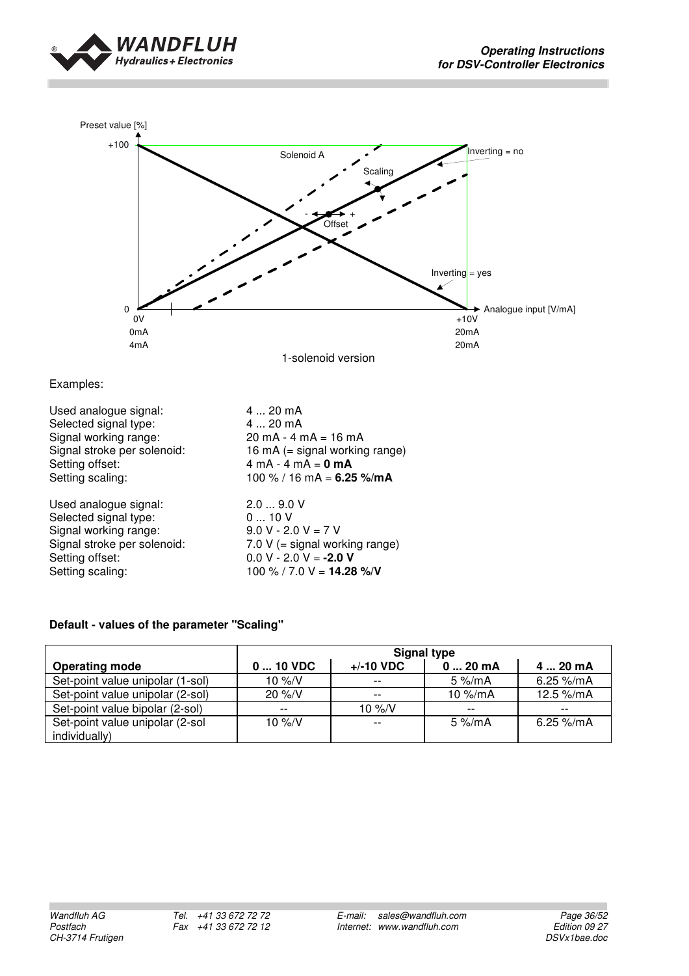



Examples:

| Used analogue signal:       | $420$ mA                                       |
|-----------------------------|------------------------------------------------|
| Selected signal type:       | $420$ mA                                       |
| Signal working range:       | $20 \text{ mA} - 4 \text{ mA} = 16 \text{ mA}$ |
| Signal stroke per solenoid: | 16 mA $(=$ signal working range)               |
| Setting offset:             | $4 \text{ mA} - 4 \text{ mA} = 0 \text{ mA}$   |
| Setting scaling:            | 100 % / 16 mA = $6.25$ %/mA                    |
| Used analogue signal:       | 2.09.0V                                        |
| Selected signal type:       | 010V                                           |
| Signal working range:       | $9.0 V - 2.0 V = 7 V$                          |
| Signal stroke per solenoid: | 7.0 $V$ (= signal working range)               |
| Setting offset:             | $0.0 V - 2.0 V = -2.0 V$                       |
| Setting scaling:            | 100 % / 7.0 V = <b>14.28 %/V</b>               |

#### **Default - values of the parameter "Scaling"**

|                                  | <b>Signal type</b> |                    |                     |                        |
|----------------------------------|--------------------|--------------------|---------------------|------------------------|
| <b>Operating mode</b>            | 0  10 VDC          | $+/-10$ VDC        | $020$ mA            | 4  20 mA               |
| Set-point value unipolar (1-sol) | 10 $\frac{9}{5}$ N | $- -$              | $5\%$ /mA           | 6.25 %/mA              |
| Set-point value unipolar (2-sol) | $20\%$ /V          | $- -$              | 10 $\frac{M}{D}$ mA | 12.5 %/mA              |
| Set-point value bipolar (2-sol)  | $- -$              | 10 $\frac{9}{6}$ N | $- -$               | $- -$                  |
| Set-point value unipolar (2-sol  | 10 $\frac{9}{6}$ N | $- -$              | $5\%$ /mA           | 6.25 $\frac{9}{10}$ mA |
| individually)                    |                    |                    |                     |                        |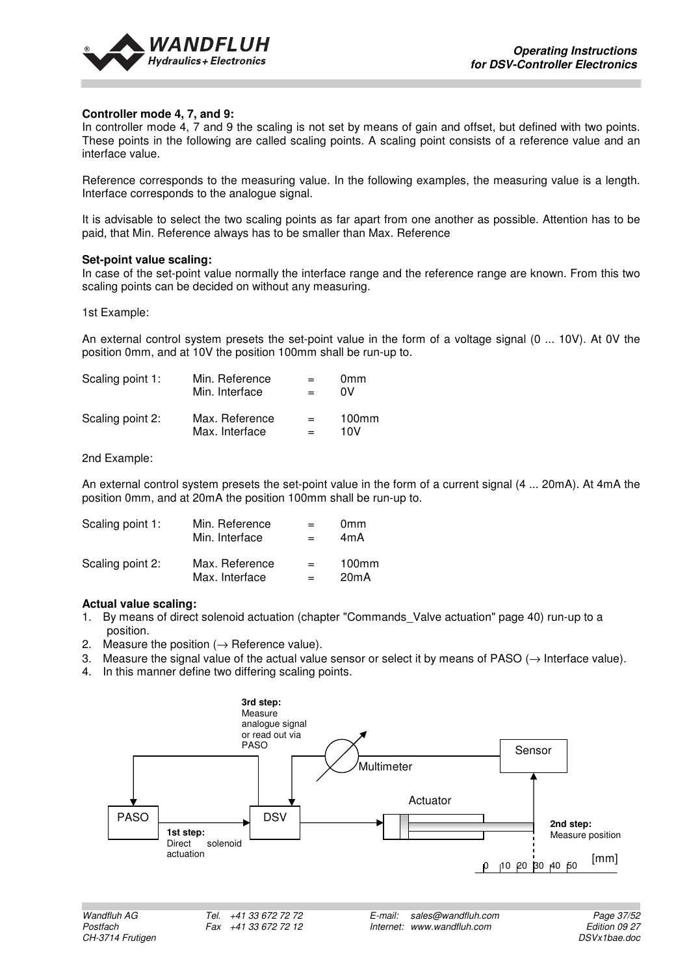

#### **Controller mode 4, 7, and 9:**

In controller mode 4, 7 and 9 the scaling is not set by means of gain and offset, but defined with two points. These points in the following are called scaling points. A scaling point consists of a reference value and an interface value.

Reference corresponds to the measuring value. In the following examples, the measuring value is a length. Interface corresponds to the analogue signal.

It is advisable to select the two scaling points as far apart from one another as possible. Attention has to be paid, that Min. Reference always has to be smaller than Max. Reference

#### **Set-point value scaling:**

In case of the set-point value normally the interface range and the reference range are known. From this two scaling points can be decided on without any measuring.

1st Example:

An external control system presets the set-point value in the form of a voltage signal (0 ... 10V). At 0V the position 0mm, and at 10V the position 100mm shall be run-up to.

| Scaling point 1: | Min. Reference | $=$ | 0 <sub>mm</sub> |
|------------------|----------------|-----|-----------------|
|                  | Min. Interface | $=$ | ٥V              |
| Scaling point 2: | Max. Reference | $=$ | $100$ mm        |
|                  | Max. Interface | $=$ | 10V             |

2nd Example:

An external control system presets the set-point value in the form of a current signal (4 ... 20mA). At 4mA the position 0mm, and at 20mA the position 100mm shall be run-up to.

| Scaling point 1: | Min. Reference | $=$ | 0 <sub>mm</sub> |
|------------------|----------------|-----|-----------------|
|                  | Min. Interface | -   | 4mA             |
| Scaling point 2: | Max. Reference | $=$ | $100$ mm        |
|                  | Max. Interface | $=$ | 20mA            |

#### **Actual value scaling:**

- 1. By means of direct solenoid actuation (chapter "Commands\_Valve actuation" page 40) run-up to a position.
- 2. Measure the position  $(\rightarrow)$  Reference value).
- 3. Measure the signal value of the actual value sensor or select it by means of PASO ( $\rightarrow$  Interface value).
- 4. In this manner define two differing scaling points.

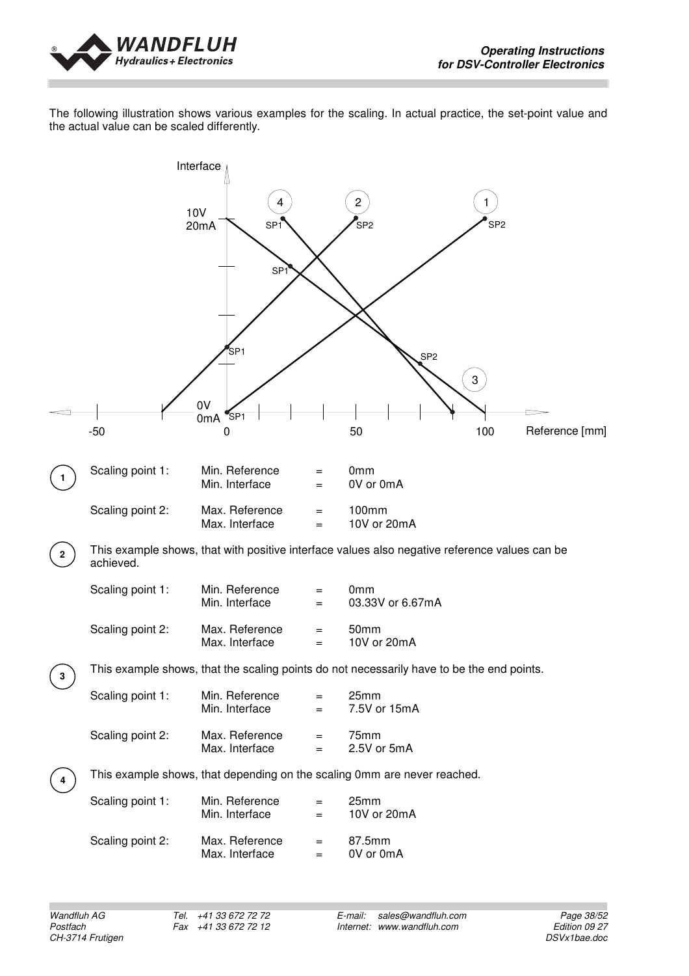

The following illustration shows various examples for the scaling. In actual practice, the set-point value and the actual value can be scaled differently.

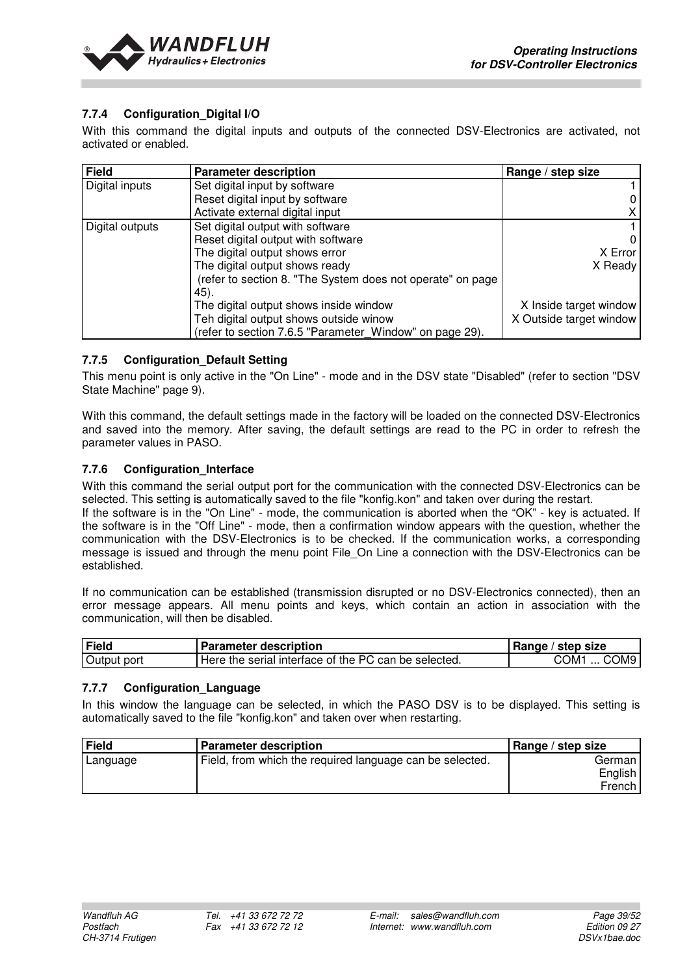

#### **7.7.4 Configuration\_Digital I/O**

With this command the digital inputs and outputs of the connected DSV-Electronics are activated, not activated or enabled.

| <b>Field</b>    | <b>Parameter description</b>                               | Range / step size       |
|-----------------|------------------------------------------------------------|-------------------------|
| Digital inputs  | Set digital input by software                              |                         |
|                 | Reset digital input by software                            | 0                       |
|                 | Activate external digital input                            | X.                      |
| Digital outputs | Set digital output with software                           |                         |
|                 | Reset digital output with software                         | $\Omega$                |
|                 | The digital output shows error                             | X Error                 |
|                 | The digital output shows ready                             | X Ready                 |
|                 | (refer to section 8. "The System does not operate" on page |                         |
|                 | 45).                                                       |                         |
|                 | The digital output shows inside window                     | X Inside target window  |
|                 | Teh digital output shows outside winow                     | X Outside target window |
|                 | (refer to section 7.6.5 "Parameter Window" on page 29).    |                         |

#### **7.7.5 Configuration\_Default Setting**

This menu point is only active in the "On Line" - mode and in the DSV state "Disabled" (refer to section "DSV State Machine" page 9).

With this command, the default settings made in the factory will be loaded on the connected DSV-Electronics and saved into the memory. After saving, the default settings are read to the PC in order to refresh the parameter values in PASO.

#### **7.7.6 Configuration\_Interface**

With this command the serial output port for the communication with the connected DSV-Electronics can be selected. This setting is automatically saved to the file "konfig.kon" and taken over during the restart.

If the software is in the "On Line" - mode, the communication is aborted when the "OK" - key is actuated. If the software is in the "Off Line" - mode, then a confirmation window appears with the question, whether the communication with the DSV-Electronics is to be checked. If the communication works, a corresponding message is issued and through the menu point File\_On Line a connection with the DSV-Electronics can be established.

If no communication can be established (transmission disrupted or no DSV-Electronics connected), then an error message appears. All menu points and keys, which contain an action in association with the communication, will then be disabled.

| Field       | <b>Parameter description</b>                         | Range / step size        |
|-------------|------------------------------------------------------|--------------------------|
| Output port | Here the serial interface of the PC can be selected. | COM1<br>COM <sub>9</sub> |

#### **7.7.7 Configuration\_Language**

In this window the language can be selected, in which the PASO DSV is to be displayed. This setting is automatically saved to the file "konfig.kon" and taken over when restarting.

| <b>Field</b> | <b>Parameter description</b>                             | Range / step size |
|--------------|----------------------------------------------------------|-------------------|
| Language     | Field, from which the required language can be selected. | German            |
|              |                                                          | English           |
|              |                                                          | French            |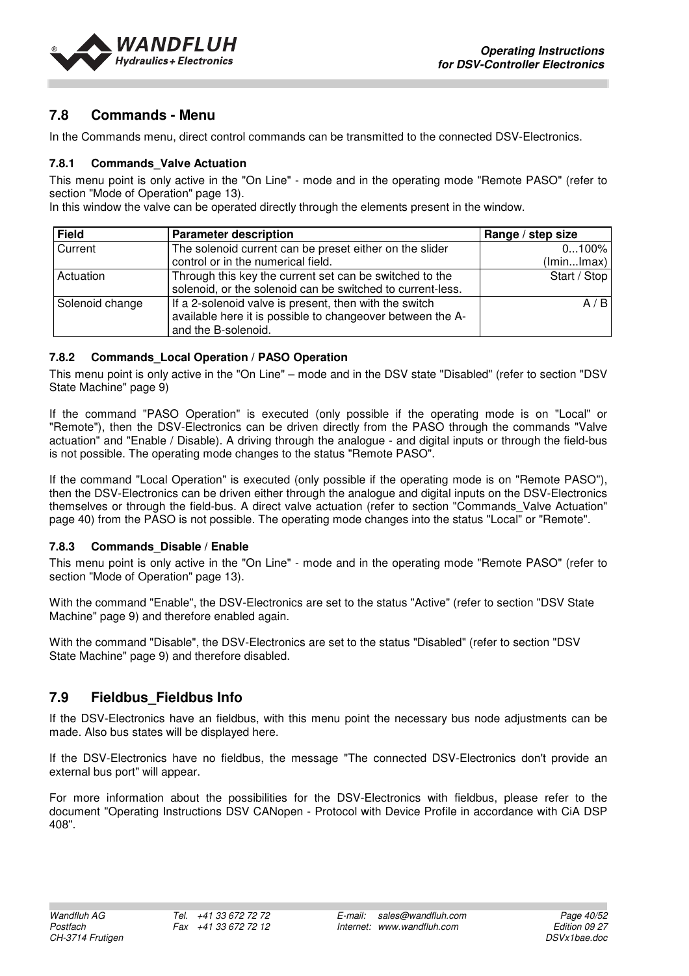

## **7.8 Commands - Menu**

In the Commands menu, direct control commands can be transmitted to the connected DSV-Electronics.

#### **7.8.1 Commands\_Valve Actuation**

This menu point is only active in the "On Line" - mode and in the operating mode "Remote PASO" (refer to section "Mode of Operation" page 13).

In this window the valve can be operated directly through the elements present in the window.

| <b>Field</b>    | <b>Parameter description</b>                                                                                                                | Range / step size |
|-----------------|---------------------------------------------------------------------------------------------------------------------------------------------|-------------------|
| Current         | The solenoid current can be preset either on the slider                                                                                     | $0100\%$          |
|                 | control or in the numerical field.                                                                                                          | (lminlmax)        |
| Actuation       | Through this key the current set can be switched to the<br>solenoid, or the solenoid can be switched to current-less.                       | Start / Stop      |
| Solenoid change | If a 2-solenoid valve is present, then with the switch<br>available here it is possible to changeover between the A-<br>and the B-solenoid. | A/B               |

#### **7.8.2 Commands\_Local Operation / PASO Operation**

This menu point is only active in the "On Line" – mode and in the DSV state "Disabled" (refer to section "DSV State Machine" page 9)

If the command "PASO Operation" is executed (only possible if the operating mode is on "Local" or "Remote"), then the DSV-Electronics can be driven directly from the PASO through the commands "Valve actuation" and "Enable / Disable). A driving through the analogue - and digital inputs or through the field-bus is not possible. The operating mode changes to the status "Remote PASO".

If the command "Local Operation" is executed (only possible if the operating mode is on "Remote PASO"), then the DSV-Electronics can be driven either through the analogue and digital inputs on the DSV-Electronics themselves or through the field-bus. A direct valve actuation (refer to section "Commands\_Valve Actuation" page 40) from the PASO is not possible. The operating mode changes into the status "Local" or "Remote".

#### **7.8.3 Commands\_Disable / Enable**

This menu point is only active in the "On Line" - mode and in the operating mode "Remote PASO" (refer to section "Mode of Operation" page 13).

With the command "Enable", the DSV-Electronics are set to the status "Active" (refer to section "DSV State Machine" page 9) and therefore enabled again.

With the command "Disable", the DSV-Electronics are set to the status "Disabled" (refer to section "DSV State Machine" page 9) and therefore disabled.

## **7.9 Fieldbus\_Fieldbus Info**

If the DSV-Electronics have an fieldbus, with this menu point the necessary bus node adjustments can be made. Also bus states will be displayed here.

If the DSV-Electronics have no fieldbus, the message "The connected DSV-Electronics don't provide an external bus port" will appear.

For more information about the possibilities for the DSV-Electronics with fieldbus, please refer to the document "Operating Instructions DSV CANopen - Protocol with Device Profile in accordance with CiA DSP 408".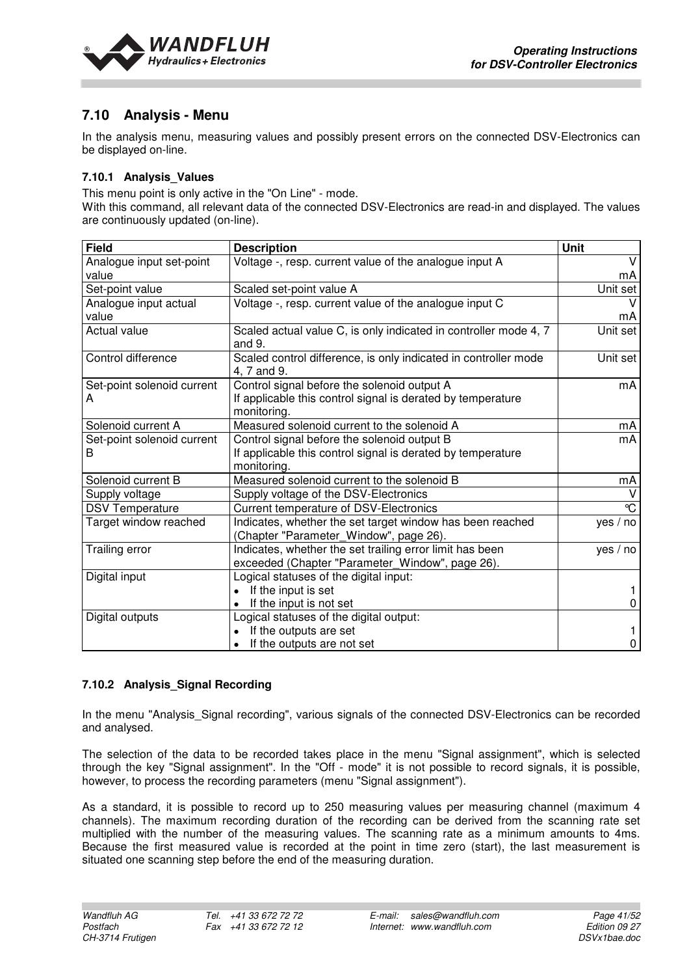

## **7.10 Analysis - Menu**

In the analysis menu, measuring values and possibly present errors on the connected DSV-Electronics can be displayed on-line.

#### **7.10.1 Analysis\_Values**

This menu point is only active in the "On Line" - mode.

With this command, all relevant data of the connected DSV-Electronics are read-in and displayed. The values are continuously updated (on-line).

| <b>Field</b>                    | <b>Description</b>                                                                                                        | <b>Unit</b> |
|---------------------------------|---------------------------------------------------------------------------------------------------------------------------|-------------|
| Analogue input set-point        | Voltage -, resp. current value of the analogue input A                                                                    | $\vee$      |
| value                           |                                                                                                                           | mA          |
| Set-point value                 | Scaled set-point value A                                                                                                  | Unit set    |
| Analogue input actual           | Voltage -, resp. current value of the analogue input C                                                                    |             |
| value                           |                                                                                                                           | mA          |
| Actual value                    | Scaled actual value C, is only indicated in controller mode 4, 7<br>and 9.                                                | Unit set    |
| Control difference              | Scaled control difference, is only indicated in controller mode<br>4, 7 and 9.                                            | Unit set    |
| Set-point solenoid current<br>A | Control signal before the solenoid output A<br>If applicable this control signal is derated by temperature<br>monitoring. | mA          |
| Solenoid current A              | Measured solenoid current to the solenoid A                                                                               | mA          |
| Set-point solenoid current<br>B | Control signal before the solenoid output B<br>If applicable this control signal is derated by temperature<br>monitoring. | mA          |
| Solenoid current B              | Measured solenoid current to the solenoid B                                                                               | mA          |
| Supply voltage                  | Supply voltage of the DSV-Electronics                                                                                     |             |
| <b>DSV Temperature</b>          | Current temperature of DSV-Electronics                                                                                    | °C          |
| Target window reached           | Indicates, whether the set target window has been reached<br>(Chapter "Parameter_Window", page 26).                       | yes / no    |
| Trailing error                  | Indicates, whether the set trailing error limit has been<br>exceeded (Chapter "Parameter_Window", page 26).               | ves / no    |
| Digital input                   | Logical statuses of the digital input:                                                                                    |             |
|                                 | If the input is set                                                                                                       |             |
|                                 | If the input is not set                                                                                                   | 0           |
| Digital outputs                 | Logical statuses of the digital output:                                                                                   |             |
|                                 | If the outputs are set                                                                                                    |             |
|                                 | If the outputs are not set                                                                                                | 0           |

#### **7.10.2 Analysis\_Signal Recording**

In the menu "Analysis Signal recording", various signals of the connected DSV-Electronics can be recorded and analysed.

The selection of the data to be recorded takes place in the menu "Signal assignment", which is selected through the key "Signal assignment". In the "Off - mode" it is not possible to record signals, it is possible, however, to process the recording parameters (menu "Signal assignment").

As a standard, it is possible to record up to 250 measuring values per measuring channel (maximum 4 channels). The maximum recording duration of the recording can be derived from the scanning rate set multiplied with the number of the measuring values. The scanning rate as a minimum amounts to 4ms. Because the first measured value is recorded at the point in time zero (start), the last measurement is situated one scanning step before the end of the measuring duration.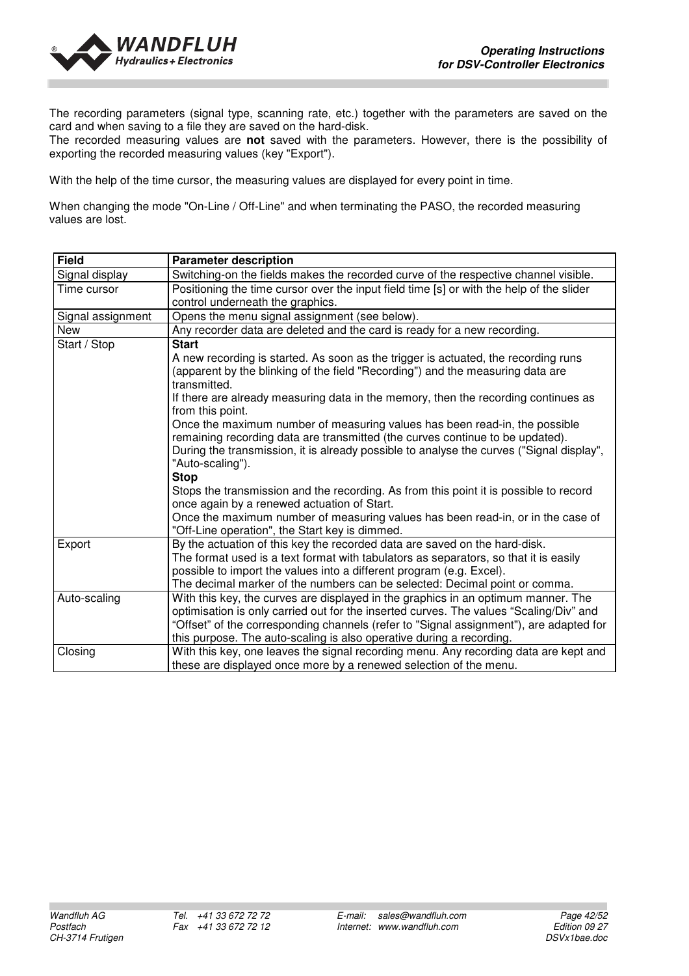

The recording parameters (signal type, scanning rate, etc.) together with the parameters are saved on the card and when saving to a file they are saved on the hard-disk.

The recorded measuring values are **not** saved with the parameters. However, there is the possibility of exporting the recorded measuring values (key "Export").

With the help of the time cursor, the measuring values are displayed for every point in time.

When changing the mode "On-Line / Off-Line" and when terminating the PASO, the recorded measuring values are lost.

| <b>Field</b>      | <b>Parameter description</b>                                                                                                                                                                                                                                                                                                                                                                                                                                                                                                                                                                                                                                                          |
|-------------------|---------------------------------------------------------------------------------------------------------------------------------------------------------------------------------------------------------------------------------------------------------------------------------------------------------------------------------------------------------------------------------------------------------------------------------------------------------------------------------------------------------------------------------------------------------------------------------------------------------------------------------------------------------------------------------------|
| Signal display    | Switching-on the fields makes the recorded curve of the respective channel visible.                                                                                                                                                                                                                                                                                                                                                                                                                                                                                                                                                                                                   |
| Time cursor       | Positioning the time cursor over the input field time [s] or with the help of the slider<br>control underneath the graphics.                                                                                                                                                                                                                                                                                                                                                                                                                                                                                                                                                          |
| Signal assignment | Opens the menu signal assignment (see below).                                                                                                                                                                                                                                                                                                                                                                                                                                                                                                                                                                                                                                         |
| New               | Any recorder data are deleted and the card is ready for a new recording.                                                                                                                                                                                                                                                                                                                                                                                                                                                                                                                                                                                                              |
|                   | <b>Start</b>                                                                                                                                                                                                                                                                                                                                                                                                                                                                                                                                                                                                                                                                          |
| Start / Stop      | A new recording is started. As soon as the trigger is actuated, the recording runs<br>(apparent by the blinking of the field "Recording") and the measuring data are<br>transmitted.<br>If there are already measuring data in the memory, then the recording continues as<br>from this point.<br>Once the maximum number of measuring values has been read-in, the possible<br>remaining recording data are transmitted (the curves continue to be updated).<br>During the transmission, it is already possible to analyse the curves ("Signal display",<br>"Auto-scaling").<br><b>Stop</b><br>Stops the transmission and the recording. As from this point it is possible to record |
|                   | once again by a renewed actuation of Start.<br>Once the maximum number of measuring values has been read-in, or in the case of<br>"Off-Line operation", the Start key is dimmed.                                                                                                                                                                                                                                                                                                                                                                                                                                                                                                      |
| Export            | By the actuation of this key the recorded data are saved on the hard-disk.<br>The format used is a text format with tabulators as separators, so that it is easily<br>possible to import the values into a different program (e.g. Excel).<br>The decimal marker of the numbers can be selected: Decimal point or comma.                                                                                                                                                                                                                                                                                                                                                              |
| Auto-scaling      | With this key, the curves are displayed in the graphics in an optimum manner. The<br>optimisation is only carried out for the inserted curves. The values "Scaling/Div" and<br>"Offset" of the corresponding channels (refer to "Signal assignment"), are adapted for<br>this purpose. The auto-scaling is also operative during a recording.                                                                                                                                                                                                                                                                                                                                         |
| Closing           | With this key, one leaves the signal recording menu. Any recording data are kept and<br>these are displayed once more by a renewed selection of the menu.                                                                                                                                                                                                                                                                                                                                                                                                                                                                                                                             |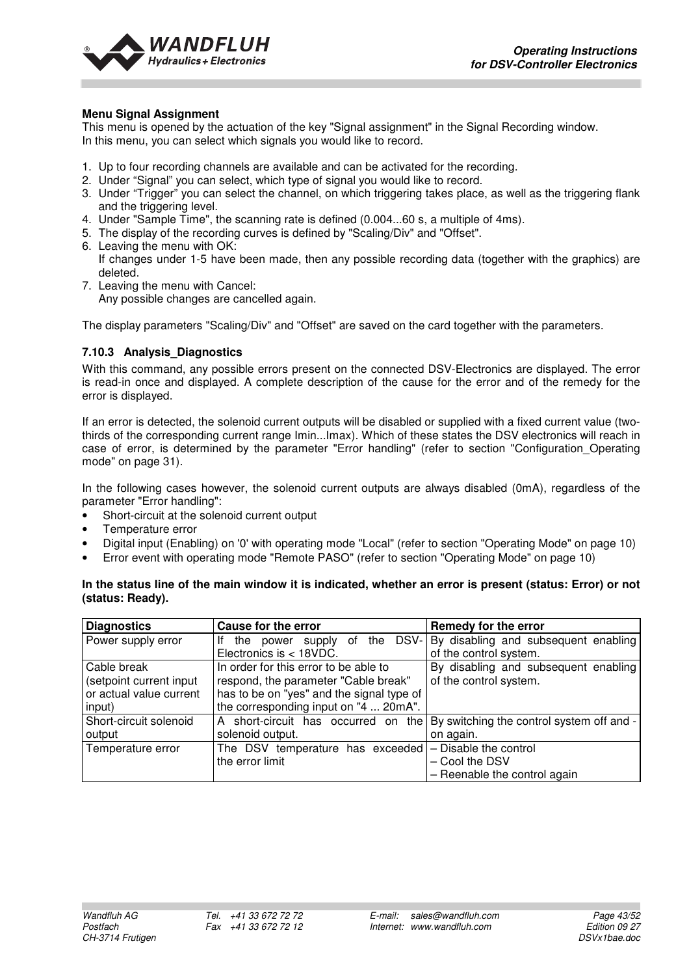

#### **Menu Signal Assignment**

This menu is opened by the actuation of the key "Signal assignment" in the Signal Recording window. In this menu, you can select which signals you would like to record.

- 1. Up to four recording channels are available and can be activated for the recording.
- 2. Under "Signal" you can select, which type of signal you would like to record.
- 3. Under "Trigger" you can select the channel, on which triggering takes place, as well as the triggering flank and the triggering level.
- 4. Under "Sample Time", the scanning rate is defined (0.004...60 s, a multiple of 4ms).
- 5. The display of the recording curves is defined by "Scaling/Div" and "Offset".
- 6. Leaving the menu with OK:
- If changes under 1-5 have been made, then any possible recording data (together with the graphics) are deleted.
- 7. Leaving the menu with Cancel:

Any possible changes are cancelled again.

The display parameters "Scaling/Div" and "Offset" are saved on the card together with the parameters.

#### **7.10.3 Analysis\_Diagnostics**

With this command, any possible errors present on the connected DSV-Electronics are displayed. The error is read-in once and displayed. A complete description of the cause for the error and of the remedy for the error is displayed.

If an error is detected, the solenoid current outputs will be disabled or supplied with a fixed current value (twothirds of the corresponding current range Imin...Imax). Which of these states the DSV electronics will reach in case of error, is determined by the parameter "Error handling" (refer to section "Configuration\_Operating mode" on page 31).

In the following cases however, the solenoid current outputs are always disabled (0mA), regardless of the parameter "Error handling":

- Short-circuit at the solenoid current output
- Temperature error
- Digital input (Enabling) on '0' with operating mode "Local" (refer to section "Operating Mode" on page 10)
- Error event with operating mode "Remote PASO" (refer to section "Operating Mode" on page 10)

#### **In the status line of the main window it is indicated, whether an error is present (status: Error) or not (status: Ready).**

| <b>Diagnostics</b>      | <b>Cause for the error</b>                             | Remedy for the error                      |
|-------------------------|--------------------------------------------------------|-------------------------------------------|
| Power supply error      | supply of the DSV-<br>Ιf<br>the power                  | By disabling and subsequent enabling      |
|                         | Electronics is < 18VDC.                                | of the control system.                    |
| Cable break             | In order for this error to be able to                  | By disabling and subsequent enabling      |
| (setpoint current input | respond, the parameter "Cable break"                   | of the control system.                    |
| or actual value current | has to be on "yes" and the signal type of              |                                           |
| input)                  | the corresponding input on "4  20mA".                  |                                           |
| Short-circuit solenoid  | short-circuit has occurred on the<br>A                 | By switching the control system off and - |
| output                  | solenoid output.                                       | on again.                                 |
| Temperature error       | The DSV temperature has exceeded - Disable the control |                                           |
|                         | the error limit                                        | - Cool the DSV                            |
|                         |                                                        | - Reenable the control again              |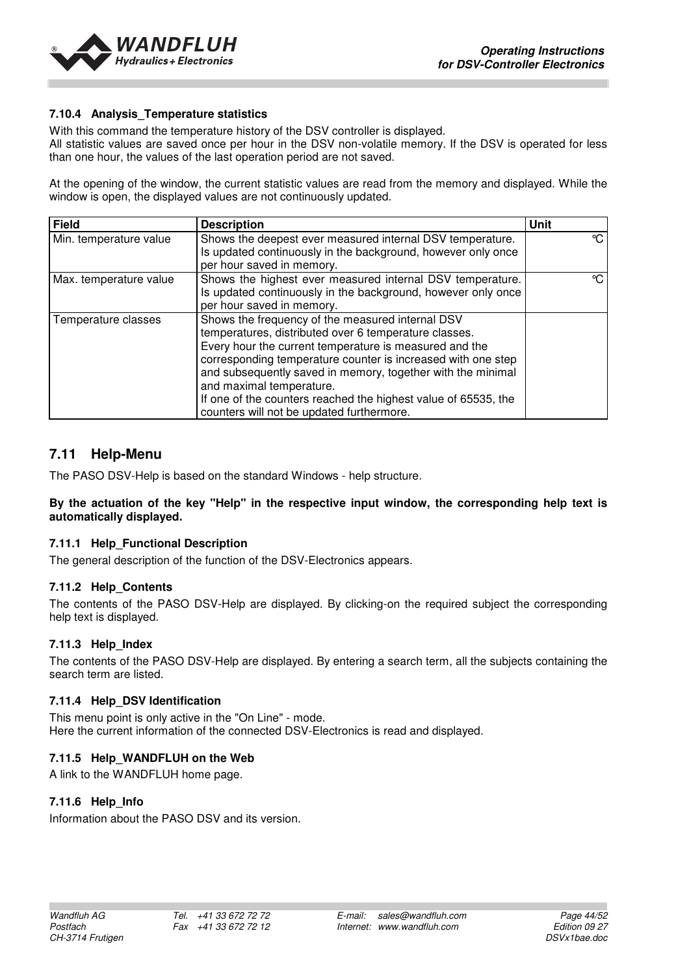

#### **7.10.4 Analysis\_Temperature statistics**

With this command the temperature history of the DSV controller is displayed.

All statistic values are saved once per hour in the DSV non-volatile memory. If the DSV is operated for less than one hour, the values of the last operation period are not saved.

At the opening of the window, the current statistic values are read from the memory and displayed. While the window is open, the displayed values are not continuously updated.

| <b>Field</b>           | <b>Description</b>                                                                                                                                                                                                                                                                                                                                                                                                                            | <b>Unit</b> |
|------------------------|-----------------------------------------------------------------------------------------------------------------------------------------------------------------------------------------------------------------------------------------------------------------------------------------------------------------------------------------------------------------------------------------------------------------------------------------------|-------------|
| Min. temperature value | Shows the deepest ever measured internal DSV temperature.<br>Is updated continuously in the background, however only once<br>per hour saved in memory.                                                                                                                                                                                                                                                                                        | °C          |
| Max. temperature value | Shows the highest ever measured internal DSV temperature.<br>Is updated continuously in the background, however only once<br>per hour saved in memory.                                                                                                                                                                                                                                                                                        | ℃.          |
| Temperature classes    | Shows the frequency of the measured internal DSV<br>temperatures, distributed over 6 temperature classes.<br>Every hour the current temperature is measured and the<br>corresponding temperature counter is increased with one step<br>and subsequently saved in memory, together with the minimal<br>and maximal temperature.<br>If one of the counters reached the highest value of 65535, the<br>counters will not be updated furthermore. |             |

#### **7.11 Help-Menu**

The PASO DSV-Help is based on the standard Windows - help structure.

#### **By the actuation of the key "Help" in the respective input window, the corresponding help text is automatically displayed.**

#### **7.11.1 Help\_Functional Description**

The general description of the function of the DSV-Electronics appears.

#### **7.11.2 Help\_Contents**

The contents of the PASO DSV-Help are displayed. By clicking-on the required subject the corresponding help text is displayed.

#### **7.11.3 Help\_Index**

The contents of the PASO DSV-Help are displayed. By entering a search term, all the subjects containing the search term are listed.

#### **7.11.4 Help\_DSV Identification**

This menu point is only active in the "On Line" - mode. Here the current information of the connected DSV-Electronics is read and displayed.

#### **7.11.5 Help\_WANDFLUH on the Web**

A link to the WANDFLUH home page.

#### **7.11.6 Help\_Info**

Information about the PASO DSV and its version.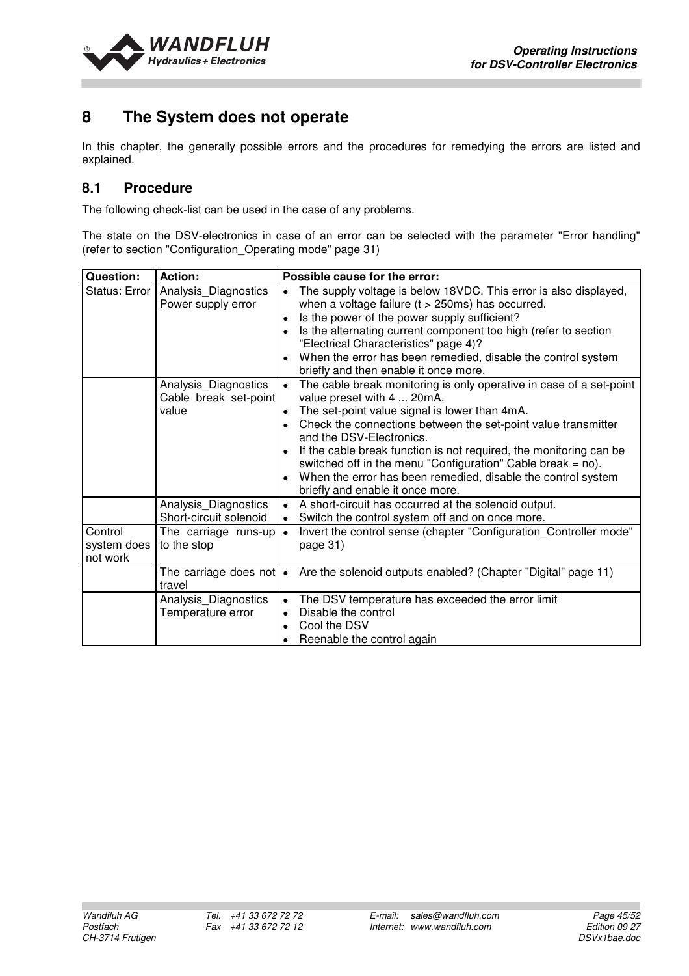

## **8 The System does not operate**

In this chapter, the generally possible errors and the procedures for remedying the errors are listed and explained.

## **8.1 Procedure**

The following check-list can be used in the case of any problems.

The state on the DSV-electronics in case of an error can be selected with the parameter "Error handling" (refer to section "Configuration\_Operating mode" page 31)

| Question:                          | <b>Action:</b>                                         | Possible cause for the error:                                                                                                                                                                                                                                                                                                                                                                                                                                                               |
|------------------------------------|--------------------------------------------------------|---------------------------------------------------------------------------------------------------------------------------------------------------------------------------------------------------------------------------------------------------------------------------------------------------------------------------------------------------------------------------------------------------------------------------------------------------------------------------------------------|
| Status: Error                      | Analysis_Diagnostics<br>Power supply error             | The supply voltage is below 18VDC. This error is also displayed,<br>when a voltage failure $(t > 250 \text{ms})$ has occurred.<br>Is the power of the power supply sufficient?<br>Is the alternating current component too high (refer to section<br>"Electrical Characteristics" page 4)?<br>When the error has been remedied, disable the control system<br>briefly and then enable it once more.                                                                                         |
|                                    | Analysis_Diagnostics<br>Cable break set-point<br>value | The cable break monitoring is only operative in case of a set-point<br>value preset with 4  20mA.<br>The set-point value signal is lower than 4mA.<br>Check the connections between the set-point value transmitter<br>and the DSV-Electronics.<br>If the cable break function is not required, the monitoring can be<br>switched off in the menu "Configuration" Cable break = $no$ ).<br>When the error has been remedied, disable the control system<br>briefly and enable it once more. |
|                                    | Analysis_Diagnostics<br>Short-circuit solenoid         | A short-circuit has occurred at the solenoid output.<br>Switch the control system off and on once more.                                                                                                                                                                                                                                                                                                                                                                                     |
| Control<br>system does<br>not work | The carriage runs-up<br>to the stop                    | Invert the control sense (chapter "Configuration Controller mode"<br>page 31)                                                                                                                                                                                                                                                                                                                                                                                                               |
|                                    | The carriage does not $\cdot$<br>travel                | Are the solenoid outputs enabled? (Chapter "Digital" page 11)                                                                                                                                                                                                                                                                                                                                                                                                                               |
|                                    | Analysis_Diagnostics<br>Temperature error              | The DSV temperature has exceeded the error limit<br>$\bullet$<br>Disable the control<br>Cool the DSV<br>Reenable the control again                                                                                                                                                                                                                                                                                                                                                          |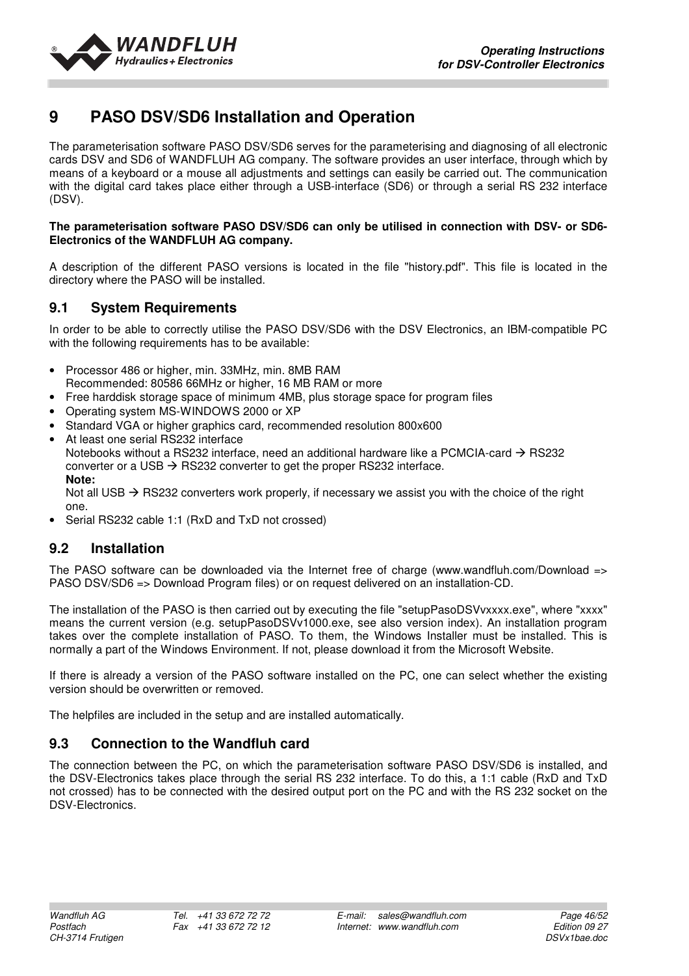

## **9 PASO DSV/SD6 Installation and Operation**

The parameterisation software PASO DSV/SD6 serves for the parameterising and diagnosing of all electronic cards DSV and SD6 of WANDFLUH AG company. The software provides an user interface, through which by means of a keyboard or a mouse all adjustments and settings can easily be carried out. The communication with the digital card takes place either through a USB-interface (SD6) or through a serial RS 232 interface (DSV).

#### **The parameterisation software PASO DSV/SD6 can only be utilised in connection with DSV- or SD6- Electronics of the WANDFLUH AG company.**

A description of the different PASO versions is located in the file "history.pdf". This file is located in the directory where the PASO will be installed.

## **9.1 System Requirements**

In order to be able to correctly utilise the PASO DSV/SD6 with the DSV Electronics, an IBM-compatible PC with the following requirements has to be available:

- Processor 486 or higher, min. 33MHz, min. 8MB RAM Recommended: 80586 66MHz or higher, 16 MB RAM or more
- Free harddisk storage space of minimum 4MB, plus storage space for program files
- Operating system MS-WINDOWS 2000 or XP
- Standard VGA or higher graphics card, recommended resolution 800x600
- At least one serial RS232 interface Notebooks without a RS232 interface, need an additional hardware like a PCMCIA-card  $\rightarrow$  RS232 converter or a USB  $\rightarrow$  RS232 converter to get the proper RS232 interface. **Note:**  Not all USB  $\rightarrow$  RS232 converters work properly, if necessary we assist you with the choice of the right

one.

• Serial RS232 cable 1:1 (RxD and TxD not crossed)

## **9.2 Installation**

The PASO software can be downloaded via the Internet free of charge (www.wandfluh.com/Download => PASO DSV/SD6 => Download Program files) or on request delivered on an installation-CD.

The installation of the PASO is then carried out by executing the file "setupPasoDSVvxxxx.exe", where "xxxx" means the current version (e.g. setupPasoDSVv1000.exe, see also version index). An installation program takes over the complete installation of PASO. To them, the Windows Installer must be installed. This is normally a part of the Windows Environment. If not, please download it from the Microsoft Website.

If there is already a version of the PASO software installed on the PC, one can select whether the existing version should be overwritten or removed.

The helpfiles are included in the setup and are installed automatically.

## **9.3 Connection to the Wandfluh card**

The connection between the PC, on which the parameterisation software PASO DSV/SD6 is installed, and the DSV-Electronics takes place through the serial RS 232 interface. To do this, a 1:1 cable (RxD and TxD not crossed) has to be connected with the desired output port on the PC and with the RS 232 socket on the DSV-Electronics.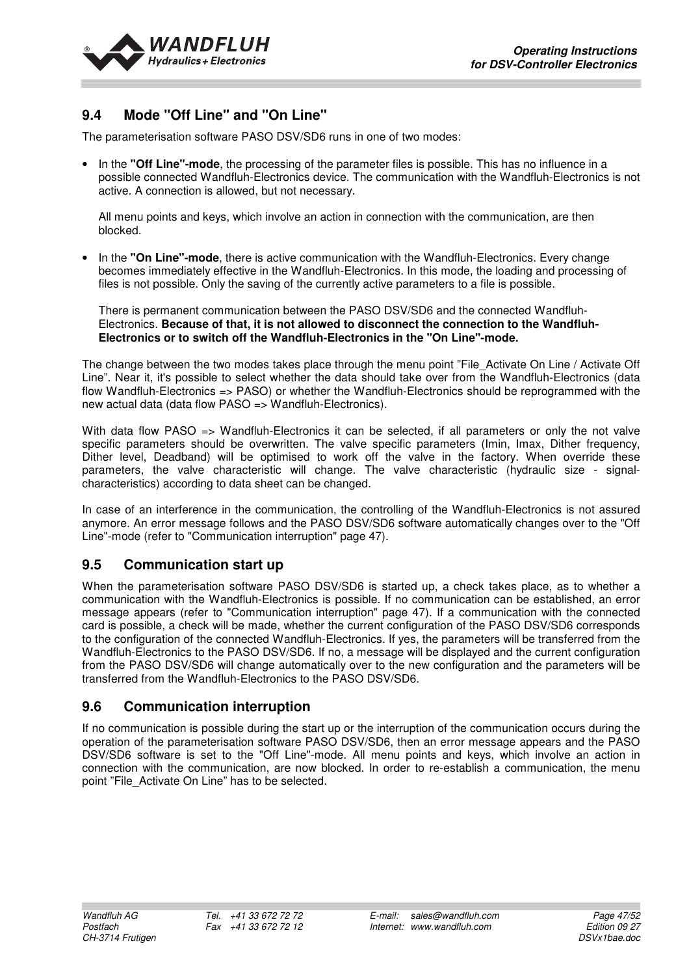

## **9.4 Mode "Off Line" and "On Line"**

The parameterisation software PASO DSV/SD6 runs in one of two modes:

• In the **"Off Line"-mode**, the processing of the parameter files is possible. This has no influence in a possible connected Wandfluh-Electronics device. The communication with the Wandfluh-Electronics is not active. A connection is allowed, but not necessary.

All menu points and keys, which involve an action in connection with the communication, are then blocked.

• In the **"On Line"-mode**, there is active communication with the Wandfluh-Electronics. Every change becomes immediately effective in the Wandfluh-Electronics. In this mode, the loading and processing of files is not possible. Only the saving of the currently active parameters to a file is possible.

There is permanent communication between the PASO DSV/SD6 and the connected Wandfluh-Electronics. **Because of that, it is not allowed to disconnect the connection to the Wandfluh-Electronics or to switch off the Wandfluh-Electronics in the "On Line"-mode.**

The change between the two modes takes place through the menu point "File Activate On Line / Activate Off Line". Near it, it's possible to select whether the data should take over from the Wandfluh-Electronics (data flow Wandfluh-Electronics => PASO) or whether the Wandfluh-Electronics should be reprogrammed with the new actual data (data flow PASO => Wandfluh-Electronics).

With data flow PASO => Wandfluh-Electronics it can be selected, if all parameters or only the not valve specific parameters should be overwritten. The valve specific parameters (Imin, Imax, Dither frequency, Dither level, Deadband) will be optimised to work off the valve in the factory. When override these parameters, the valve characteristic will change. The valve characteristic (hydraulic size - signalcharacteristics) according to data sheet can be changed.

In case of an interference in the communication, the controlling of the Wandfluh-Electronics is not assured anymore. An error message follows and the PASO DSV/SD6 software automatically changes over to the "Off Line"-mode (refer to "Communication interruption" page 47).

## **9.5 Communication start up**

When the parameterisation software PASO DSV/SD6 is started up, a check takes place, as to whether a communication with the Wandfluh-Electronics is possible. If no communication can be established, an error message appears (refer to "Communication interruption" page 47). If a communication with the connected card is possible, a check will be made, whether the current configuration of the PASO DSV/SD6 corresponds to the configuration of the connected Wandfluh-Electronics. If yes, the parameters will be transferred from the Wandfluh-Electronics to the PASO DSV/SD6. If no, a message will be displayed and the current configuration from the PASO DSV/SD6 will change automatically over to the new configuration and the parameters will be transferred from the Wandfluh-Electronics to the PASO DSV/SD6.

#### **9.6 Communication interruption**

If no communication is possible during the start up or the interruption of the communication occurs during the operation of the parameterisation software PASO DSV/SD6, then an error message appears and the PASO DSV/SD6 software is set to the "Off Line"-mode. All menu points and keys, which involve an action in connection with the communication, are now blocked. In order to re-establish a communication, the menu point "File\_Activate On Line" has to be selected.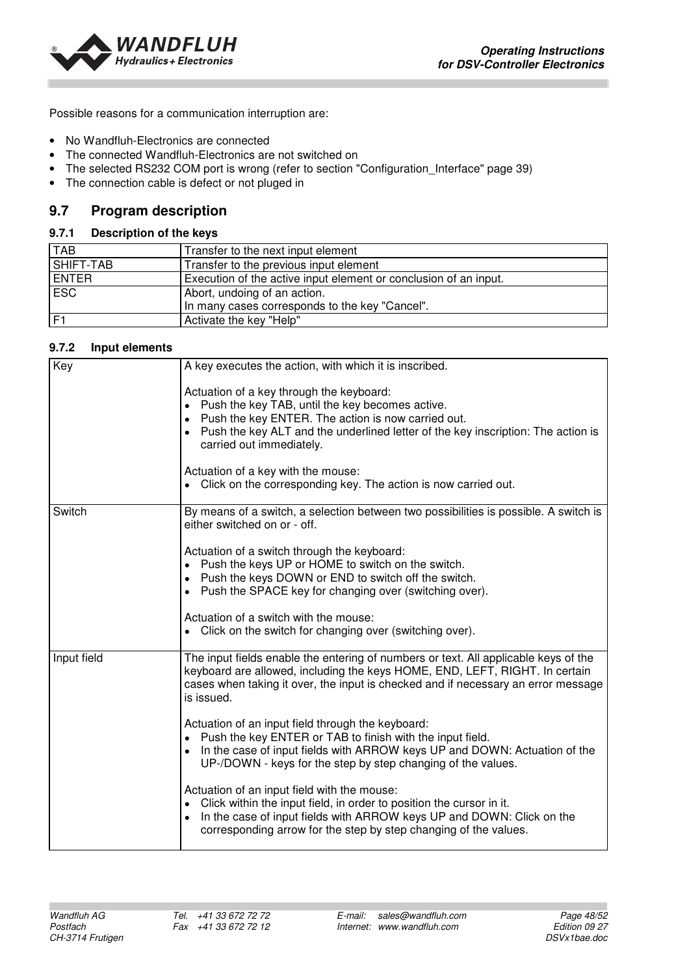

Possible reasons for a communication interruption are:

- No Wandfluh-Electronics are connected
- The connected Wandfluh-Electronics are not switched on
- The selected RS232 COM port is wrong (refer to section "Configuration Interface" page 39)
- The connection cable is defect or not pluged in

## **9.7 Program description**

#### **9.7.1 Description of the keys**

| <b>TAB</b>     | Transfer to the next input element                               |
|----------------|------------------------------------------------------------------|
| SHIFT-TAB      | Transfer to the previous input element                           |
| <b>ENTER</b>   | Execution of the active input element or conclusion of an input. |
| <b>ESC</b>     | Abort, undoing of an action.                                     |
|                | In many cases corresponds to the key "Cancel".                   |
| F <sub>1</sub> | Activate the key "Help"                                          |

#### **9.7.2 Input elements**

| Key         | A key executes the action, with which it is inscribed.                                                                                                                                                                                                                                                                                                                                 |
|-------------|----------------------------------------------------------------------------------------------------------------------------------------------------------------------------------------------------------------------------------------------------------------------------------------------------------------------------------------------------------------------------------------|
|             | Actuation of a key through the keyboard:<br>Push the key TAB, until the key becomes active.<br>Push the key ENTER. The action is now carried out.<br>$\bullet$<br>Push the key ALT and the underlined letter of the key inscription: The action is<br>carried out immediately.<br>Actuation of a key with the mouse:<br>Click on the corresponding key. The action is now carried out. |
| Switch      | By means of a switch, a selection between two possibilities is possible. A switch is                                                                                                                                                                                                                                                                                                   |
|             | either switched on or - off.                                                                                                                                                                                                                                                                                                                                                           |
|             | Actuation of a switch through the keyboard:<br>Push the keys UP or HOME to switch on the switch.<br>Push the keys DOWN or END to switch off the switch.<br>Push the SPACE key for changing over (switching over).                                                                                                                                                                      |
|             | Actuation of a switch with the mouse:<br>Click on the switch for changing over (switching over).                                                                                                                                                                                                                                                                                       |
| Input field | The input fields enable the entering of numbers or text. All applicable keys of the<br>keyboard are allowed, including the keys HOME, END, LEFT, RIGHT. In certain<br>cases when taking it over, the input is checked and if necessary an error message<br>is issued.                                                                                                                  |
|             | Actuation of an input field through the keyboard:<br>Push the key ENTER or TAB to finish with the input field.<br>In the case of input fields with ARROW keys UP and DOWN: Actuation of the<br>UP-/DOWN - keys for the step by step changing of the values.                                                                                                                            |
|             | Actuation of an input field with the mouse:<br>Click within the input field, in order to position the cursor in it.<br>In the case of input fields with ARROW keys UP and DOWN: Click on the<br>corresponding arrow for the step by step changing of the values.                                                                                                                       |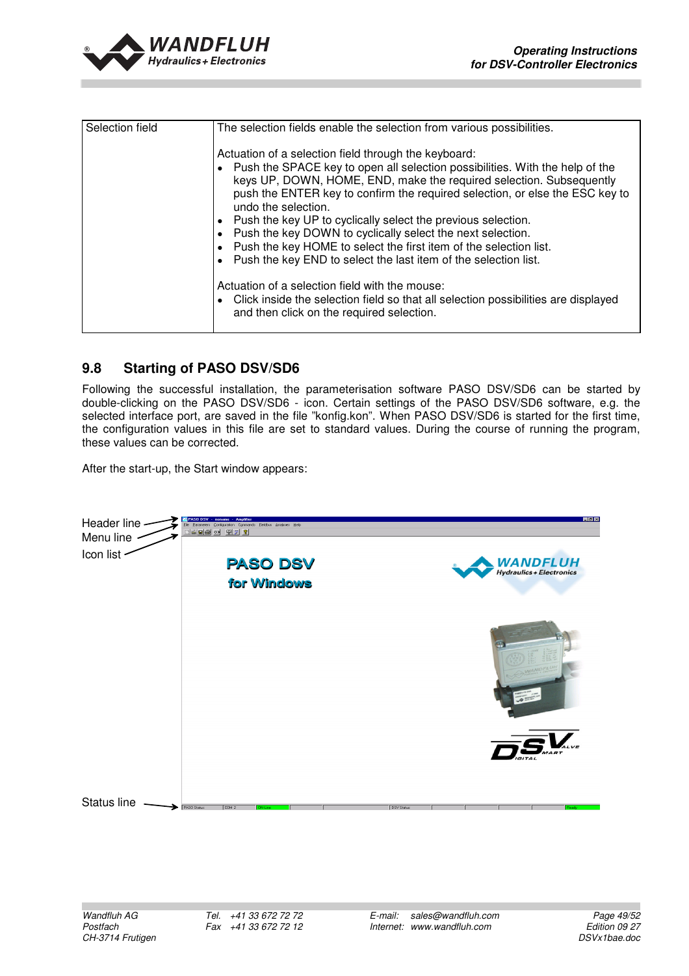

| Selection field | The selection fields enable the selection from various possibilities.                                                                                                                                                                                                                                                                                                                                                                                                                                                                                                                    |
|-----------------|------------------------------------------------------------------------------------------------------------------------------------------------------------------------------------------------------------------------------------------------------------------------------------------------------------------------------------------------------------------------------------------------------------------------------------------------------------------------------------------------------------------------------------------------------------------------------------------|
|                 | Actuation of a selection field through the keyboard:<br>Push the SPACE key to open all selection possibilities. With the help of the<br>keys UP, DOWN, HOME, END, make the required selection. Subsequently<br>push the ENTER key to confirm the required selection, or else the ESC key to<br>undo the selection.<br>Push the key UP to cyclically select the previous selection.<br>Push the key DOWN to cyclically select the next selection.<br>Push the key HOME to select the first item of the selection list.<br>Push the key END to select the last item of the selection list. |
|                 | Actuation of a selection field with the mouse:<br>Click inside the selection field so that all selection possibilities are displayed<br>and then click on the required selection.                                                                                                                                                                                                                                                                                                                                                                                                        |

## **9.8 Starting of PASO DSV/SD6**

Following the successful installation, the parameterisation software PASO DSV/SD6 can be started by double-clicking on the PASO DSV/SD6 - icon. Certain settings of the PASO DSV/SD6 software, e.g. the selected interface port, are saved in the file "konfig.kon". When PASO DSV/SD6 is started for the first time, the configuration values in this file are set to standard values. During the course of running the program, these values can be corrected.

After the start-up, the Start window appears:

| Header line -<br>Menu line - | <b>PASO DSV</b><br><b>Amplifier</b><br>noname<br>Parameters Configuration Commands Fieldbus Analyses Help<br>Eile<br>F S<br><b>  白国の</b> |                   | HZX                                         |
|------------------------------|------------------------------------------------------------------------------------------------------------------------------------------|-------------------|---------------------------------------------|
| Icon list                    | <b>PASO DSV</b><br>for Windows                                                                                                           |                   | <b>WANDFLUH</b><br>Hydraulics + Electronics |
|                              |                                                                                                                                          |                   | æ<br>$\bullet$ $\sim$                       |
|                              |                                                                                                                                          |                   | MART                                        |
| Status line                  | PASO Status:<br>COM <sub>2</sub><br><b>ON-Line</b>                                                                                       | <b>DSV Status</b> | <b>Beach</b>                                |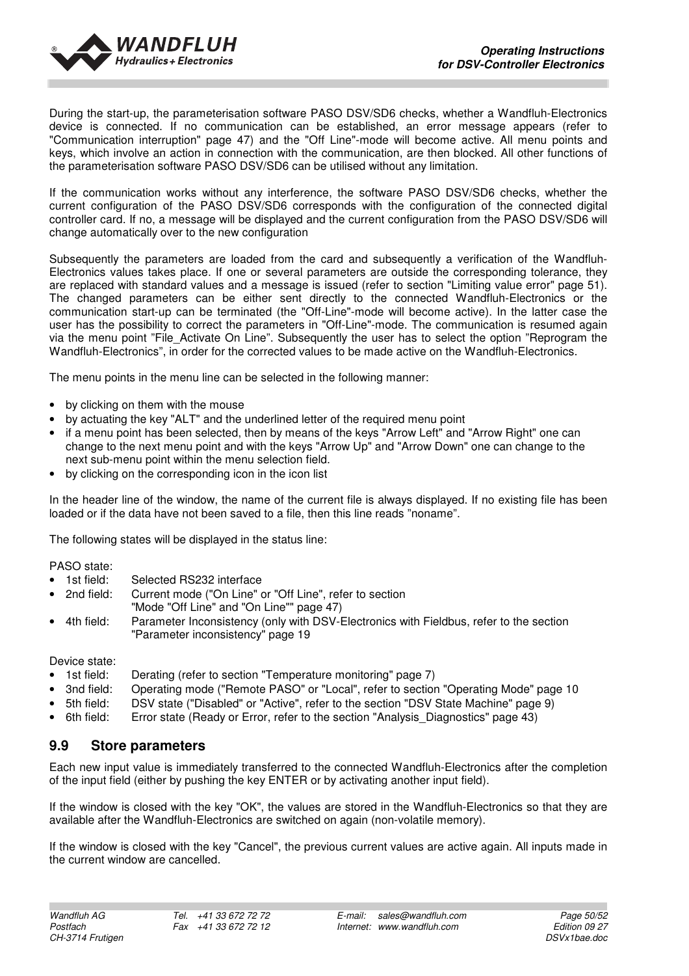

During the start-up, the parameterisation software PASO DSV/SD6 checks, whether a Wandfluh-Electronics device is connected. If no communication can be established, an error message appears (refer to "Communication interruption" page 47) and the "Off Line"-mode will become active. All menu points and keys, which involve an action in connection with the communication, are then blocked. All other functions of the parameterisation software PASO DSV/SD6 can be utilised without any limitation.

If the communication works without any interference, the software PASO DSV/SD6 checks, whether the current configuration of the PASO DSV/SD6 corresponds with the configuration of the connected digital controller card. If no, a message will be displayed and the current configuration from the PASO DSV/SD6 will change automatically over to the new configuration

Subsequently the parameters are loaded from the card and subsequently a verification of the Wandfluh-Electronics values takes place. If one or several parameters are outside the corresponding tolerance, they are replaced with standard values and a message is issued (refer to section "Limiting value error" page 51). The changed parameters can be either sent directly to the connected Wandfluh-Electronics or the communication start-up can be terminated (the "Off-Line"-mode will become active). In the latter case the user has the possibility to correct the parameters in "Off-Line"-mode. The communication is resumed again via the menu point "File\_Activate On Line". Subsequently the user has to select the option "Reprogram the Wandfluh-Electronics", in order for the corrected values to be made active on the Wandfluh-Electronics.

The menu points in the menu line can be selected in the following manner:

- by clicking on them with the mouse
- by actuating the key "ALT" and the underlined letter of the required menu point
- if a menu point has been selected, then by means of the keys "Arrow Left" and "Arrow Right" one can change to the next menu point and with the keys "Arrow Up" and "Arrow Down" one can change to the next sub-menu point within the menu selection field.
- by clicking on the corresponding icon in the icon list

In the header line of the window, the name of the current file is always displayed. If no existing file has been loaded or if the data have not been saved to a file, then this line reads "noname".

The following states will be displayed in the status line:

PASO state:

- 1st field: Selected RS232 interface<br>• 2nd field: Current mode ("On Line" of
- Current mode ("On Line" or "Off Line", refer to section "Mode "Off Line" and "On Line"" page 47)
- 4th field: Parameter Inconsistency (only with DSV-Electronics with Fieldbus, refer to the section "Parameter inconsistency" page 19

Device state:

- 1st field: Derating (refer to section "Temperature monitoring" page 7)
- 3nd field: Operating mode ("Remote PASO" or "Local", refer to section "Operating Mode" page 10
- 5th field: DSV state ("Disabled" or "Active", refer to the section "DSV State Machine" page 9)
- 6th field: Error state (Ready or Error, refer to the section "Analysis\_Diagnostics" page 43)

## **9.9 Store parameters**

Each new input value is immediately transferred to the connected Wandfluh-Electronics after the completion of the input field (either by pushing the key ENTER or by activating another input field).

If the window is closed with the key "OK", the values are stored in the Wandfluh-Electronics so that they are available after the Wandfluh-Electronics are switched on again (non-volatile memory).

If the window is closed with the key "Cancel", the previous current values are active again. All inputs made in the current window are cancelled.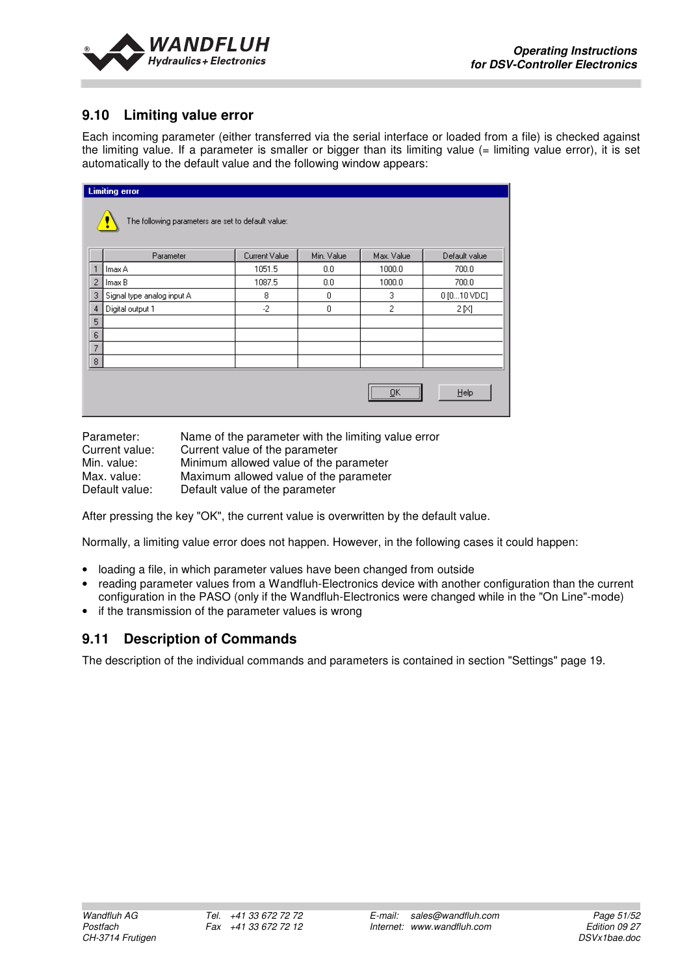

## **9.10 Limiting value error**

Each incoming parameter (either transferred via the serial interface or loaded from a file) is checked against the limiting value. If a parameter is smaller or bigger than its limiting value  $(=$  limiting value error), it is set automatically to the default value and the following window appears:

|                                                    | <b>Limiting error</b>      |               |            |                  |               |  |
|----------------------------------------------------|----------------------------|---------------|------------|------------------|---------------|--|
| The following parameters are set to default value: |                            |               |            |                  |               |  |
|                                                    | Parameter                  | Current Value | Min. Value | Max. Value       | Default value |  |
|                                                    | Imax A                     | 1051.5        | 0.0        | 1000.0           | 700.0         |  |
| $\overline{2}$                                     | Imax B                     | 1087.5        | 0.0        | 1000.0           | 700.0         |  |
| 3                                                  | Signal type analog input A | 8             | 0          | 3                | 0 [010 VDC]   |  |
| $\overline{4}$                                     | Digital output 1           | $-2$          | $\theta$   | 2                | 2 [X]         |  |
| 5                                                  |                            |               |            |                  |               |  |
| 6                                                  |                            |               |            |                  |               |  |
| $\overline{7}$                                     |                            |               |            |                  |               |  |
| $\overline{8}$                                     |                            |               |            |                  |               |  |
|                                                    |                            |               |            | <br><u>  O</u> K | Help          |  |

| Parameter:     | Name of the parameter with the limiting value error |
|----------------|-----------------------------------------------------|
| Current value: | Current value of the parameter                      |
| Min. value:    | Minimum allowed value of the parameter              |
| Max. value:    | Maximum allowed value of the parameter              |
| Default value: | Default value of the parameter                      |

After pressing the key "OK", the current value is overwritten by the default value.

Normally, a limiting value error does not happen. However, in the following cases it could happen:

- loading a file, in which parameter values have been changed from outside
- reading parameter values from a Wandfluh-Electronics device with another configuration than the current configuration in the PASO (only if the Wandfluh-Electronics were changed while in the "On Line"-mode)
- if the transmission of the parameter values is wrong

## **9.11 Description of Commands**

The description of the individual commands and parameters is contained in section "Settings" page 19.